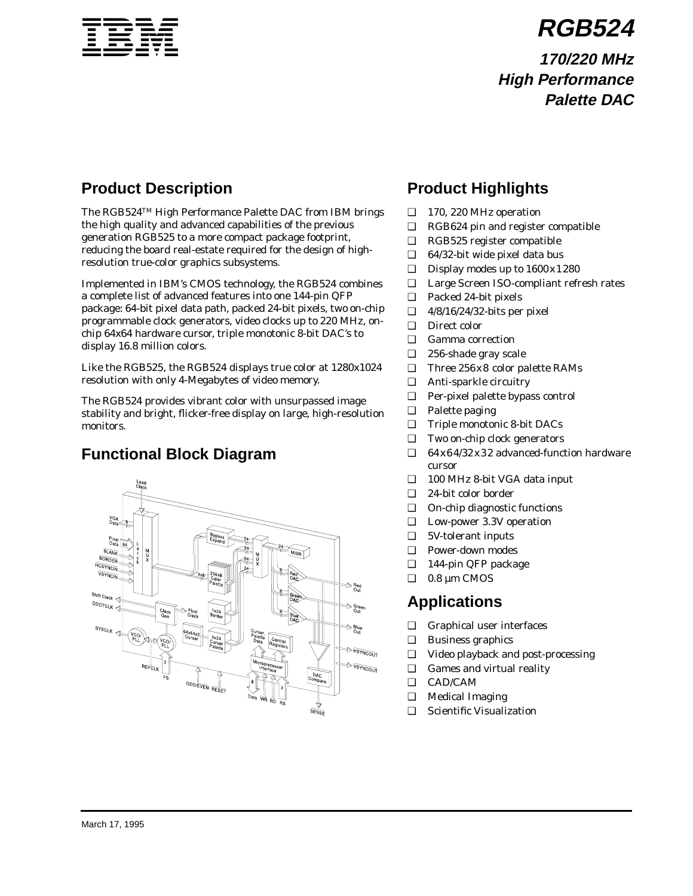

**RGB524**

**170/220 MHz High Performance Palette DAC**

# **Product Description**

The RGB524TM High Performance Palette DAC from IBM brings the high quality and advanced capabilities of the previous generation RGB525 to a more compact package footprint, reducing the board real-estate required for the design of highresolution true-color graphics subsystems.

Implemented in IBM's CMOS technology, the RGB524 combines a complete list of advanced features into one 144-pin QFP package: 64-bit pixel data path, packed 24-bit pixels, two on-chip programmable clock generators, video clocks up to 220 MHz, onchip 64x64 hardware cursor, triple monotonic 8-bit DAC's to display 16.8 million colors.

Like the RGB525, the RGB524 displays true color at 1280x1024 resolution with only 4-Megabytes of video memory.

The RGB524 provides vibrant color with unsurpassed image stability and bright, flicker-free display on large, high-resolution monitors.

# **Functional Block Diagram**



# **Product Highlights**

- ❑ 170, 220 MHz operation
- ❑ RGB624 pin and register compatible
- ❑ RGB525 register compatible
- ❑ 64/32-bit wide pixel data bus
- $\Box$  Display modes up to  $1600 \times 1280$
- ❑ Large Screen ISO-compliant refresh rates
- ❑ Packed 24-bit pixels
- ❑ 4/8/16/24/32-bits per pixel
- ❑ Direct color
- ❑ Gamma correction
- ❑ 256-shade gray scale
- ❑ Three 256x8 color palette RAMs
- ❑ Anti-sparkle circuitry
- ❑ Per-pixel palette bypass control
- ❑ Palette paging
- ❑ Triple monotonic 8-bit DACs
- ❑ Two on-chip clock generators
- ❑ 64x64/32x32 advanced-function hardware cursor
- ❑ 100 MHz 8-bit VGA data input
- ❑ 24-bit color border
- ❑ On-chip diagnostic functions
- ❑ Low-power 3.3V operation
- ❑ 5V-tolerant inputs
- ❑ Power-down modes
- ❑ 144-pin QFP package
- $\Box$  0.8 µm CMOS

# **Applications**

- ❑ Graphical user interfaces
- ❑ Business graphics
- ❑ Video playback and post-processing
- ❑ Games and virtual reality
- ❑ CAD/CAM
- ❑ Medical Imaging
- ❑ Scientific Visualization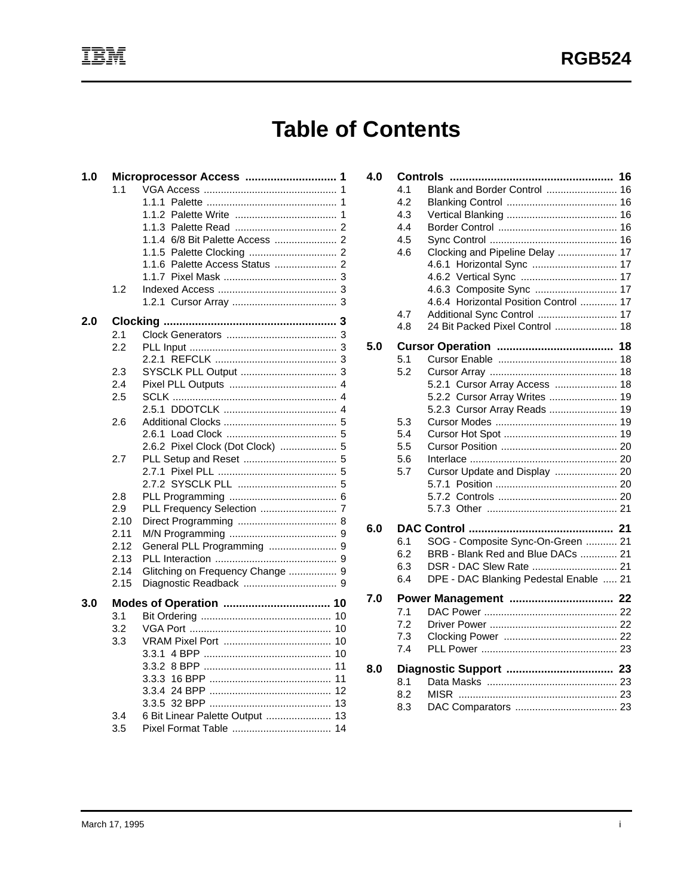# **Table of Contents**

| 1.0 |      | Microprocessor Access            |
|-----|------|----------------------------------|
|     | 1.1  | 1                                |
|     |      | 1.1.1<br>1                       |
|     |      |                                  |
|     |      | 1.1.3                            |
|     |      |                                  |
|     |      |                                  |
|     |      | 1.1.6                            |
|     |      |                                  |
|     | 1.2  |                                  |
|     |      |                                  |
| 2.0 |      |                                  |
|     | 2.1  |                                  |
|     | 2.2  |                                  |
|     |      |                                  |
|     | 2.3  |                                  |
|     | 2.4  |                                  |
|     | 2.5  |                                  |
|     |      |                                  |
|     | 2.6  |                                  |
|     |      | 2.6.2 Pixel Clock (Dot Clock)  5 |
|     | 2.7  |                                  |
|     |      | 2.7.1                            |
|     |      |                                  |
|     | 2.8  |                                  |
|     | 2.9  |                                  |
|     | 2.10 |                                  |
|     | 2.11 |                                  |
|     | 2.12 |                                  |
|     | 2.13 |                                  |
|     | 2.14 | Glitching on Frequency Change  9 |
|     | 2.15 |                                  |
| 3.0 |      |                                  |
|     | 3.1  |                                  |
|     | 3.2  |                                  |
|     | 3.3  |                                  |
|     |      | 3.3.1                            |
|     |      | 3.3.2                            |
|     |      | 3.3.3                            |
|     |      |                                  |
|     |      | 3.3.5                            |
|     | 3.4  | 6 Bit Linear Palette Output  13  |
|     | 3.5  |                                  |

| 4.0 |     |                                        |  |
|-----|-----|----------------------------------------|--|
|     | 4.1 | Blank and Border Control  16           |  |
|     | 4.2 |                                        |  |
|     | 4.3 |                                        |  |
|     | 4.4 |                                        |  |
|     | 4.5 |                                        |  |
|     | 4.6 | Clocking and Pipeline Delay  17        |  |
|     |     | 4.6.1 Horizontal Sync  17              |  |
|     |     |                                        |  |
|     |     | 4.6.3 Composite Sync  17               |  |
|     |     | 4.6.4 Horizontal Position Control  17  |  |
|     | 4.7 | Additional Sync Control  17            |  |
|     | 4.8 | 24 Bit Packed Pixel Control  18        |  |
| 5.0 |     |                                        |  |
|     | 5.1 |                                        |  |
|     | 5.2 |                                        |  |
|     |     | 5.2.1 Cursor Array Access  18          |  |
|     |     | 5.2.2 Cursor Array Writes  19          |  |
|     |     | 5.2.3 Cursor Array Reads  19           |  |
|     | 5.3 |                                        |  |
|     | 5.4 |                                        |  |
|     | 5.5 |                                        |  |
|     | 5.6 |                                        |  |
|     | 5.7 | Cursor Update and Display  20          |  |
|     |     |                                        |  |
|     |     |                                        |  |
|     |     |                                        |  |
| 6.0 |     |                                        |  |
|     | 6.1 | SOG - Composite Sync-On-Green  21      |  |
|     | 6.2 | BRB - Blank Red and Blue DACs  21      |  |
|     | 6.3 | DSR - DAC Slew Rate  21                |  |
|     | 6.4 | DPE - DAC Blanking Pedestal Enable  21 |  |
| 7.0 |     | Power Management  22                   |  |
|     | 7.1 |                                        |  |
|     | 7.2 |                                        |  |
|     | 7.3 |                                        |  |
|     | 74  |                                        |  |
| 8.0 |     |                                        |  |
|     | 8.1 |                                        |  |
|     | 8.2 |                                        |  |
|     | 8.3 |                                        |  |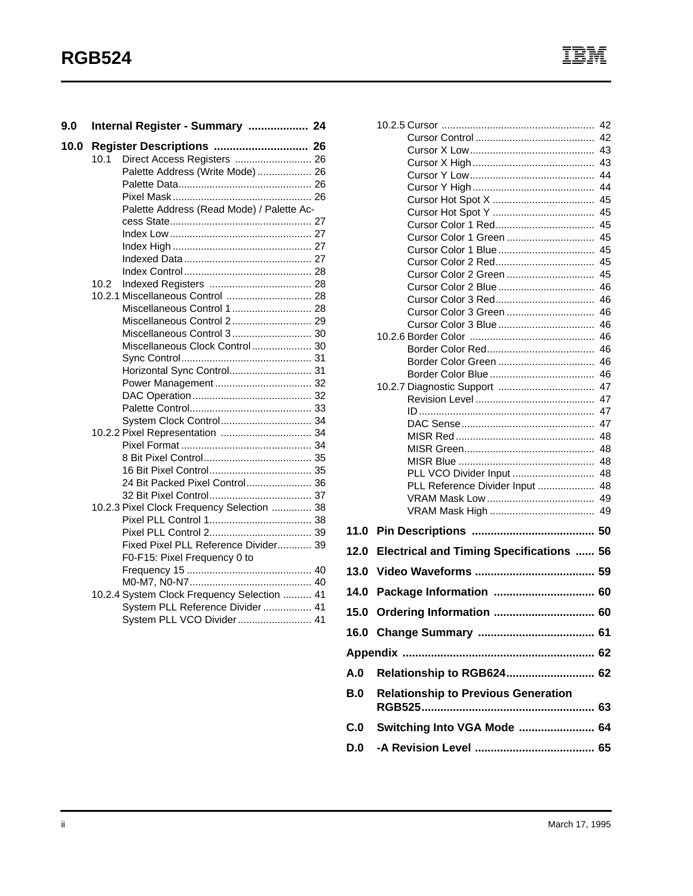| 9.0  | Internal Register - Summary  24             |  |
|------|---------------------------------------------|--|
| 10.0 | Register Descriptions  26                   |  |
|      | Direct Access Registers  26<br>10.1         |  |
|      | Palette Address (Write Mode)  26            |  |
|      |                                             |  |
|      |                                             |  |
|      | Palette Address (Read Mode) / Palette Ac-   |  |
|      |                                             |  |
|      |                                             |  |
|      |                                             |  |
|      |                                             |  |
|      |                                             |  |
|      | 10.2                                        |  |
|      | 10.2.1 Miscellaneous Control  28            |  |
|      | Miscellaneous Control 1 28                  |  |
|      | Miscellaneous Control 2 29                  |  |
|      | Miscellaneous Control 3 30                  |  |
|      | Miscellaneous Clock Control 30              |  |
|      |                                             |  |
|      | Horizontal Sync Control 31                  |  |
|      |                                             |  |
|      |                                             |  |
|      |                                             |  |
|      | System Clock Control 34                     |  |
|      | 10.2.2 Pixel Representation  34             |  |
|      |                                             |  |
|      |                                             |  |
|      |                                             |  |
|      | 24 Bit Packed Pixel Control 36              |  |
|      |                                             |  |
|      | 10.2.3 Pixel Clock Frequency Selection  38  |  |
|      |                                             |  |
|      |                                             |  |
|      | Fixed Pixel PLL Reference Divider 39        |  |
|      | F0-F15: Pixel Frequency 0 to                |  |
|      |                                             |  |
|      |                                             |  |
|      | 10.2.4 System Clock Frequency Selection  41 |  |
|      | System PLL Reference Divider  41            |  |
|      | System PLL VCO Divider 41                   |  |
|      |                                             |  |

|      |                                                 | 45       |  |  |
|------|-------------------------------------------------|----------|--|--|
|      |                                                 |          |  |  |
|      |                                                 |          |  |  |
|      | Cursor Color 2 Green  45                        |          |  |  |
|      |                                                 |          |  |  |
|      |                                                 |          |  |  |
|      |                                                 |          |  |  |
|      |                                                 |          |  |  |
|      |                                                 |          |  |  |
|      |                                                 |          |  |  |
|      |                                                 | 46<br>46 |  |  |
|      |                                                 |          |  |  |
|      |                                                 |          |  |  |
|      |                                                 |          |  |  |
|      |                                                 |          |  |  |
|      |                                                 |          |  |  |
|      |                                                 |          |  |  |
|      | PLL VCO Divider Input  48                       |          |  |  |
|      | PLL Reference Divider Input  48                 |          |  |  |
|      |                                                 |          |  |  |
|      |                                                 |          |  |  |
| 11.0 |                                                 |          |  |  |
| 12.0 | <b>Electrical and Timing Specifications  56</b> |          |  |  |
| 13.0 |                                                 |          |  |  |
| 14.0 | Package Information  60                         |          |  |  |
|      |                                                 |          |  |  |
| 15.0 | Ordering Information  60                        |          |  |  |
|      |                                                 |          |  |  |
|      |                                                 |          |  |  |
| A.0  | Relationship to RGB624 62                       |          |  |  |
| B.0  | <b>Relationship to Previous Generation</b>      |          |  |  |
| C.0  | Switching Into VGA Mode  64                     |          |  |  |
| D.O  |                                                 |          |  |  |
|      |                                                 |          |  |  |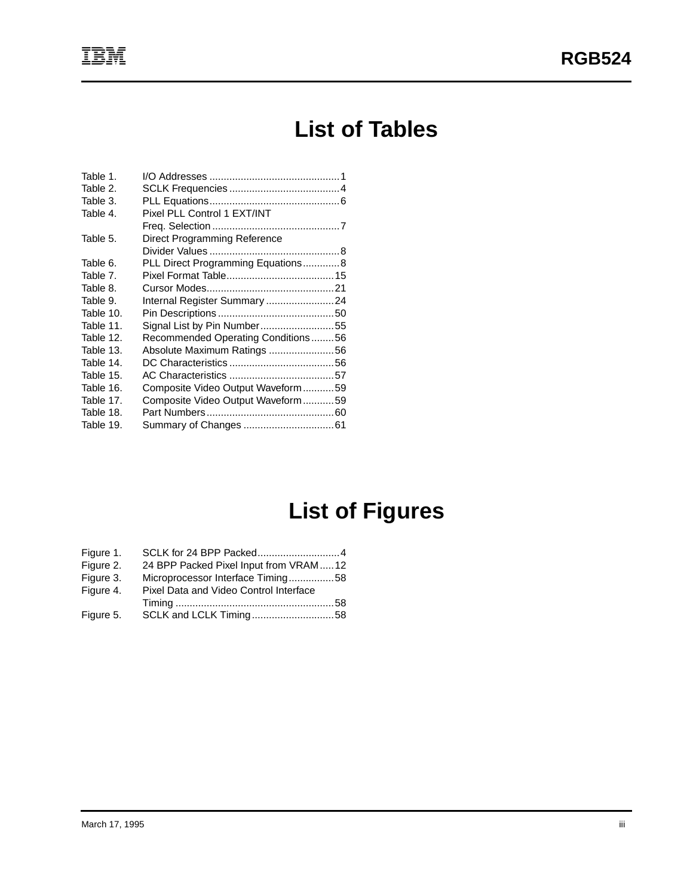# **List of Tables**

| Table 1.  |                                    |  |
|-----------|------------------------------------|--|
| Table 2.  |                                    |  |
| Table 3.  |                                    |  |
| Table 4.  | Pixel PLL Control 1 EXT/INT        |  |
|           |                                    |  |
| Table 5.  | Direct Programming Reference       |  |
|           |                                    |  |
| Table 6.  | PLL Direct Programming Equations8  |  |
| Table 7.  |                                    |  |
| Table 8.  |                                    |  |
| Table 9.  | Internal Register Summary24        |  |
| Table 10. |                                    |  |
| Table 11. | Signal List by Pin Number55        |  |
| Table 12. | Recommended Operating Conditions56 |  |
| Table 13. | Absolute Maximum Ratings 56        |  |
| Table 14. |                                    |  |
| Table 15. |                                    |  |
| Table 16. | Composite Video Output Waveform59  |  |
| Table 17. | Composite Video Output Waveform59  |  |
| Table 18. |                                    |  |
| Table 19. |                                    |  |

# **List of Figures**

| Figure 1. |                                         |  |
|-----------|-----------------------------------------|--|
| Figure 2. | 24 BPP Packed Pixel Input from VRAM  12 |  |
| Figure 3. | Microprocessor Interface Timing58       |  |
| Figure 4. | Pixel Data and Video Control Interface  |  |
|           |                                         |  |
| Figure 5. |                                         |  |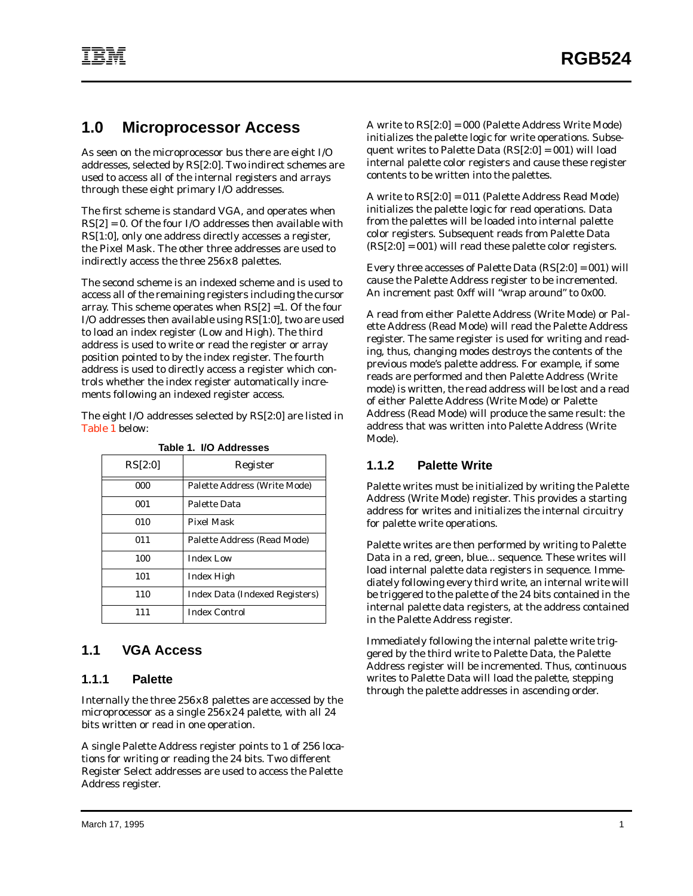# <span id="page-6-0"></span>**1.0 Microprocessor Access**

As seen on the microprocessor bus there are eight I/O addresses, selected by RS[2:0]. Two indirect schemes are used to access all of the internal registers and arrays through these eight primary I/O addresses.

The first scheme is standard VGA, and operates when RS[2] = 0. Of the four I/O addresses then available with RS[1:0], only one address directly accesses a register, the Pixel Mask. The other three addresses are used to indirectly access the three 256x8 palettes.

The second scheme is an indexed scheme and is used to access all of the remaining registers including the cursor array. This scheme operates when RS[2] =1. Of the four I/O addresses then available using RS[1:0], two are used to load an index register (Low and High). The third address is used to write or read the register or array position pointed to by the index register. The fourth address is used to directly access a register which controls whether the index register automatically increments following an indexed register access.

The eight I/O addresses selected by RS[2:0] are listed in Table 1 below:

| RS[2:0] | Register                       |
|---------|--------------------------------|
| 000     | Palette Address (Write Mode)   |
| 001     | Palette Data                   |
| 010     | <b>Pixel Mask</b>              |
| 011     | Palette Address (Read Mode)    |
| 100     | <b>Index Low</b>               |
| 101     | Index High                     |
| 110     | Index Data (Indexed Registers) |
| 111     | <b>Index Control</b>           |

|  | Table 1. I/O Addresses |  |
|--|------------------------|--|
|  |                        |  |

## **1.1 VGA Access**

#### **1.1.1 Palette**

Internally the three 256x8 palettes are accessed by the microprocessor as a single 256x24 palette, with all 24 bits written or read in one operation.

A single Palette Address register points to 1 of 256 locations for writing or reading the 24 bits. Two different Register Select addresses are used to access the Palette Address register.

A write to RS[2:0] = 000 (Palette Address Write Mode) initializes the palette logic for write operations. Subsequent writes to Palette Data  $(RS[2:0] = 001)$  will load internal palette color registers and cause these register contents to be written into the palettes.

A write to RS[2:0] = 011 (Palette Address Read Mode) initializes the palette logic for read operations. Data from the palettes will be loaded into internal palette color registers. Subsequent reads from Palette Data  $(RS[2:0] = 001)$  will read these palette color registers.

Every three accesses of Palette Data (RS[2:0] = 001) will cause the Palette Address register to be incremented. An increment past 0xff will "wrap around" to 0x00.

A read from either Palette Address (Write Mode) or Palette Address (Read Mode) will read the Palette Address register. The same register is used for writing and reading, thus, changing modes destroys the contents of the previous mode's palette address. For example, if some reads are performed and then Palette Address (Write mode) is written, the read address will be lost and a read of either Palette Address (Write Mode) or Palette Address (Read Mode) will produce the same result: the address that was written into Palette Address (Write Mode).

#### **1.1.2 Palette Write**

Palette writes must be initialized by writing the Palette Address (Write Mode) register. This provides a starting address for writes and initializes the internal circuitry for palette write operations.

Palette writes are then performed by writing to Palette Data in a red, green, blue... sequence. These writes will load internal palette data registers in sequence. Immediately following every third write, an internal write will be triggered to the palette of the 24 bits contained in the internal palette data registers, at the address contained in the Palette Address register.

Immediately following the internal palette write triggered by the third write to Palette Data, the Palette Address register will be incremented. Thus, continuous writes to Palette Data will load the palette, stepping through the palette addresses in ascending order.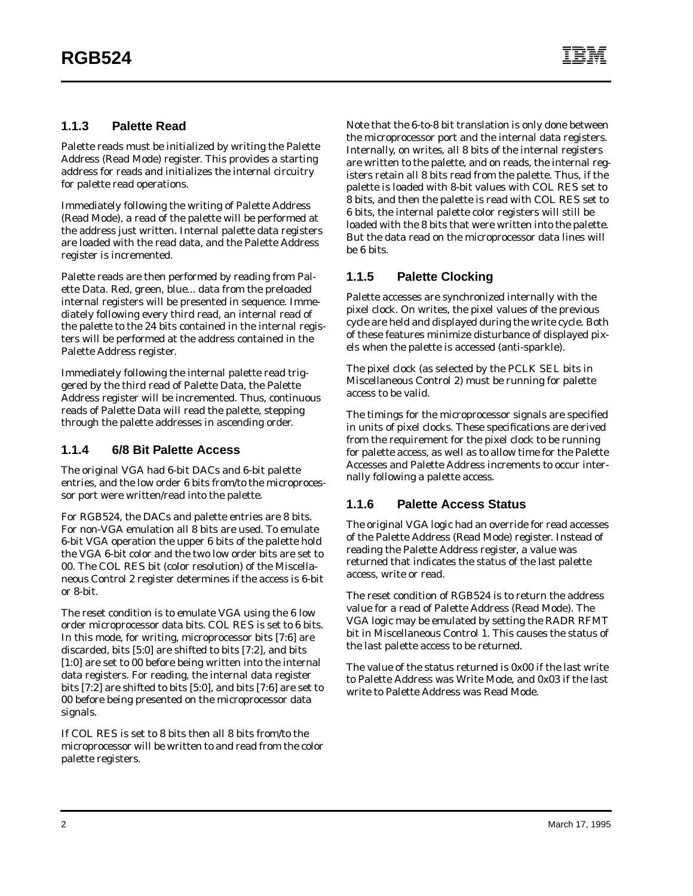#### **1.1.3 Palette Read**

Palette reads must be initialized by writing the Palette Address (Read Mode) register. This provides a starting address for reads and initializes the internal circuitry for palette read operations.

Immediately following the writing of Palette Address (Read Mode), a read of the palette will be performed at the address just written. Internal palette data registers are loaded with the read data, and the Palette Address register is incremented.

Palette reads are then performed by reading from Palette Data. Red, green, blue... data from the preloaded internal registers will be presented in sequence. Immediately following every third read, an internal read of the palette to the 24 bits contained in the internal registers will be performed at the address contained in the Palette Address register.

Immediately following the internal palette read triggered by the third read of Palette Data, the Palette Address register will be incremented. Thus, continuous reads of Palette Data will read the palette, stepping through the palette addresses in ascending order.

#### **1.1.4 6/8 Bit Palette Access**

The original VGA had 6-bit DACs and 6-bit palette entries, and the low order 6 bits from/to the microprocessor port were written/read into the palette.

For RGB524, the DACs and palette entries are 8 bits. For non-VGA emulation all 8 bits are used. To emulate 6-bit VGA operation the upper 6 bits of the palette hold the VGA 6-bit color and the two low order bits are set to 00. The COL RES bit (color resolution) of the Miscellaneous Control 2 register determines if the access is 6-bit or 8-bit.

The reset condition is to emulate VGA using the 6 low order microprocessor data bits. COL RES is set to 6 bits. In this mode, for writing, microprocessor bits [7:6] are discarded, bits [5:0] are shifted to bits [7:2], and bits [1:0] are set to 00 before being written into the internal data registers. For reading, the internal data register bits [7:2] are shifted to bits [5:0], and bits [7:6] are set to 00 before being presented on the microprocessor data signals.

If COL RES is set to 8 bits then all 8 bits from/to the microprocessor will be written to and read from the color palette registers.

Note that the 6-to-8 bit translation is only done between the microprocessor port and the internal data registers. Internally, on writes, all 8 bits of the internal registers are written to the palette, and on reads, the internal registers retain all 8 bits read from the palette. Thus, if the palette is loaded with 8-bit values with COL RES set to 8 bits, and then the palette is read with COL RES set to 6 bits, the internal palette color registers will still be loaded with the 8 bits that were written into the palette. But the data read on the microprocessor data lines will be 6 bits.

#### **1.1.5 Palette Clocking**

Palette accesses are synchronized internally with the pixel clock. On writes, the pixel values of the previous cycle are held and displayed during the write cycle. Both of these features minimize disturbance of displayed pixels when the palette is accessed (anti-sparkle).

The pixel clock (as selected by the PCLK SEL bits in Miscellaneous Control 2) must be running for palette access to be valid.

The timings for the microprocessor signals are specified in units of pixel clocks. These specifications are derived from the requirement for the pixel clock to be running for palette access, as well as to allow time for the Palette Accesses and Palette Address increments to occur internally following a palette access.

#### **1.1.6 Palette Access Status**

The original VGA logic had an override for read accesses of the Palette Address (Read Mode) register. Instead of reading the Palette Address register, a value was returned that indicates the status of the last palette access, write or read.

The reset condition of RGB524 is to return the address value for a read of Palette Address (Read Mode). The VGA logic may be emulated by setting the RADR RFMT bit in Miscellaneous Control 1. This causes the status of the last palette access to be returned.

The value of the status returned is 0x00 if the last write to Palette Address was Write Mode, and 0x03 if the last write to Palette Address was Read Mode.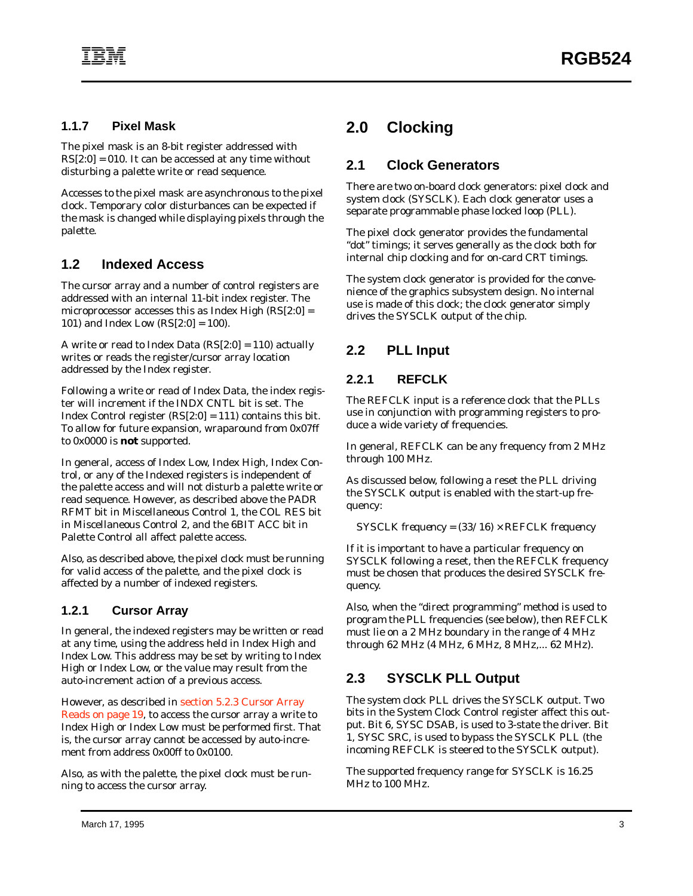#### **1.1.7 Pixel Mask**

The pixel mask is an 8-bit register addressed with  $RS[2:0] = 010$ . It can be accessed at any time without disturbing a palette write or read sequence.

Accesses to the pixel mask are asynchronous to the pixel clock. Temporary color disturbances can be expected if the mask is changed while displaying pixels through the palette.

#### **1.2 Indexed Access**

The cursor array and a number of control registers are addressed with an internal 11-bit index register. The microprocessor accesses this as Index High (RS[2:0] = 101) and Index Low (RS[2:0] = 100).

A write or read to Index Data (RS[2:0] = 110) actually writes or reads the register/cursor array location addressed by the Index register.

Following a write or read of Index Data, the index register will increment if the INDX CNTL bit is set. The Index Control register (RS[2:0] = 111) contains this bit. To allow for future expansion, wraparound from 0x07ff to 0x0000 is **not** supported.

In general, access of Index Low, Index High, Index Control, or any of the Indexed registers is independent of the palette access and will not disturb a palette write or read sequence. However, as described above the PADR RFMT bit in Miscellaneous Control 1, the COL RES bit in Miscellaneous Control 2, and the 6BIT ACC bit in Palette Control all affect palette access.

Also, as described above, the pixel clock must be running for valid access of the palette, and the pixel clock is affected by a number of indexed registers.

#### **1.2.1 Cursor Array**

In general, the indexed registers may be written or read at any time, using the address held in Index High and Index Low. This address may be set by writing to Index High or Index Low, or the value may result from the auto-increment action of a previous access.

However, as described in [section 5.2.3 Cursor Array](#page-24-0) [Reads on page 19](#page-24-0), to access the cursor array a write to Index High or Index Low must be performed first. That is, the cursor array cannot be accessed by auto-increment from address 0x00ff to 0x0100.

Also, as with the palette, the pixel clock must be running to access the cursor array.

# **2.0 Clocking**

#### **2.1 Clock Generators**

There are two on-board clock generators: pixel clock and system clock (SYSCLK). Each clock generator uses a separate programmable phase locked loop (PLL).

The pixel clock generator provides the fundamental "dot" timings; it serves generally as the clock both for internal chip clocking and for on-card CRT timings.

The system clock generator is provided for the convenience of the graphics subsystem design. No internal use is made of this clock; the clock generator simply drives the SYSCLK output of the chip.

# **2.2 PLL Input**

#### **2.2.1 REFCLK**

The REFCLK input is a reference clock that the PLLs use in conjunction with programming registers to produce a wide variety of frequencies.

In general, REFCLK can be any frequency from 2 MHz through 100 MHz.

As discussed below, following a reset the PLL driving the SYSCLK output is enabled with the start-up frequency:

*SYSCLK frequency = (33/16)* × *REFCLK frequency*

If it is important to have a particular frequency on SYSCLK following a reset, then the REFCLK frequency must be chosen that produces the desired SYSCLK frequency.

Also, when the "direct programming" method is used to program the PLL frequencies (see below), then REFCLK must lie on a 2 MHz boundary in the range of 4 MHz through 62 MHz (4 MHz, 6 MHz, 8 MHz,... 62 MHz).

# **2.3 SYSCLK PLL Output**

The system clock PLL drives the SYSCLK output. Two bits in the System Clock Control register affect this output. Bit 6, SYSC DSAB, is used to 3-state the driver. Bit 1, SYSC SRC, is used to bypass the SYSCLK PLL (the incoming REFCLK is steered to the SYSCLK output).

The supported frequency range for SYSCLK is 16.25 MHz to 100 MHz.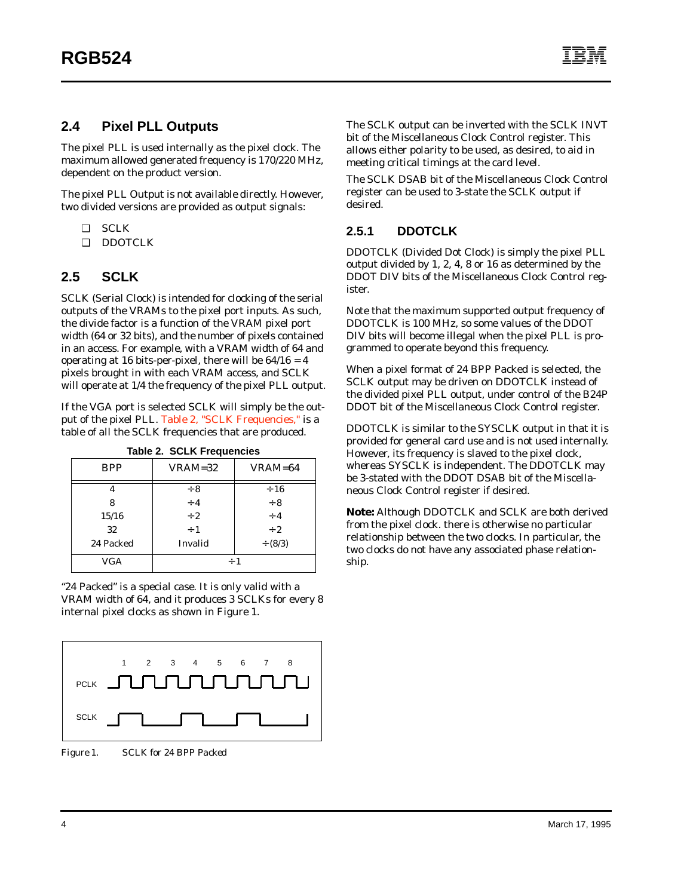#### **2.4 Pixel PLL Outputs**

The pixel PLL is used internally as the pixel clock. The maximum allowed generated frequency is 170/220 MHz, dependent on the product version.

The pixel PLL Output is not available directly. However, two divided versions are provided as output signals:

- ❑ SCLK
- ❑ DDOTCLK

#### **2.5 SCLK**

SCLK (Serial Clock) is intended for clocking of the serial outputs of the VRAMs to the pixel port inputs. As such, the divide factor is a function of the VRAM pixel port width (64 or 32 bits), and the number of pixels contained in an access. For example, with a VRAM width of 64 and operating at 16 bits-per-pixel, there will be  $64/16 = 4$ pixels brought in with each VRAM access, and SCLK will operate at 1/4 the frequency of the pixel PLL output.

If the VGA port is selected SCLK will simply be the output of the pixel PLL. Table 2, "SCLK Frequencies," is a table of all the SCLK frequencies that are produced.

| Table 2. SULK Frequencies |           |             |  |  |  |
|---------------------------|-----------|-------------|--|--|--|
| <b>BPP</b>                | $VRAM=32$ | VRAM=64     |  |  |  |
| 4                         | $\div 8$  | $\div 16$   |  |  |  |
| 8                         | $\div$ 4  | $\div 8$    |  |  |  |
| 15/16                     | $\div 2$  | $\div$ 4    |  |  |  |
| 32                        | $\div$ 1  | $\div$ 2    |  |  |  |
| 24 Packed                 | Invalid   | $\div(8/3)$ |  |  |  |
| <b>VGA</b><br>$\div$ 1    |           |             |  |  |  |

**Table 2. SCLK Frequencies**

"24 Packed" is a special case. It is only valid with a VRAM width of 64, and it produces 3 SCLKs for every 8 internal pixel clocks as shown in Figure 1.



*Figure 1. SCLK for 24 BPP Packed*

The SCLK output can be inverted with the SCLK INVT bit of the Miscellaneous Clock Control register. This allows either polarity to be used, as desired, to aid in meeting critical timings at the card level.

The SCLK DSAB bit of the Miscellaneous Clock Control register can be used to 3-state the SCLK output if desired.

#### **2.5.1 DDOTCLK**

DDOTCLK (Divided Dot Clock) is simply the pixel PLL output divided by 1, 2, 4, 8 or 16 as determined by the DDOT DIV bits of the Miscellaneous Clock Control register.

Note that the maximum supported output frequency of DDOTCLK is 100 MHz, so some values of the DDOT DIV bits will become illegal when the pixel PLL is programmed to operate beyond this frequency.

When a pixel format of 24 BPP Packed is selected, the SCLK output may be driven on DDOTCLK instead of the divided pixel PLL output, under control of the B24P DDOT bit of the Miscellaneous Clock Control register.

DDOTCLK is similar to the SYSCLK output in that it is provided for general card use and is not used internally. However, its frequency is slaved to the pixel clock, whereas SYSCLK is independent. The DDOTCLK may be 3-stated with the DDOT DSAB bit of the Miscellaneous Clock Control register if desired.

**Note:** Although DDOTCLK and SCLK are both derived from the pixel clock. there is otherwise no particular relationship between the two clocks. In particular, the two clocks do not have any associated phase relationship.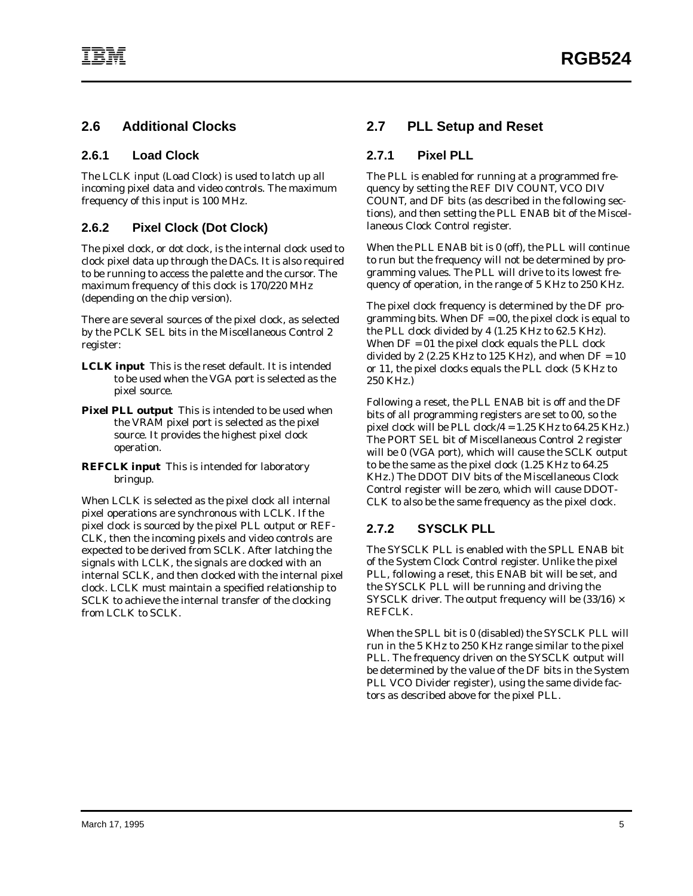#### **2.6 Additional Clocks**

#### **2.6.1 Load Clock**

The LCLK input (Load Clock) is used to latch up all incoming pixel data and video controls. The maximum frequency of this input is 100 MHz.

#### **2.6.2 Pixel Clock (Dot Clock)**

The pixel clock, or dot clock, is the internal clock used to clock pixel data up through the DACs. It is also required to be running to access the palette and the cursor. The maximum frequency of this clock is 170/220 MHz (depending on the chip version).

There are several sources of the pixel clock, as selected by the PCLK SEL bits in the Miscellaneous Control 2 register:

- **LCLK input** This is the reset default. It is intended to be used when the VGA port is selected as the pixel source.
- **Pixel PLL output** This is intended to be used when the VRAM pixel port is selected as the pixel source. It provides the highest pixel clock operation.
- **REFCLK input** This is intended for laboratory bringup.

When LCLK is selected as the pixel clock all internal pixel operations are synchronous with LCLK. If the pixel clock is sourced by the pixel PLL output or REF-CLK, then the incoming pixels and video controls are expected to be derived from SCLK. After latching the signals with LCLK, the signals are clocked with an internal SCLK, and then clocked with the internal pixel clock. LCLK must maintain a specified relationship to SCLK to achieve the internal transfer of the clocking from LCLK to SCLK.

#### **2.7 PLL Setup and Reset**

#### **2.7.1 Pixel PLL**

The PLL is enabled for running at a programmed frequency by setting the REF DIV COUNT, VCO DIV COUNT, and DF bits (as described in the following sections), and then setting the PLL ENAB bit of the Miscellaneous Clock Control register.

When the PLL ENAB bit is 0 (off), the PLL will continue to run but the frequency will not be determined by programming values. The PLL will drive to its lowest frequency of operation, in the range of 5 KHz to 250 KHz.

The pixel clock frequency is determined by the DF programming bits. When  $DF = 00$ , the pixel clock is equal to the PLL clock divided by 4 (1.25 KHz to 62.5 KHz). When  $DF = 01$  the pixel clock equals the PLL clock divided by 2 (2.25 KHz to 125 KHz), and when  $DF = 10$ or 11, the pixel clocks equals the PLL clock (5 KHz to 250 KHz.)

Following a reset, the PLL ENAB bit is off and the DF bits of all programming registers are set to 00, so the pixel clock will be PLL clock/4 = 1.25 KHz to 64.25 KHz.) The PORT SEL bit of Miscellaneous Control 2 register will be 0 (VGA port), which will cause the SCLK output to be the same as the pixel clock (1.25 KHz to 64.25 KHz.) The DDOT DIV bits of the Miscellaneous Clock Control register will be zero, which will cause DDOT-CLK to also be the same frequency as the pixel clock.

## **2.7.2 SYSCLK PLL**

The SYSCLK PLL is enabled with the SPLL ENAB bit of the System Clock Control register. Unlike the pixel PLL, following a reset, this ENAB bit will be set, and the SYSCLK PLL will be running and driving the SYSCLK driver. The output frequency will be  $(33/16) \times$ REFCLK.

When the SPLL bit is 0 (disabled) the SYSCLK PLL will run in the 5 KHz to 250 KHz range similar to the pixel PLL. The frequency driven on the SYSCLK output will be determined by the value of the DF bits in the System PLL VCO Divider register), using the same divide factors as described above for the pixel PLL.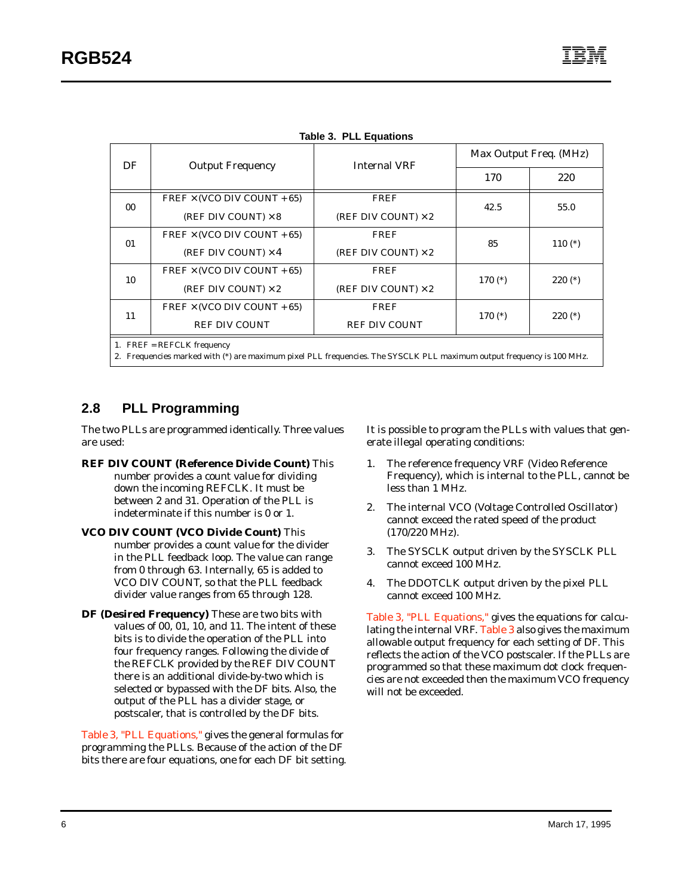<span id="page-11-0"></span>

| DF | <b>Output Frequency</b>            | <b>Internal VRF</b><br><b>FREF</b><br>(REF DIV COUNT) $\times 2$<br><b>FREF</b><br>(REF DIV COUNT) $\times 2$<br><b>FREF</b><br>(REF DIV COUNT) $\times 2$<br><b>FREF</b><br><b>REF DIV COUNT</b> | Max Output Freq. (MHz) |           |  |  |  |
|----|------------------------------------|---------------------------------------------------------------------------------------------------------------------------------------------------------------------------------------------------|------------------------|-----------|--|--|--|
|    |                                    |                                                                                                                                                                                                   | 170                    | 220       |  |  |  |
| 00 | $FREF \times (VCO DIV COUNT + 65)$ |                                                                                                                                                                                                   | 42.5                   | 55.0      |  |  |  |
|    | (REF DIV COUNT) $\times$ 8         |                                                                                                                                                                                                   |                        |           |  |  |  |
| 01 | $FREF \times (VCO DIV COUNT + 65)$ |                                                                                                                                                                                                   | 85                     | $110(*)$  |  |  |  |
|    | (REF DIV COUNT) $\times$ 4         | 2. Frequencies marked with (*) are maximum pixel PLL frequencies. The SYSCLK PLL maximum output frequency is 100 MHz.                                                                             |                        |           |  |  |  |
| 10 | $FREF \times (VCO DIV COUNT + 65)$ |                                                                                                                                                                                                   | $170(*)$               | $220 (*)$ |  |  |  |
|    | (REF DIV COUNT) $\times 2$         |                                                                                                                                                                                                   |                        |           |  |  |  |
| 11 | $FREF \times (VCO DIV COUNT + 65)$ |                                                                                                                                                                                                   | $170(*)$               | $220 (*)$ |  |  |  |
|    | <b>REF DIV COUNT</b>               |                                                                                                                                                                                                   |                        |           |  |  |  |
|    | 1. FREF = REFCLK frequency         |                                                                                                                                                                                                   |                        |           |  |  |  |
|    |                                    |                                                                                                                                                                                                   |                        |           |  |  |  |

**Table 3. PLL Equations**

#### **2.8 PLL Programming**

The two PLLs are programmed identically. Three values are used:

- **REF DIV COUNT (Reference Divide Count)** This number provides a count value for dividing down the incoming REFCLK. It must be between 2 and 31. Operation of the PLL is indeterminate if this number is 0 or 1.
- **VCO DIV COUNT (VCO Divide Count)** This number provides a count value for the divider in the PLL feedback loop. The value can range from 0 through 63. Internally, 65 is added to VCO DIV COUNT, so that the PLL feedback divider value ranges from 65 through 128.
- **DF (Desired Frequency)** These are two bits with values of 00, 01, 10, and 11. The intent of these bits is to divide the operation of the PLL into four frequency ranges. Following the divide of the REFCLK provided by the REF DIV COUNT there is an additional divide-by-two which is selected or bypassed with the DF bits. Also, the output of the PLL has a divider stage, or postscaler, that is controlled by the DF bits.

Table 3, "PLL Equations," gives the general formulas for programming the PLLs. Because of the action of the DF bits there are four equations, one for each DF bit setting. It is possible to program the PLLs with values that generate illegal operating conditions:

- 1. The reference frequency VRF (Video Reference Frequency), which is internal to the PLL, cannot be less than 1 MHz.
- 2. The internal VCO (Voltage Controlled Oscillator) cannot exceed the rated speed of the product (170/220 MHz).
- 3. The SYSCLK output driven by the SYSCLK PLL cannot exceed 100 MHz.
- 4. The DDOTCLK output driven by the pixel PLL cannot exceed 100 MHz.

Table 3, "PLL Equations," gives the equations for calculating the internal VRF. Table 3 also gives the maximum allowable output frequency for each setting of DF. This reflects the action of the VCO postscaler. If the PLLs are programmed so that these maximum dot clock frequencies are not exceeded then the maximum VCO frequency will not be exceeded.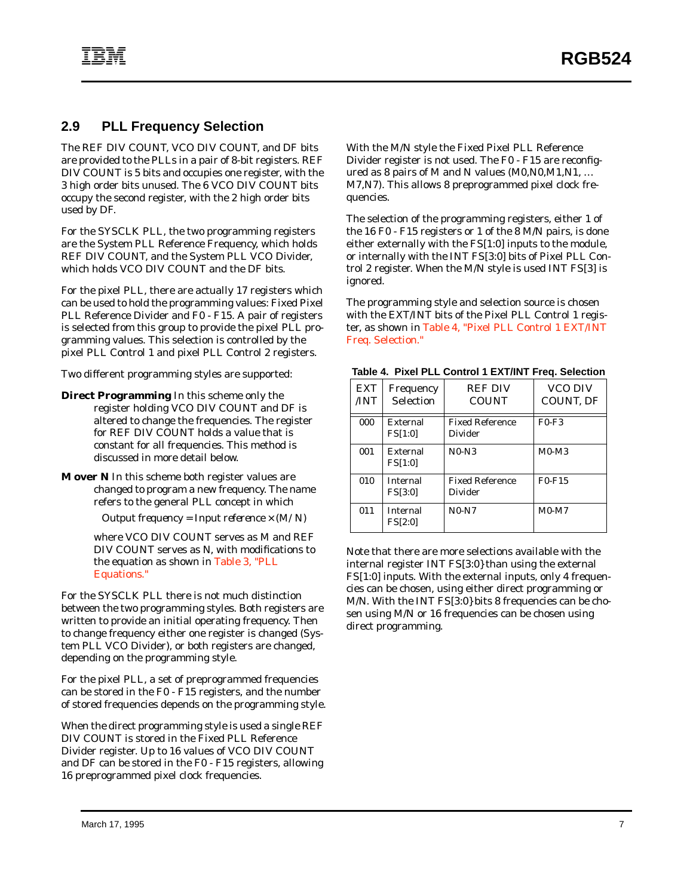## **2.9 PLL Frequency Selection**

The REF DIV COUNT, VCO DIV COUNT, and DF bits are provided to the PLLs in a pair of 8-bit registers. REF DIV COUNT is 5 bits and occupies one register, with the 3 high order bits unused. The 6 VCO DIV COUNT bits occupy the second register, with the 2 high order bits used by DF.

For the SYSCLK PLL, the two programming registers are the System PLL Reference Frequency, which holds REF DIV COUNT, and the System PLL VCO Divider, which holds VCO DIV COUNT and the DF bits.

For the pixel PLL, there are actually 17 registers which can be used to hold the programming values: Fixed Pixel PLL Reference Divider and F0 - F15. A pair of registers is selected from this group to provide the pixel PLL programming values. This selection is controlled by the pixel PLL Control 1 and pixel PLL Control 2 registers.

Two different programming styles are supported:

**Direct Programming** In this scheme only the register holding VCO DIV COUNT and DF is altered to change the frequencies. The register for REF DIV COUNT holds a value that is constant for all frequencies. This method is discussed in more detail below.

**M over N** In this scheme both register values are changed to program a new frequency. The name refers to the general PLL concept in which

*Output frequency = Input reference* × *(M/N)*

where VCO DIV COUNT serves as M and REF DIV COUNT serves as N, with modifications to the equation as shown in [Table 3, "PLL](#page-11-0) [Equations."](#page-11-0)

For the SYSCLK PLL there is not much distinction between the two programming styles. Both registers are written to provide an initial operating frequency. Then to change frequency either one register is changed (System PLL VCO Divider), or both registers are changed, depending on the programming style.

For the pixel PLL, a set of preprogrammed frequencies can be stored in the F0 - F15 registers, and the number of stored frequencies depends on the programming style.

When the direct programming style is used a single REF DIV COUNT is stored in the Fixed PLL Reference Divider register. Up to 16 values of VCO DIV COUNT and DF can be stored in the F0 - F15 registers, allowing 16 preprogrammed pixel clock frequencies.

With the M/N style the Fixed Pixel PLL Reference Divider register is not used. The F0 - F15 are reconfigured as 8 pairs of M and N values  $(M0,N0,M1,N1,...)$ M7,N7). This allows 8 preprogrammed pixel clock frequencies.

The selection of the programming registers, either 1 of the 16 F0 - F15 registers or 1 of the 8 M/N pairs, is done either externally with the FS[1:0] inputs to the module, or internally with the INT FS[3:0] bits of Pixel PLL Control 2 register. When the M/N style is used INT FS[3] is ignored.

The programming style and selection source is chosen with the EXT/INT bits of the Pixel PLL Control 1 register, as shown in Table 4, "Pixel PLL Control 1 EXT/INT Freq. Selection."

|  |  | Table 4. Pixel PLL Control 1 EXT/INT Freq. Selection |  |
|--|--|------------------------------------------------------|--|
|  |  |                                                      |  |

| <b>EXT</b><br>/INT | Frequency<br><b>Selection</b>     | <b>REF DIV</b><br><b>COUNT</b>    | VCO DIV<br>COUNT, DF |
|--------------------|-----------------------------------|-----------------------------------|----------------------|
| 000                | External<br>FS[1:0]               | <b>Fixed Reference</b><br>Divider | $F0-F3$              |
| 001                | External<br>FS[1:0]               | $N0-N3$                           | $M0-M3$              |
| 010                | <b>Internal</b><br><b>FS[3:0]</b> | <b>Fixed Reference</b><br>Divider | $F0-F15$             |
| 011                | Internal<br><b>FS[2:0]</b>        | $N0-N7$                           | $M0-M7$              |

Note that there are more selections available with the internal register INT FS[3:0} than using the external FS[1:0] inputs. With the external inputs, only 4 frequencies can be chosen, using either direct programming or M/N. With the INT FS[3:0} bits 8 frequencies can be chosen using M/N or 16 frequencies can be chosen using direct programming.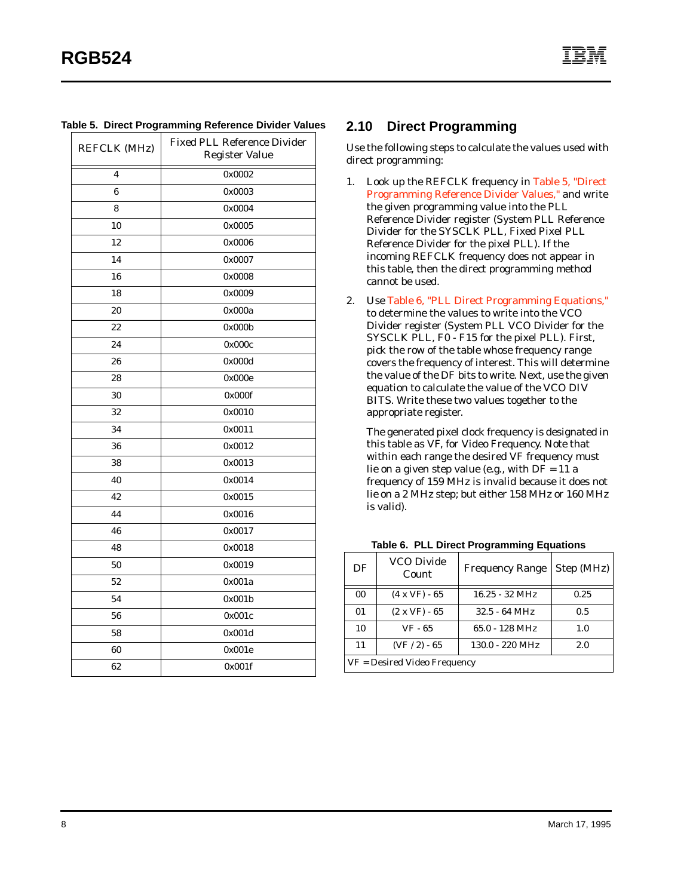| <b>REFCLK (MHz)</b> | <b>Fixed PLL Reference Divider</b> |
|---------------------|------------------------------------|
|                     | <b>Register Value</b>              |
| 4                   | 0x0002                             |
| 6                   | 0x0003                             |
| 8                   | 0x0004                             |
| 10                  | 0x0005                             |
| 12                  | 0x0006                             |
| 14                  | 0x0007                             |
| 16                  | 0x0008                             |
| 18                  | 0x0009                             |
| 20                  | 0x000a                             |
| 22                  | 0x000b                             |
| 24                  | 0x000c                             |
| 26                  | 0x000d                             |
| 28                  | 0x000e                             |
| 30                  | 0x000f                             |
| 32                  | 0x0010                             |
| 34                  | 0x0011                             |
| 36                  | 0x0012                             |
| 38                  | 0x0013                             |
| 40                  | 0x0014                             |
| 42                  | 0x0015                             |
| 44                  | 0x0016                             |
| 46                  | 0x0017                             |
| 48                  | 0x0018                             |
| 50                  | 0x0019                             |
| 52                  | 0x001a                             |
| 54                  | 0x001b                             |
| 56                  | 0x001c                             |
| 58                  | 0x001d                             |
| 60                  | 0x001e                             |
| 62                  | 0x001f                             |

#### <span id="page-13-0"></span>**Table 5. Direct Programming Reference Divider Values**

#### **2.10 Direct Programming**

Use the following steps to calculate the values used with direct programming:

- 1. Look up the REFCLK frequency in Table 5, "Direct Programming Reference Divider Values," and write the given programming value into the PLL Reference Divider register (System PLL Reference Divider for the SYSCLK PLL, Fixed Pixel PLL Reference Divider for the pixel PLL). If the incoming REFCLK frequency does not appear in this table, then the direct programming method cannot be used.
- 2. Use Table 6, "PLL Direct Programming Equations," to determine the values to write into the VCO Divider register (System PLL VCO Divider for the SYSCLK PLL, F0 - F15 for the pixel PLL). First, pick the row of the table whose frequency range covers the frequency of interest. This will determine the value of the DF bits to write. Next, use the given equation to calculate the value of the VCO DIV BITS. Write these two values together to the appropriate register.

The generated pixel clock frequency is designated in this table as VF, for Video Frequency. Note that within each range the desired VF frequency must lie on a given step value (e.g., with  $DF = 11$  a frequency of 159 MHz is invalid because it does not lie on a 2 MHz step; but either 158 MHz or 160 MHz is valid).

| DF                           | <b>VCO Divide</b><br>Count | <b>Frequency Range</b>   | Step (MHz) |  |  |
|------------------------------|----------------------------|--------------------------|------------|--|--|
| 0 <sub>0</sub>               | $(4 \times VF) - 65$       | $16.25 - 32 \text{ MHz}$ | 0.25       |  |  |
| 01                           | $(2 \times VF) - 65$       | $32.5 - 64 \text{ MHz}$  | 0.5        |  |  |
| 10                           | VF - 65                    | $65.0 - 128 \text{ MHz}$ | 1.0        |  |  |
| 11                           | $(VF / 2) - 65$            | 130.0 - 220 MHz          | 2.0        |  |  |
| VF = Desired Video Frequency |                            |                          |            |  |  |

**Table 6. PLL Direct Programming Equations**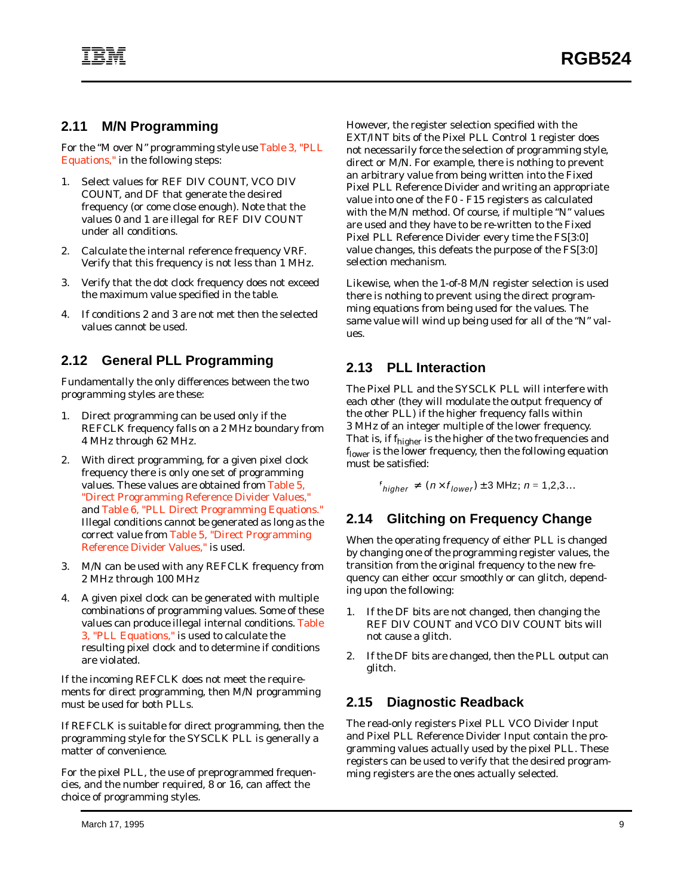#### **2.11 M/N Programming**

For the "M over N" programming style use [Table 3, "PLL](#page-11-0) [Equations,"](#page-11-0) in the following steps:

- 1. Select values for REF DIV COUNT, VCO DIV COUNT, and DF that generate the desired frequency (or come close enough). Note that the values 0 and 1 are illegal for REF DIV COUNT under all conditions.
- 2. Calculate the internal reference frequency VRF. Verify that this frequency is not less than 1 MHz.
- 3. Verify that the dot clock frequency does not exceed the maximum value specified in the table.
- 4. If conditions 2 and 3 are not met then the selected values cannot be used.

## **2.12 General PLL Programming**

Fundamentally the only differences between the two programming styles are these:

- 1. Direct programming can be used only if the REFCLK frequency falls on a 2 MHz boundary from 4 MHz through 62 MHz.
- 2. With direct programming, for a given pixel clock frequency there is only one set of programming values. These values are obtained from [Table 5,](#page-13-0) ["Direct Programming Reference Divider Values,"](#page-13-0) and [Table 6, "PLL Direct Programming Equations."](#page-13-0) Illegal conditions cannot be generated as long as the correct value from [Table 5, "Direct Programming](#page-13-0) [Reference Divider Values,"](#page-13-0) is used.
- 3. M/N can be used with any REFCLK frequency from 2 MHz through 100 MHz
- 4. A given pixel clock can be generated with multiple combinations of programming values. Some of these values can produce illegal internal conditions. [Table](#page-11-0) [3, "PLL Equations,"](#page-11-0) is used to calculate the resulting pixel clock and to determine if conditions are violated.

If the incoming REFCLK does not meet the requirements for direct programming, then M/N programming must be used for both PLLs.

If REFCLK is suitable for direct programming, then the programming style for the SYSCLK PLL is generally a matter of convenience.

For the pixel PLL, the use of preprogrammed frequencies, and the number required, 8 or 16, can affect the choice of programming styles.

However, the register selection specified with the EXT/INT bits of the Pixel PLL Control 1 register does not necessarily force the selection of programming style, direct or M/N. For example, there is nothing to prevent an arbitrary value from being written into the Fixed Pixel PLL Reference Divider and writing an appropriate value into one of the F0 - F15 registers as calculated with the M/N method. Of course, if multiple "N" values are used and they have to be re-written to the Fixed Pixel PLL Reference Divider every time the FS[3:0] value changes, this defeats the purpose of the FS[3:0] selection mechanism.

Likewise, when the 1-of-8 M/N register selection is used there is nothing to prevent using the direct programming equations from being used for the values. The same value will wind up being used for all of the "N" values.

## **2.13 PLL Interaction**

The Pixel PLL and the SYSCLK PLL will interfere with each other (they will modulate the output frequency of the other PLL) if the higher frequency falls within 3 MHz of an integer multiple of the lower frequency. That is, if f<sub>higher</sub> is the higher of the two frequencies and f<sub>lower</sub> is the lower frequency, then the following equation must be satisfied:

$$
f_{higher} \neq (n \times f_{lower}) \pm 3 \text{ MHz}; n = 1, 2, 3...
$$

## **2.14 Glitching on Frequency Change**

When the operating frequency of either PLL is changed by changing one of the programming register values, the transition from the original frequency to the new frequency can either occur smoothly or can glitch, depending upon the following:

- 1. If the DF bits are not changed, then changing the REF DIV COUNT and VCO DIV COUNT bits will not cause a glitch.
- 2. If the DF bits are changed, then the PLL output can glitch.

## **2.15 Diagnostic Readback**

The read-only registers Pixel PLL VCO Divider Input and Pixel PLL Reference Divider Input contain the programming values actually used by the pixel PLL. These registers can be used to verify that the desired programming registers are the ones actually selected.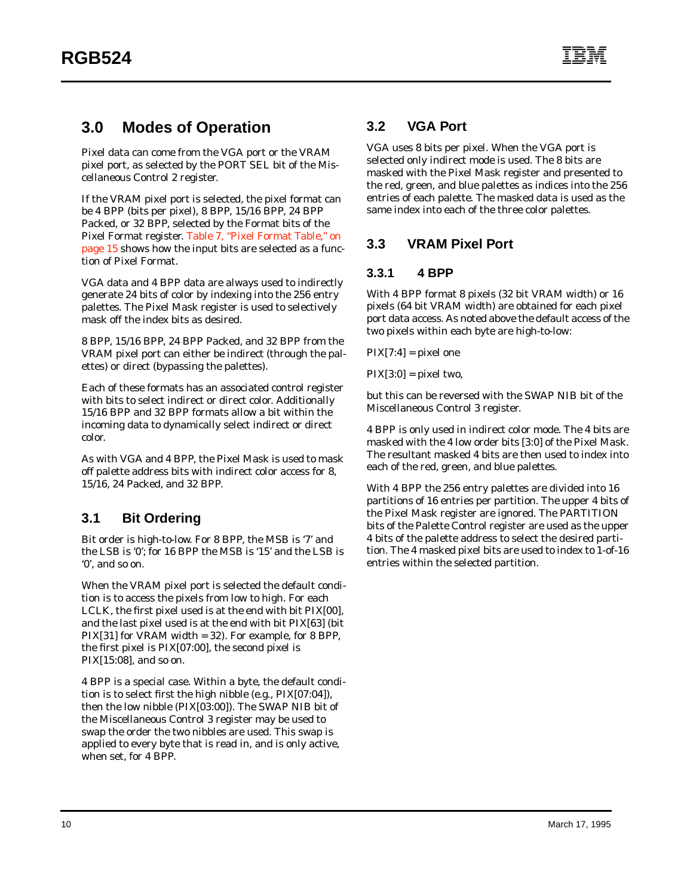# **3.0 Modes of Operation**

Pixel data can come from the VGA port or the VRAM pixel port, as selected by the PORT SEL bit of the Miscellaneous Control 2 register.

If the VRAM pixel port is selected, the pixel format can be 4 BPP (bits per pixel), 8 BPP, 15/16 BPP, 24 BPP Packed, or 32 BPP, selected by the Format bits of the Pixel Format register. [Table 7, "Pixel Format Table," on](#page-20-0) [page 15](#page-20-0) shows how the input bits are selected as a function of Pixel Format.

VGA data and 4 BPP data are always used to indirectly generate 24 bits of color by indexing into the 256 entry palettes. The Pixel Mask register is used to selectively mask off the index bits as desired.

8 BPP, 15/16 BPP, 24 BPP Packed, and 32 BPP from the VRAM pixel port can either be indirect (through the palettes) or direct (bypassing the palettes).

Each of these formats has an associated control register with bits to select indirect or direct color. Additionally 15/16 BPP and 32 BPP formats allow a bit within the incoming data to dynamically select indirect or direct color.

As with VGA and 4 BPP, the Pixel Mask is used to mask off palette address bits with indirect color access for 8, 15/16, 24 Packed, and 32 BPP.

# **3.1 Bit Ordering**

Bit order is high-to-low. For 8 BPP, the MSB is '7' and the LSB is '0'; for 16 BPP the MSB is '15' and the LSB is '0', and so on.

When the VRAM pixel port is selected the default condition is to access the pixels from low to high. For each LCLK, the first pixel used is at the end with bit PIX[00], and the last pixel used is at the end with bit PIX[63] (bit PIX[31] for VRAM width = 32). For example, for 8 BPP, the first pixel is PIX[07:00], the second pixel is PIX[15:08], and so on.

4 BPP is a special case. Within a byte, the default condition is to select first the high nibble (e.g., PIX[07:04]), then the low nibble (PIX[03:00]). The SWAP NIB bit of the Miscellaneous Control 3 register may be used to swap the order the two nibbles are used. This swap is applied to every byte that is read in, and is only active, when set, for 4 BPP.

# **3.2 VGA Port**

VGA uses 8 bits per pixel. When the VGA port is selected only indirect mode is used. The 8 bits are masked with the Pixel Mask register and presented to the red, green, and blue palettes as indices into the 256 entries of each palette. The masked data is used as the same index into each of the three color palettes.

## **3.3 VRAM Pixel Port**

#### **3.3.1 4 BPP**

With 4 BPP format 8 pixels (32 bit VRAM width) or 16 pixels (64 bit VRAM width) are obtained for each pixel port data access. As noted above the default access of the two pixels within each byte are high-to-low:

 $PIX[7:4] = pixel$  one

 $PIX[3:0] = pixel two,$ 

but this can be reversed with the SWAP NIB bit of the Miscellaneous Control 3 register.

4 BPP is only used in indirect color mode. The 4 bits are masked with the 4 low order bits [3:0] of the Pixel Mask. The resultant masked 4 bits are then used to index into each of the red, green, and blue palettes.

With 4 BPP the 256 entry palettes are divided into 16 partitions of 16 entries per partition. The upper 4 bits of the Pixel Mask register are ignored. The PARTITION bits of the Palette Control register are used as the upper 4 bits of the palette address to select the desired partition. The 4 masked pixel bits are used to index to 1-of-16 entries within the selected partition.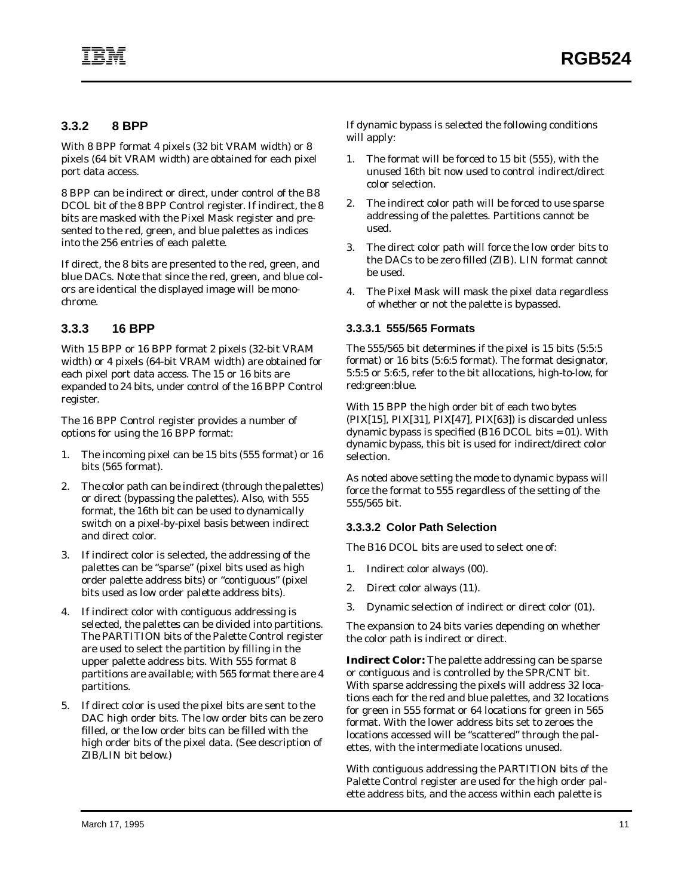#### **3.3.2 8 BPP**

With 8 BPP format 4 pixels (32 bit VRAM width) or 8 pixels (64 bit VRAM width) are obtained for each pixel port data access.

8 BPP can be indirect or direct, under control of the B8 DCOL bit of the 8 BPP Control register. If indirect, the 8 bits are masked with the Pixel Mask register and presented to the red, green, and blue palettes as indices into the 256 entries of each palette.

If direct, the 8 bits are presented to the red, green, and blue DACs. Note that since the red, green, and blue colors are identical the displayed image will be monochrome.

#### **3.3.3 16 BPP**

With 15 BPP or 16 BPP format 2 pixels (32-bit VRAM width) or 4 pixels (64-bit VRAM width) are obtained for each pixel port data access. The 15 or 16 bits are expanded to 24 bits, under control of the 16 BPP Control register.

The 16 BPP Control register provides a number of options for using the 16 BPP format:

- 1. The incoming pixel can be 15 bits (555 format) or 16 bits (565 format).
- 2. The color path can be indirect (through the palettes) or direct (bypassing the palettes). Also, with 555 format, the 16th bit can be used to dynamically switch on a pixel-by-pixel basis between indirect and direct color.
- 3. If indirect color is selected, the addressing of the palettes can be "sparse" (pixel bits used as high order palette address bits) or "contiguous" (pixel bits used as low order palette address bits).
- 4. If indirect color with contiguous addressing is selected, the palettes can be divided into partitions. The PARTITION bits of the Palette Control register are used to select the partition by filling in the upper palette address bits. With 555 format 8 partitions are available; with 565 format there are 4 partitions.
- 5. If direct color is used the pixel bits are sent to the DAC high order bits. The low order bits can be zero filled, or the low order bits can be filled with the high order bits of the pixel data. (See description of ZIB/LIN bit below.)

If dynamic bypass is selected the following conditions will apply:

- 1. The format will be forced to 15 bit (555), with the unused 16th bit now used to control indirect/direct color selection.
- 2. The indirect color path will be forced to use sparse addressing of the palettes. Partitions cannot be used.
- 3. The direct color path will force the low order bits to the DACs to be zero filled (ZIB). LIN format cannot be used.
- 4. The Pixel Mask will mask the pixel data regardless of whether or not the palette is bypassed.

#### **3.3.3.1 555/565 Formats**

The 555/565 bit determines if the pixel is 15 bits (5:5:5 format) or 16 bits (5:6:5 format). The format designator, 5:5:5 or 5:6:5, refer to the bit allocations, high-to-low, for red:green:blue.

With 15 BPP the high order bit of each two bytes (PIX[15], PIX[31], PIX[47], PIX[63]) is discarded unless dynamic bypass is specified (B16 DCOL bits  $= 01$ ). With dynamic bypass, this bit is used for indirect/direct color selection.

As noted above setting the mode to dynamic bypass will force the format to 555 regardless of the setting of the 555/565 bit.

#### **3.3.3.2 Color Path Selection**

The B16 DCOL bits are used to select one of:

- 1. Indirect color always (00).
- 2. Direct color always (11).
- 3. Dynamic selection of indirect or direct color (01).

The expansion to 24 bits varies depending on whether the color path is indirect or direct.

**Indirect Color:** The palette addressing can be sparse or contiguous and is controlled by the SPR/CNT bit. With sparse addressing the pixels will address 32 locations each for the red and blue palettes, and 32 locations for green in 555 format or 64 locations for green in 565 format. With the lower address bits set to zeroes the locations accessed will be "scattered" through the palettes, with the intermediate locations unused.

With contiguous addressing the PARTITION bits of the Palette Control register are used for the high order palette address bits, and the access within each palette is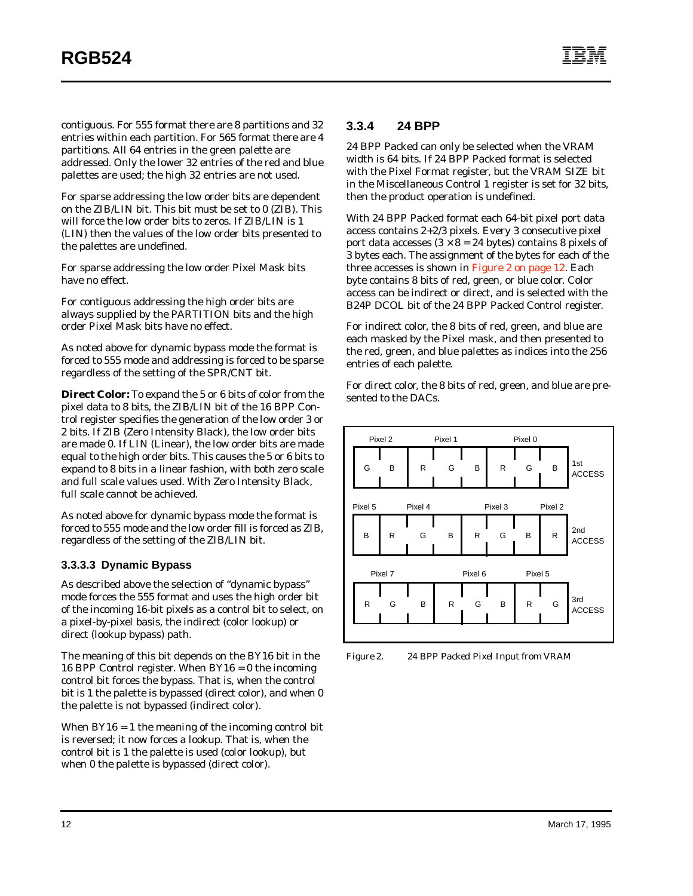contiguous. For 555 format there are 8 partitions and 32 entries within each partition. For 565 format there are 4 partitions. All 64 entries in the green palette are addressed. Only the lower 32 entries of the red and blue palettes are used; the high 32 entries are not used.

For sparse addressing the low order bits are dependent on the ZIB/LIN bit. This bit *must* be set to 0 (ZIB). This will force the low order bits to zeros. If ZIB/LIN is 1 (LIN) then the values of the low order bits presented to the palettes are undefined.

For sparse addressing the low order Pixel Mask bits have no effect.

For contiguous addressing the high order bits are always supplied by the PARTITION bits and the high order Pixel Mask bits have no effect.

As noted above for dynamic bypass mode the format is forced to 555 mode and addressing is forced to be sparse regardless of the setting of the SPR/CNT bit.

**Direct Color:** To expand the 5 or 6 bits of color from the pixel data to 8 bits, the ZIB/LIN bit of the 16 BPP Control register specifies the generation of the low order 3 or 2 bits. If ZIB (Zero Intensity Black), the low order bits are made 0. If LIN (Linear), the low order bits are made equal to the high order bits. This causes the 5 or 6 bits to expand to 8 bits in a linear fashion, with both zero scale and full scale values used. With Zero Intensity Black, full scale cannot be achieved.

As noted above for dynamic bypass mode the format is forced to 555 mode and the low order fill is forced as ZIB, regardless of the setting of the ZIB/LIN bit.

#### **3.3.3.3 Dynamic Bypass**

As described above the selection of "dynamic bypass" mode forces the 555 format and uses the high order bit of the incoming 16-bit pixels as a control bit to select, on a pixel-by-pixel basis, the indirect (color lookup) or direct (lookup bypass) path.

The meaning of this bit depends on the BY16 bit in the 16 BPP Control register. When  $BY16 = 0$  the incoming control bit forces the bypass. That is, when the control bit is 1 the palette is bypassed (direct color), and when 0 the palette is not bypassed (indirect color).

When  $BY16 = 1$  the meaning of the incoming control bit is reversed; it now forces a lookup. That is, when the control bit is 1 the palette is used (color lookup), but when 0 the palette is bypassed (direct color).

#### **3.3.4 24 BPP**

24 BPP Packed can only be selected when the VRAM width is 64 bits. If 24 BPP Packed format is selected with the Pixel Format register, but the VRAM SIZE bit in the Miscellaneous Control 1 register is set for 32 bits, then the product operation is undefined.

With 24 BPP Packed format each 64-bit pixel port data access contains 2+2/3 pixels. Every 3 consecutive pixel port data accesses  $(3 \times 8 = 24$  bytes) contains 8 pixels of 3 bytes each. The assignment of the bytes for each of the three accesses is shown in Figure 2 on page 12. Each byte contains 8 bits of red, green, or blue color. Color access can be indirect or direct, and is selected with the B24P DCOL bit of the 24 BPP Packed Control register.

For indirect color, the 8 bits of red, green, and blue are each masked by the Pixel mask, and then presented to the red, green, and blue palettes as indices into the 256 entries of each palette.

For direct color, the 8 bits of red, green, and blue are presented to the DACs.



*Figure 2. 24 BPP Packed Pixel Input from VRAM*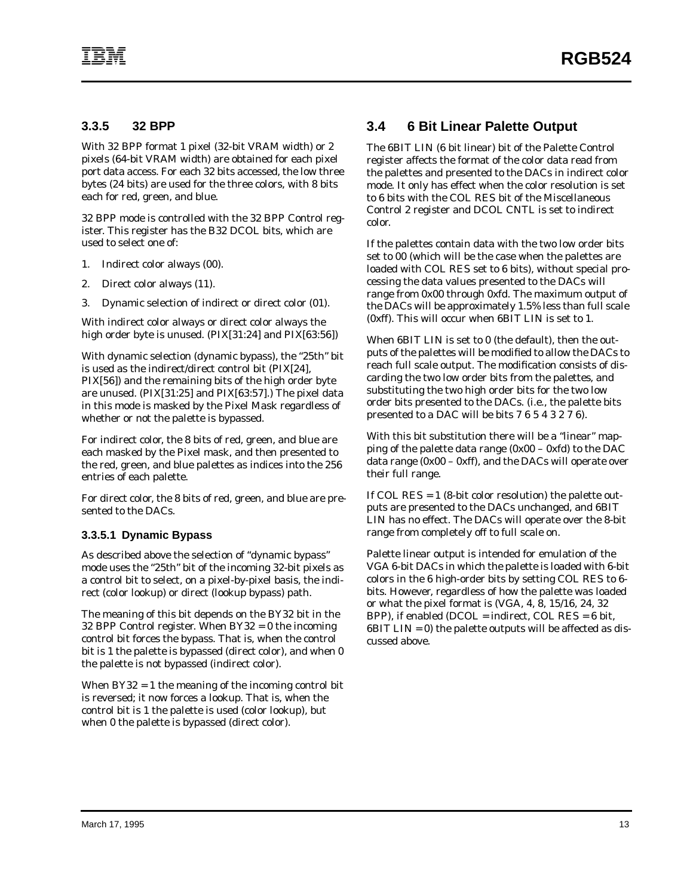#### **3.3.5 32 BPP**

With 32 BPP format 1 pixel (32-bit VRAM width) or 2 pixels (64-bit VRAM width) are obtained for each pixel port data access. For each 32 bits accessed, the low three bytes (24 bits) are used for the three colors, with 8 bits each for red, green, and blue.

32 BPP mode is controlled with the 32 BPP Control register. This register has the B32 DCOL bits, which are used to select one of:

- 1. Indirect color always (00).
- 2. Direct color always (11).
- 3. Dynamic selection of indirect or direct color (01).

With indirect color always or direct color always the high order byte is unused. (PIX[31:24] and PIX[63:56])

With dynamic selection (dynamic bypass), the "25th" bit is used as the indirect/direct control bit (PIX[24], PIX[56]) and the remaining bits of the high order byte are unused. (PIX[31:25] and PIX[63:57].) The pixel data in this mode is masked by the Pixel Mask regardless of whether or not the palette is bypassed.

For indirect color, the 8 bits of red, green, and blue are each masked by the Pixel mask, and then presented to the red, green, and blue palettes as indices into the 256 entries of each palette.

For direct color, the 8 bits of red, green, and blue are presented to the DACs.

#### **3.3.5.1 Dynamic Bypass**

As described above the selection of "dynamic bypass" mode uses the "25th" bit of the incoming 32-bit pixels as a control bit to select, on a pixel-by-pixel basis, the indirect (color lookup) or direct (lookup bypass) path.

The meaning of this bit depends on the BY32 bit in the 32 BPP Control register. When BY32 = 0 the incoming control bit forces the bypass. That is, when the control bit is 1 the palette is bypassed (direct color), and when 0 the palette is not bypassed (indirect color).

When BY32 = 1 the meaning of the incoming control bit is reversed; it now forces a lookup. That is, when the control bit is 1 the palette is used (color lookup), but when 0 the palette is bypassed (direct color).

## **3.4 6 Bit Linear Palette Output**

The 6BIT LIN (6 bit linear) bit of the Palette Control register affects the format of the color data read from the palettes and presented to the DACs in indirect color mode. It only has effect when the color resolution is set to 6 bits with the COL RES bit of the Miscellaneous Control 2 register and DCOL CNTL is set to indirect color.

If the palettes contain data with the two low order bits set to 00 (which will be the case when the palettes are loaded with COL RES set to 6 bits), without special processing the data values presented to the DACs will range from 0x00 through 0xfd. The maximum output of the DACs will be approximately 1.5% less than full scale (0xff). This will occur when 6BIT LIN is set to 1.

When 6BIT LIN is set to 0 (the default), then the outputs of the palettes will be modified to allow the DACs to reach full scale output. The modification consists of discarding the two low order bits from the palettes, and substituting the two high order bits for the two low order bits presented to the DACs. (i.e., the palette bits presented to a DAC will be bits 7 6 5 4 3 2 7 6).

With this bit substitution there will be a "linear" mapping of the palette data range (0x00 – 0xfd) to the DAC data range (0x00 – 0xff), and the DACs will operate over their full range.

If COL RES = 1 (8-bit color resolution) the palette outputs are presented to the DACs unchanged, and 6BIT LIN has no effect. The DACs will operate over the 8-bit range from completely off to full scale on.

Palette linear output is intended for emulation of the VGA 6-bit DACs in which the palette is loaded with 6-bit colors in the 6 high-order bits by setting COL RES to 6 bits. However, regardless of how the palette was loaded or what the pixel format is (VGA, 4, 8, 15/16, 24, 32 BPP), if enabled (DCOL = indirect, COL RES = 6 bit,  $6BIT$  LIN = 0) the palette outputs will be affected as discussed above.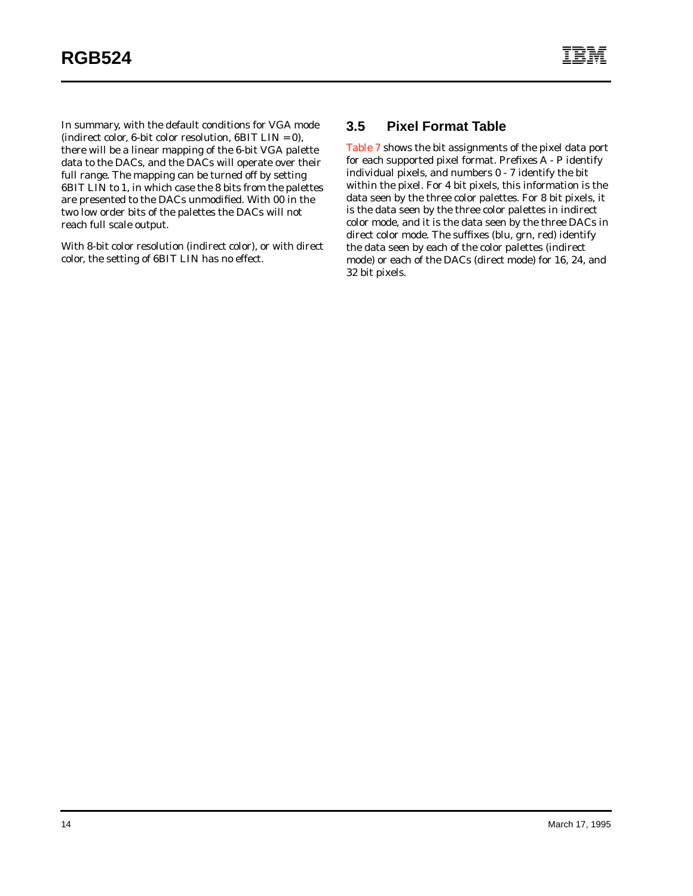In summary, with the default conditions for VGA mode (indirect color, 6-bit color resolution,  $6BIT$  LIN = 0), there will be a linear mapping of the 6-bit VGA palette data to the DACs, and the DACs will operate over their full range. The mapping can be turned off by setting 6BIT LIN to 1, in which case the 8 bits from the palettes are presented to the DACs unmodified. With 00 in the two low order bits of the palettes the DACs will not reach full scale output.

With 8-bit color resolution (indirect color), or with direct color, the setting of 6BIT LIN has no effect.

#### **3.5 Pixel Format Table**

[Table 7](#page-20-0) shows the bit assignments of the pixel data port for each supported pixel format. Prefixes A - P identify individual pixels, and numbers 0 - 7 identify the bit within the pixel. For 4 bit pixels, this information is the data seen by the three color palettes. For 8 bit pixels, it is the data seen by the three color palettes in indirect color mode, and it is the data seen by the three DACs in direct color mode. The suffixes (blu, grn, red) identify the data seen by each of the color palettes (indirect mode) or each of the DACs (direct mode) for 16, 24, and 32 bit pixels.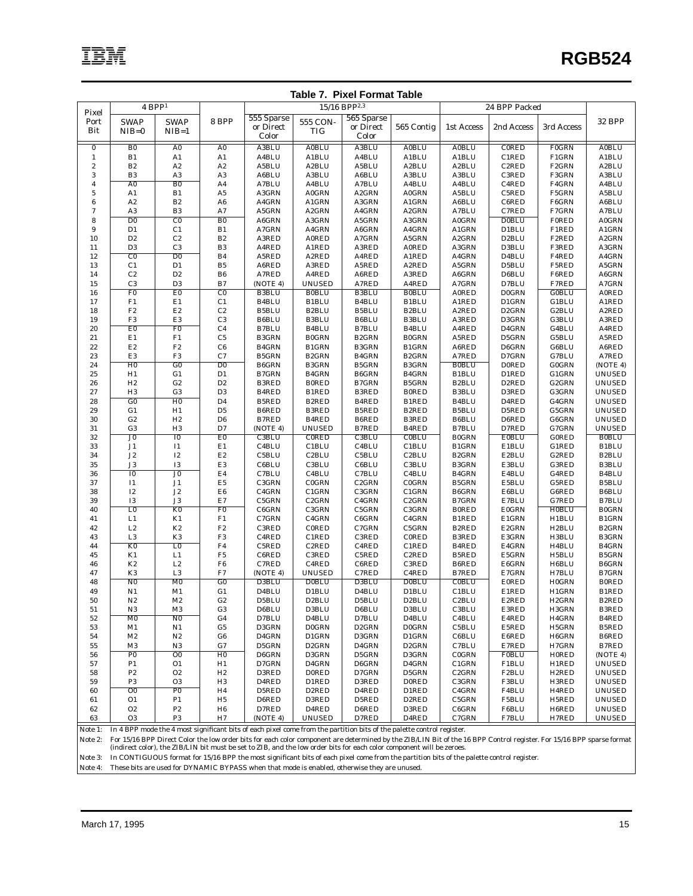<span id="page-20-0"></span>

| <b>Table 7. Pixel Format Table</b> |                      |                         |                                                           |                       |                              |                             |                             |                                    |                             |                       |                                |
|------------------------------------|----------------------|-------------------------|-----------------------------------------------------------|-----------------------|------------------------------|-----------------------------|-----------------------------|------------------------------------|-----------------------------|-----------------------|--------------------------------|
|                                    |                      | $4$ BPP <sup>1</sup>    |                                                           |                       |                              | 15/16 BPP <sup>2,3</sup>    |                             |                                    | 24 BPP Packed               |                       |                                |
| Pixel<br>Port                      | <b>SWAP</b>          | <b>SWAP</b>             | 8 BPP                                                     | 555 Sparse            | 555 CON-                     | 565 Sparse                  |                             |                                    |                             |                       | 32 BPP                         |
| Bit                                | $NIB=0$              | $NIB=1$                 |                                                           | or Direct             | <b>TIG</b>                   | or Direct                   | 565 Contig                  | 1st Access                         | 2nd Access                  | 3rd Access            |                                |
|                                    |                      |                         |                                                           | Color                 |                              | Color                       |                             |                                    |                             |                       |                                |
| $\bf{0}$                           | ${\bf B0}$           | ${\bf A0}$              | ${\bf A0}$                                                | A3BLU                 | <b>A0BLU</b>                 | A3BLU                       | <b>A0BLU</b>                | <b>A0BLU</b>                       | <b>CORED</b>                | <b>F0GRN</b>          | <b>A0BLU</b>                   |
| $\mathbf{1}$                       | B1                   | A1                      | A1                                                        | A4BLU                 | A1BLU                        | A4BLU                       | A1BLU                       | A1BLU                              | C1RED                       | F1GRN                 | A1BLU                          |
| $\boldsymbol{2}$                   | $\mathbf{B2}$        | $\mathbf{A2}$           | $\mathbf{A2}$                                             | A5BLU                 | A <sub>2</sub> BLU           | A5BLU                       | A2BLU                       | A <sub>2</sub> BLU                 | C <sub>2</sub> RED          | F <sub>2</sub> GRN    | A2BLU                          |
| 3                                  | B <sub>3</sub>       | A3<br>B <sub>0</sub>    | $_{\rm A3}$                                               | A6BLU                 | A3BLU                        | A6BLU                       | A3BLU                       | A3BLU                              | C3RED                       | F3GRN                 | A3BLU                          |
| $\overline{\bf 4}$<br>$\mathbf 5$  | A <sub>0</sub><br>A1 | B1                      | A4<br>A5                                                  | A7BLU<br>A3GRN        | A4BLU<br><b>A0GRN</b>        | A7BLU<br>A <sub>2</sub> GRN | A4BLU<br><b>A0GRN</b>       | A4BLU<br>A5BLU                     | C <sub>4</sub> RED<br>C5RED | F4GRN<br>F5GRN        | A4BLU<br>A5BLU                 |
| 6                                  | A2                   | $_{\rm B2}$             | A <sub>6</sub>                                            | A4GRN                 | A1GRN                        | A3GRN                       | A1GRN                       | A6BLU                              | C6RED                       | F6GRN                 | A6BLU                          |
| $\boldsymbol{7}$                   | A <sub>3</sub>       | B <sub>3</sub>          | A7                                                        | A5GRN                 | A <sub>2</sub> GRN           | A4GRN                       | A <sub>2</sub> GRN          | A7BLU                              | C7RED                       | F7GRN                 | A7BLU                          |
| 8                                  | D <sub>0</sub>       | $\overline{C}0$         | B <sub>0</sub>                                            | A6GRN                 | A3GRN                        | A5GRN                       | A3GRN                       | <b>A0GRN</b>                       | <b>D0BLU</b>                | <b>F0RED</b>          | <b>A0GRN</b>                   |
| 9                                  | D1                   | C1                      | B1                                                        | A7GRN                 | A4GRN                        | A6GRN                       | A4GRN                       | A1GRN                              | D1BLU                       | F1RED                 | A1GRN                          |
| 10                                 | D <sub>2</sub>       | C2                      | $_{\rm B2}$                                               | A3RED                 | <b>A0RED</b>                 | A7GRN                       | A5GRN                       | A <sub>2</sub> GRN                 | D <sub>2</sub> BLU          | F <sub>2</sub> RED    | A <sub>2</sub> GRN             |
| 11                                 | D <sub>3</sub>       | C <sub>3</sub>          | $_{\rm B3}$                                               | A4RED                 | A1RED                        | A3RED                       | <b>A0RED</b>                | A3GRN                              | D3BLU                       | F3RED                 | A3GRN                          |
| 12                                 | $\overline{c}$       | $\overline{D0}$         | $_{\rm B4}$                                               | A5RED                 | A2RED                        | A4RED                       | A1RED                       | A4GRN                              | D <sub>4</sub> BLU          | F4RED                 | A4GRN                          |
| 13                                 | C1<br>$\rm C2$       | D1<br>$\mathbf{D2}$     | $_{\rm B5}$<br>$_{\rm B6}$                                | A6RED<br>A7RED        | A3RED                        | A5RED                       | A2RED                       | A5GRN<br>A6GRN                     | D5BLU                       | F5RED                 | A5GRN<br>A6GRN                 |
| 14<br>15                           | C <sub>3</sub>       | D <sub>3</sub>          | B7                                                        | (NOTE 4)              | A4RED<br><b>UNUSED</b>       | A6RED<br>A7RED              | A3RED<br>A4RED              | A7GRN                              | D6BLU<br>D7BLU              | F6RED<br>F7RED        | A7GRN                          |
| 16                                 | F <sub>0</sub>       | E <sub>0</sub>          | C <sub>0</sub>                                            | <b>B3BLU</b>          | <b>B0BLU</b>                 | <b>B3BLU</b>                | <b>B0BLU</b>                | <b>A0RED</b>                       | <b>D0GRN</b>                | <b>G0BLU</b>          | <b>A0RED</b>                   |
| 17                                 | F1                   | E1                      | C1                                                        | B4BLU                 | B1BLU                        | B4BLU                       | B1BLU                       | A1RED                              | D1GRN                       | G1BLU                 | A1RED                          |
| 18                                 | ${\rm F}2$           | $\mathop{\rm E{2}}$     | $\rm C2$                                                  | B5BLU                 | B <sub>2</sub> BLU           | B5BLU                       | B <sub>2</sub> BLU          | A2RED                              | D <sub>2</sub> GRN          | G2BLU                 | A2RED                          |
| 19                                 | F3                   | E <sub>3</sub>          | C <sub>3</sub>                                            | B6BLU                 | B3BLU                        | B6BLU                       | B3BLU                       | A3RED                              | D3GRN                       | G3BLU                 | A3RED                          |
| 20                                 | E <sub>0</sub>       | F <sub>0</sub>          | C <sub>4</sub>                                            | <b>B7BLU</b>          | <b>B4BLU</b>                 | B7BLU                       | <b>B4BLU</b>                | A4RED                              | D4GRN                       | G4BLU                 | A4RED                          |
| 21                                 | E1                   | ${\rm F1}$              | C <sub>5</sub>                                            | <b>B3GRN</b>          | <b>B0GRN</b>                 | B <sub>2</sub> GRN          | <b>B0GRN</b>                | A5RED                              | D5GRN                       | G5BLU                 | A5RED                          |
| $2\sqrt{2}$                        | $\rm E2$             | $_{\rm F2}$             | C6                                                        | B4GRN                 | <b>B1GRN</b>                 | B3GRN                       | B1GRN                       | A6RED                              | D6GRN                       | G6BLU                 | A6RED                          |
| 23                                 | E <sub>3</sub>       | F3                      | C7                                                        | <b>B5GRN</b>          | <b>B2GRN</b>                 | B4GRN                       | B <sub>2</sub> GRN          | A7RED                              | D7GRN                       | G7BLU                 | A7RED                          |
| 24                                 | H <sub>0</sub>       | G0                      | $\overline{D0}$                                           | B6GRN                 | <b>B3GRN</b>                 | <b>B5GRN</b>                | B3GRN                       | <b>B0BLU</b>                       | <b>D0RED</b>                | <b>G0GRN</b>          | (NOTE 4)                       |
| 25<br>26                           | H1<br>$_{\rm H2}$    | G1<br>${\bf G2}$        | D1<br>D <sub>2</sub>                                      | B7GRN<br><b>B3RED</b> | <b>B4GRN</b><br><b>B0RED</b> | B6GRN<br>B7GRN              | B4GRN<br><b>B5GRN</b>       | B1BLU<br>B <sub>2</sub> BLU        | D1RED<br>D <sub>2</sub> RED | G1GRN<br>G2GRN        | <b>UNUSED</b><br><b>UNUSED</b> |
| 27                                 | H3                   | G3                      | D <sub>3</sub>                                            | B4RED                 | B1RED                        | <b>B3RED</b>                | <b>B0RED</b>                | B3BLU                              | D3RED                       | G3GRN                 | <b>UNUSED</b>                  |
| 28                                 | G <sub>0</sub>       | H <sub>0</sub>          | D4                                                        | <b>B5RED</b>          | B <sub>2</sub> RED           | B4RED                       | B1RED                       | B <sub>4</sub> BLU                 | D <sub>4</sub> RED          | G4GRN                 | <b>UNUSED</b>                  |
| 29                                 | G1                   | H1                      | D <sub>5</sub>                                            | B6RED                 | <b>B3RED</b>                 | B5RED                       | B <sub>2</sub> RED          | <b>B5BLU</b>                       | D5RED                       | G5GRN                 | <b>UNUSED</b>                  |
| 30                                 | ${\bf G2}$           | H2                      | $\mathbf{D6}$                                             | <b>B7RED</b>          | B4RED                        | B6RED                       | <b>B3RED</b>                | B6BLU                              | D6RED                       | G6GRN                 | <b>UNUSED</b>                  |
| 31                                 | G3                   | H3                      | D7                                                        | (NOTE 4)              | <b>UNUSED</b>                | B7RED                       | B4RED                       | <b>B7BLU</b>                       | D7RED                       | G7GRN                 | <b>UNUSED</b>                  |
| 32                                 | $_{\rm J0}$          | $\overline{10}$         | E <sub>0</sub>                                            | C3BLU                 | <b>CORED</b>                 | C3BLU                       | <b>COBLU</b>                | <b>B0GRN</b>                       | <b>E0BLU</b>                | <b>GORED</b>          | <b>B0BLU</b>                   |
| 33                                 | J1                   | $_{\rm I1}$             | E1                                                        | C <sub>4</sub> BLU    | C1BLU                        | C <sub>4</sub> BLU          | C1BLU                       | B1GRN                              | E1BLU                       | G1RED                 | B1BLU                          |
| 34<br>35                           | J2<br>J3             | ${\rm I2}$<br><b>I3</b> | $\mathop{\rm E{2}}$<br>$\mathop{\hbox{\rm E}}\nolimits 3$ | C5BLU<br>C6BLU        | C <sub>2</sub> BLU<br>C3BLU  | C5BLU<br>C6BLU              | C <sub>2</sub> BLU<br>C3BLU | B <sub>2</sub> GRN<br><b>B3GRN</b> | E2BLU<br>E3BLU              | G2RED<br>G3RED        | B <sub>2</sub> BLU<br>B3BLU    |
| 36                                 | $\overline{10}$      | $\overline{J0}$         | $\rm E4$                                                  | C7BLU                 | C <sub>4</sub> BLU           | C7BLU                       | C <sub>4</sub> BLU          | B4GRN                              | E4BLU                       | G4RED                 | B4BLU                          |
| 37                                 | $_{\rm I1}$          | $_{\rm J1}$             | $\rm E5$                                                  | C3GRN                 | <b>COGRN</b>                 | C <sub>2</sub> GRN          | <b>C0GRN</b>                | <b>B5GRN</b>                       | E5BLU                       | G5RED                 | B5BLU                          |
| 38                                 | $\mathbf{I2}$        | $_{\rm J2}$             | ${\rm E}6$                                                | C4GRN                 | $C1$ GRN                     | C3GRN                       | C1GRN                       | B6GRN                              | E6BLU                       | G6RED                 | B6BLU                          |
| 39                                 | <b>I3</b>            | J3                      | E7                                                        | C5GRN                 | C <sub>2</sub> GRN           | C4GRN                       | C <sub>2</sub> GRN          | <b>B7GRN</b>                       | E7BLU                       | G7RED                 | B7BLU                          |
| 40                                 | L <sub>0</sub>       | K <sub>0</sub>          | F <sub>0</sub>                                            | C6GRN                 | C3GRN                        | C5GRN                       | C3GRN                       | <b>B0RED</b>                       | <b>E0GRN</b>                | <b>H0BLU</b>          | <b>B0GRN</b>                   |
| 41                                 | L1                   | K1                      | $_{\rm F1}$                                               | C7GRN                 | C4GRN                        | C6GRN                       | C4GRN                       | B1RED                              | E1GRN                       | H1BLU                 | B1GRN                          |
| 42                                 | $_{\rm L2}$          | $\rm K2$                | $_{\rm F2}$                                               | C3RED                 | <b>CORED</b>                 | C7GRN                       | C5GRN                       | B <sub>2</sub> RED                 | E2GRN                       | H <sub>2</sub> BLU    | B <sub>2</sub> GRN             |
| 43                                 | L <sub>3</sub>       | K3                      | $_{\rm F3}$                                               | C <sub>4</sub> RED    | C1RED                        | C3RED                       | <b>CORED</b>                | <b>B3RED</b>                       | E3GRN                       | H3BLU                 | B3GRN                          |
| 44                                 | K <sub>0</sub><br>K1 | L <sub>0</sub><br>L1    | F <sub>4</sub><br>${\rm F}5$                              | C5RED<br>C6RED        | C <sub>2</sub> RED<br>C3RED  | C <sub>4</sub> RED<br>C5RED | C1RED<br>C <sub>2</sub> RED | B4RED<br><b>B5RED</b>              | E4GRN<br>E5GRN              | H4BLU<br>H5BLU        | B4GRN<br>B5GRN                 |
| 45<br>46                           | $\rm K2$             | $_{\rm L2}$             | $_{\rm F6}$                                               | C7RED                 | C <sub>4</sub> RED           | C6RED                       | C3RED                       | B6RED                              | E6GRN                       | H6BLU                 | B6GRN                          |
| 47                                 | K3                   | L <sub>3</sub>          | F7                                                        | (NOTE 4)              | <b>UNUSED</b>                | C7RED                       | C <sub>4</sub> RED          | <b>B7RED</b>                       | E7GRN                       | H7BLU                 | B7GRN                          |
| 48                                 | N <sub>0</sub>       | M <sub>0</sub>          | G0                                                        | D3BLU                 | <b>D0BLU</b>                 | D3BLU                       | <b>D0BLU</b>                | <b>COBLU</b>                       | <b>E0RED</b>                | H0GRN                 | <b>B0RED</b>                   |
| 49                                 | N1                   | M1                      | G1                                                        | D4BLU                 | D1BLU                        | D <sub>4</sub> BLU          | D1BLU                       | C1BLU                              | E1RED                       | H1GRN                 | B1RED                          |
| 50                                 | N <sub>2</sub>       | M2                      | G2                                                        | D5BLU                 | D2BLU                        | D5BLU                       | D <sub>2</sub> BLU          | C <sub>2</sub> BLU                 | E2RED                       | H <sub>2</sub> GRN    | B2RED                          |
| 51                                 | N3                   | M3                      | G3                                                        | D6BLU                 | D3BLU                        | D6BLU                       | D3BLU                       | C3BLU                              | E3RED                       | H3GRN                 | B3RED                          |
| 52                                 | M <sub>0</sub>       | N <sub>0</sub>          | G4                                                        | D7BLU                 | D <sub>4</sub> BLU           | D7BLU                       | D <sub>4</sub> BLU          | C <sub>4</sub> BLU                 | E4RED                       | H4GRN                 | B4RED                          |
| 53                                 | M1                   | N1                      | G5                                                        | D3GRN                 | <b>D0GRN</b>                 | D <sub>2</sub> GRN          | <b>D0GRN</b>                | C5BLU                              | E5RED                       | H5GRN                 | B5RED                          |
| 54                                 | M2                   | N2                      | G6                                                        | D4GRN                 | D1GRN                        | D3GRN                       | D1GRN                       | C6BLU                              | E6RED                       | H6GRN                 | B6RED                          |
| 55                                 | M3<br>P <sub>0</sub> | N3<br>$\overline{00}$   | G7<br>H <sub>0</sub>                                      | D5GRN<br>D6GRN        | D <sub>2</sub> GRN<br>D3GRN  | D4GRN<br>D5GRN              | D <sub>2</sub> GRN          | C7BLU<br><b>C0GRN</b>              | E7RED<br><b>F0BLU</b>       | H7GRN<br><b>H0RED</b> | B7RED                          |
| 56<br>57                           | P <sub>1</sub>       | 01                      | H1                                                        | D7GRN                 | D4GRN                        | D6GRN                       | D3GRN<br>D4GRN              | C1GRN                              | F1BLU                       | H1RED                 | (NOTE 4)<br><b>UNUSED</b>      |
| 58                                 | $\mathbf{P2}$        | O <sub>2</sub>          | H2                                                        | D3RED                 | <b>D0RED</b>                 | D7GRN                       | D5GRN                       | C <sub>2</sub> GRN                 | F <sub>2</sub> BLU          | H <sub>2</sub> RED    | <b>UNUSED</b>                  |
| 59                                 | P3                   | O <sub>3</sub>          | H <sub>3</sub>                                            | D4RED                 | D1RED                        | D3RED                       | <b>DORED</b>                | C3GRN                              | F3BLU                       | H3RED                 | <b>UNUSED</b>                  |
| 60                                 | 00                   | P <sub>0</sub>          | H4                                                        | D5RED                 | D <sub>2</sub> RED           | D4RED                       | D1RED                       | C4GRN                              | F4BLU                       | H4RED                 | <b>UNUSED</b>                  |
| 61                                 | 01                   | P <sub>1</sub>          | H <sub>5</sub>                                            | D6RED                 | D3RED                        | D5RED                       | D <sub>2</sub> RED          | C5GRN                              | F5BLU                       | H5RED                 | <b>UNUSED</b>                  |
| 62                                 | O <sub>2</sub>       | $\mathbf{P2}$           | H <sub>6</sub>                                            | D7RED                 | D4RED                        | D6RED                       | D3RED                       | C6GRN                              | F6BLU                       | H6RED                 | <b>UNUSED</b>                  |
| 63                                 | O <sub>3</sub>       | P <sub>3</sub>          | H7                                                        | (NOTE 4)              | <b>UNUSED</b>                | D7RED                       | D4RED                       | C7GRN                              | F7BLU                       | H7RED                 | <b>UNUSED</b>                  |

Note 1: In 4 BPP mode the 4 most significant bits of each pixel come from the partition bits of the palette control register.

Note 2: For 15/16 BPP Direct Color the low order bits for each color component are determined by the ZIB/LIN Bit of the 16 BPP Control register. For 15/16 BPP sparse format (indirect color), the ZIB/LIN bit must be set

Note 3: In CONTIGUOUS format for 15/16 BPP the most significant bits of each pixel come from the partition bits of the palette control register.

Note 4: These bits are used for DYNAMIC BYPASS when that mode is enabled, otherwise they are unused.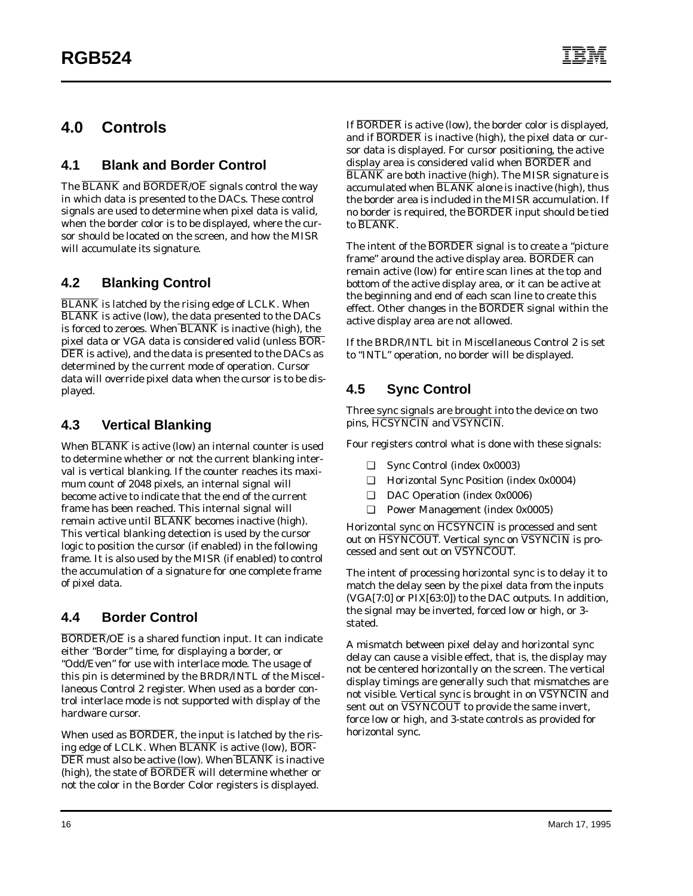# <span id="page-21-0"></span>**4.0 Controls**

## **4.1 Blank and Border Control**

The BLANK and BORDER/OE signals control the way in which data is presented to the DACs. These control signals are used to determine when pixel data is valid, when the border color is to be displayed, where the cursor should be located on the screen, and how the MISR will accumulate its signature.

# **4.2 Blanking Control**

BLANK is latched by the rising edge of LCLK. When BLANK is active (low), the data presented to the DACs is forced to zeroes. When  $\overline{\text{BLANK}}$  is inactive (high), the pixel data or VGA data is considered valid (unless BOR-DER is active), and the data is presented to the DACs as determined by the current mode of operation. Cursor data will override pixel data when the cursor is to be displayed.

# **4.3 Vertical Blanking**

When BLANK is active (low) an internal counter is used to determine whether or not the current blanking interval is vertical blanking. If the counter reaches its maximum count of 2048 pixels, an internal signal will become active to indicate that the end of the current frame has been reached. This internal signal will remain active until BLANK becomes inactive (high). This vertical blanking detection is used by the cursor logic to position the cursor (if enabled) in the following frame. It is also used by the MISR (if enabled) to control the accumulation of a signature for one complete frame of pixel data.

## **4.4 Border Control**

 $\overline{BORDER}/\overline{OE}$  is a shared function input. It can indicate either "Border" time, for displaying a border, or "Odd/Even" for use with interlace mode. The usage of this pin is determined by the BRDR/INTL of the Miscellaneous Control 2 register. When used as a border control interlace mode is not supported with display of the hardware cursor.

When used as BORDER, the input is latched by the rising edge of LCLK. When  $\overline{\text{BLANK}}$  is active (low),  $\overline{\text{BOR-}}$ DER must also be active (low). When BLANK is inactive (high), the state of BORDER will determine whether or not the color in the Border Color registers is displayed.

If BORDER is active (low), the border color is displayed, and if BORDER is inactive (high), the pixel data or cursor data is displayed. For cursor positioning, the active display area is considered valid when BORDER and BLANK are both inactive (high). The MISR signature is accumulated when  $\overline{\text{BLANK}}$  alone is inactive (high), thus the border area is included in the MISR accumulation. If no border is required, the BORDER input should be tied to BLANK.

The intent of the BORDER signal is to create a "picture" frame" around the active display area. BORDER can remain active (low) for entire scan lines at the top and bottom of the active display area, or it can be active at the beginning and end of each scan line to create this effect. Other changes in the BORDER signal within the active display area are not allowed.

If the BRDR/INTL bit in Miscellaneous Control 2 is set to "INTL" operation, no border will be displayed.

# **4.5 Sync Control**

Three sync signals are brought into the device on two pins, HCSYNCIN and VSYNCIN.

Four registers control what is done with these signals:

- ❑ Sync Control (index 0x0003)
- ❑ Horizontal Sync Position (index 0x0004)
- ❑ DAC Operation (index 0x0006)
- ❑ Power Management (index 0x0005)

Horizontal sync on  $\overline{\text{HCSYNCIN}}$  is processed and sent out on HSYNCOUT. Vertical sync on VSYNCIN is processed and sent out on VSYNCOUT.

The intent of processing horizontal sync is to delay it to match the delay seen by the pixel data from the inputs (VGA[7:0] or PIX[63:0]) to the DAC outputs. In addition, the signal may be inverted, forced low or high, or 3 stated.

A mismatch between pixel delay and horizontal sync delay can cause a visible effect, that is, the display may not be centered horizontally on the screen. The vertical display timings are generally such that mismatches are not visible. Vertical sync is brought in on  $\overline{\text{VSYNCIN}}$  and sent out on  $\overline{\text{VSYNCOUT}}$  to provide the same invert, force low or high, and 3-state controls as provided for horizontal sync.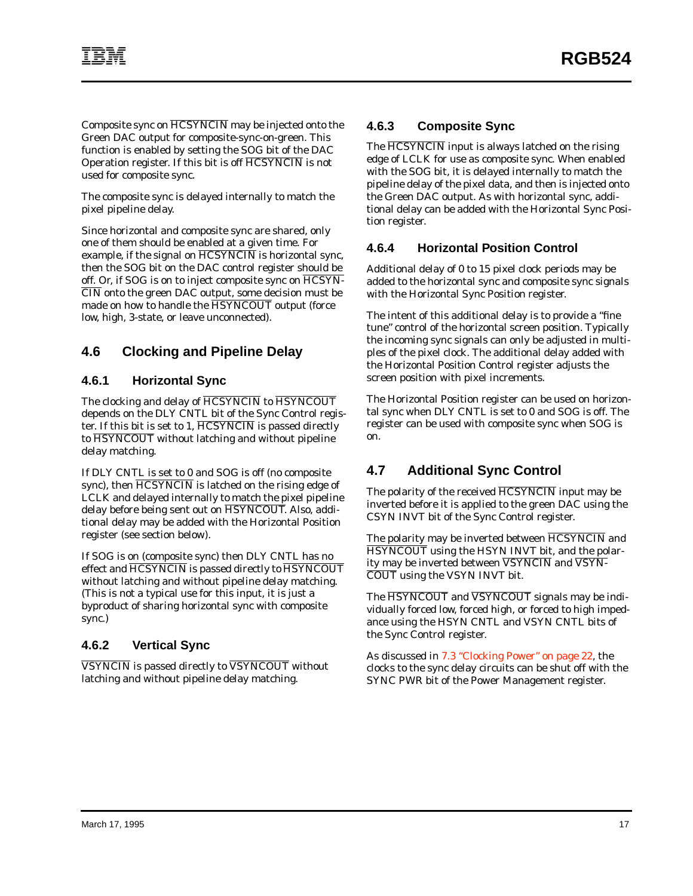Composite sync on HCSYNCIN may be injected onto the Green DAC output for composite-sync-on-green. This function is enabled by setting the SOG bit of the DAC Operation register. If this bit is off HCSYNCIN is not used for composite sync.

The composite sync is delayed internally to match the pixel pipeline delay.

Since horizontal and composite sync are shared, only one of them should be enabled at a given time. For example, if the signal on HCSYNCIN is horizontal sync, then the SOG bit on the DAC control register should be off. Or, if SOG is on to inject composite sync on HCSYN-CIN onto the green DAC output, some decision must be made on how to handle the HSYNCOUT output (force low, high, 3-state, or leave unconnected).

# **4.6 Clocking and Pipeline Delay**

#### **4.6.1 Horizontal Sync**

The clocking and delay of HCSYNCIN to HSYNCOUT depends on the DLY CNTL bit of the Sync Control register. If this bit is set to 1,  $\overline{\text{HCSYNCIN}}$  is passed directly to HSYNCOUT without latching and without pipeline delay matching.

If DLY CNTL is set to 0 and SOG is off (no composite sync), then HCSYNCIN is latched on the rising edge of LCLK and delayed internally to match the pixel pipeline delay before being sent out on HSYNCOUT. Also, additional delay may be added with the Horizontal Position register (see section below).

If SOG is on (composite sync) then DLY CNTL has no effect and HCSYNCIN is passed directly to HSYNCOUT without latching and without pipeline delay matching. (This is not a typical use for this input, it is just a byproduct of sharing horizontal sync with composite sync.)

#### **4.6.2 Vertical Sync**

VSYNCIN is passed directly to VSYNCOUT without latching and without pipeline delay matching.

#### **4.6.3 Composite Sync**

The  $\overline{\text{HCSYNCIN}}$  input is always latched on the rising edge of LCLK for use as composite sync. When enabled with the SOG bit, it is delayed internally to match the pipeline delay of the pixel data, and then is injected onto the Green DAC output. As with horizontal sync, additional delay can be added with the Horizontal Sync Position register.

#### **4.6.4 Horizontal Position Control**

Additional delay of 0 to 15 pixel clock periods may be added to the horizontal sync and composite sync signals with the Horizontal Sync Position register.

The intent of this additional delay is to provide a "fine tune" control of the horizontal screen position. Typically the incoming sync signals can only be adjusted in multiples of the pixel clock. The additional delay added with the Horizontal Position Control register adjusts the screen position with pixel increments.

The Horizontal Position register can be used on horizontal sync when DLY CNTL is set to 0 and SOG is off. The register can be used with composite sync when SOG is on.

# **4.7 Additional Sync Control**

The polarity of the received HCSYNCIN input may be inverted before it is applied to the green DAC using the CSYN INVT bit of the Sync Control register.

The polarity may be inverted between HCSYNCIN and HSYNCOUT using the HSYN INVT bit, and the polarity may be inverted between  $\overline{\text{VSYNCIN}}$  and  $\overline{\text{VSYN}}$ -COUT using the VSYN INVT bit.

The **HSYNCOUT** and **VSYNCOUT** signals may be individually forced low, forced high, or forced to high impedance using the HSYN CNTL and VSYN CNTL bits of the Sync Control register.

As discussed in [7.3 "Clocking Power" on page 22,](#page-27-0) the clocks to the sync delay circuits can be shut off with the SYNC PWR bit of the Power Management register.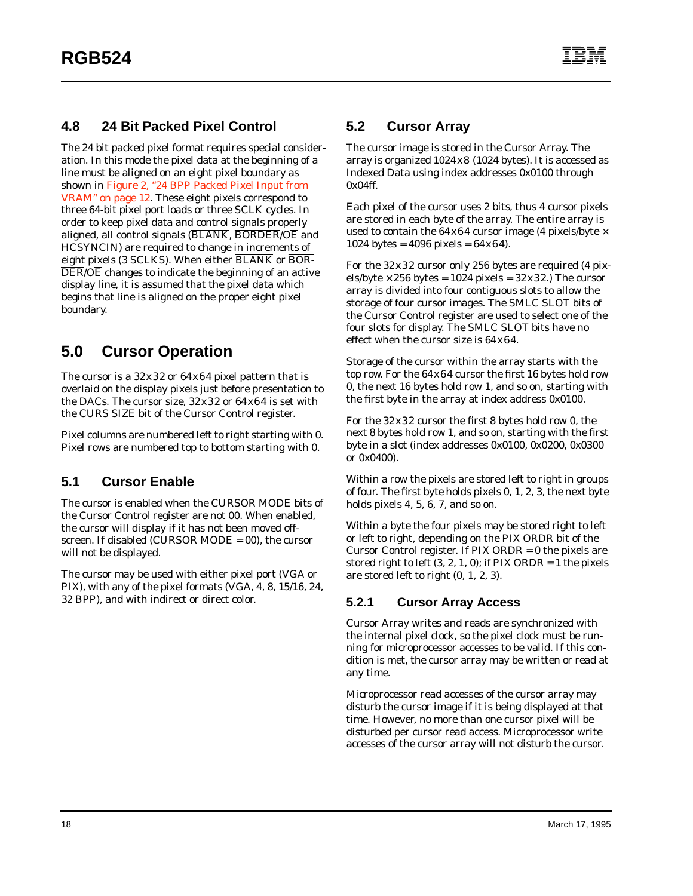## **4.8 24 Bit Packed Pixel Control**

The 24 bit packed pixel format requires special consideration. In this mode the pixel data at the beginning of a line must be aligned on an eight pixel boundary as shown in Figure 2, "24 BPP Packed Pixel Input from VRAM" on page 12. These eight pixels correspond to three 64-bit pixel port loads or three SCLK cycles. In order to keep pixel data and control signals properly aligned, all control signals (BLANK, BORDER/OE and HCSYNCIN) are required to change in increments of eight pixels (3 SCLKS). When either BLANK or BOR- $\overline{\text{DER}}$ /O $\overline{\text{E}}$  changes to indicate the beginning of an active display line, it is assumed that the pixel data which begins that line is aligned on the proper eight pixel boundary.

# **5.0 Cursor Operation**

The cursor is a 32x32 or 64x64 pixel pattern that is overlaid on the display pixels just before presentation to the DACs. The cursor size, 32x32 or 64x64 is set with the CURS SIZE bit of the Cursor Control register.

Pixel columns are numbered left to right starting with 0. Pixel rows are numbered top to bottom starting with 0.

## **5.1 Cursor Enable**

The cursor is enabled when the CURSOR MODE bits of the Cursor Control register are not 00. When enabled, the cursor will display if it has not been moved offscreen. If disabled (CURSOR MODE = 00), the cursor will not be displayed.

The cursor may be used with either pixel port (VGA or PIX), with any of the pixel formats (VGA, 4, 8, 15/16, 24, 32 BPP), and with indirect or direct color.

#### **5.2 Cursor Array**

The cursor image is stored in the Cursor Array. The array is organized 1024x8 (1024 bytes). It is accessed as Indexed Data using index addresses 0x0100 through 0x04ff.

Each pixel of the cursor uses 2 bits, thus 4 cursor pixels are stored in each byte of the array. The entire array is used to contain the  $64x64$  cursor image (4 pixels/byte  $\times$ 1024 bytes =  $4096$  pixels =  $64 \times 64$ ).

For the 32x32 cursor only 256 bytes are required (4 pixels/byte  $\times$  256 bytes = 1024 pixels = 32x32.) The cursor array is divided into four contiguous slots to allow the storage of four cursor images. The SMLC SLOT bits of the Cursor Control register are used to select one of the four slots for display. The SMLC SLOT bits have no effect when the cursor size is 64x64.

Storage of the cursor within the array starts with the top row. For the 64x64 cursor the first 16 bytes hold row 0, the next 16 bytes hold row 1, and so on, starting with the first byte in the array at index address 0x0100.

For the 32x32 cursor the first 8 bytes hold row 0, the next 8 bytes hold row 1, and so on, starting with the first byte in a slot (index addresses 0x0100, 0x0200, 0x0300 or 0x0400).

Within a row the pixels are stored left to right in groups of four. The first byte holds pixels 0, 1, 2, 3, the next byte holds pixels 4, 5, 6, 7, and so on.

Within a byte the four pixels may be stored right to left or left to right, depending on the PIX ORDR bit of the Cursor Control register. If PIX ORDR = 0 the pixels are stored right to left (3, 2, 1, 0); if PIX ORDR = 1 the pixels are stored left to right (0, 1, 2, 3).

#### **5.2.1 Cursor Array Access**

Cursor Array writes and reads are synchronized with the internal pixel clock, so the pixel clock must be running for microprocessor accesses to be valid. If this condition is met, the cursor array may be written or read at any time.

Microprocessor read accesses of the cursor array may disturb the cursor image if it is being displayed at that time. However, no more than one cursor pixel will be disturbed per cursor read access. Microprocessor write accesses of the cursor array will not disturb the cursor.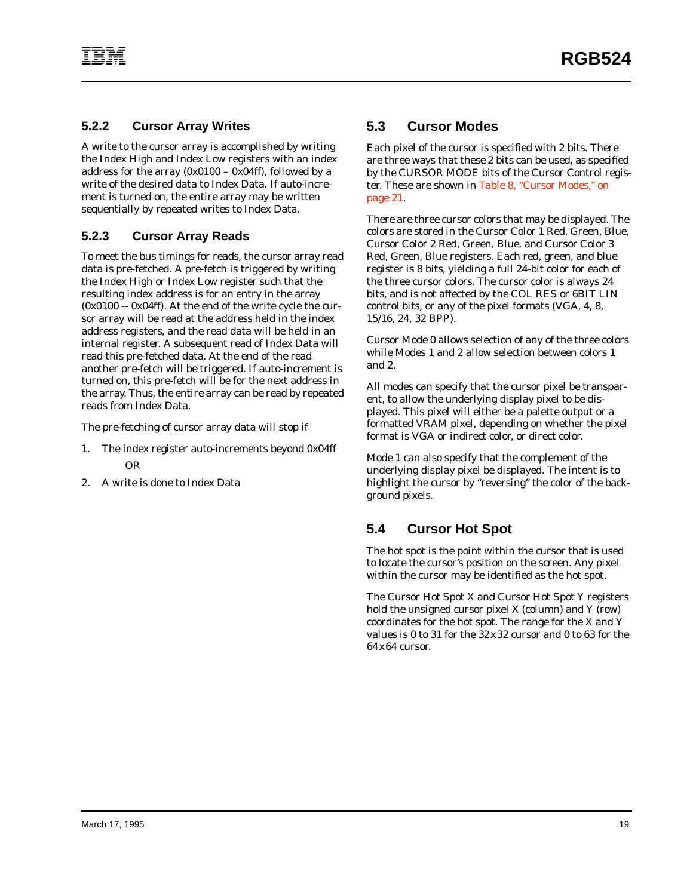#### <span id="page-24-0"></span>**5.2.2 Cursor Array Writes**

A write to the cursor array is accomplished by writing the Index High and Index Low registers with an index address for the array  $(0x0100 - 0x04$ ff), followed by a write of the desired data to Index Data. If auto-increment is turned on, the entire array may be written sequentially by repeated writes to Index Data.

## **5.2.3 Cursor Array Reads**

To meet the bus timings for reads, the cursor array read data is pre-fetched. A pre-fetch is triggered by writing the Index High or Index Low register such that the resulting index address is for an entry in the array (0x0100 -- 0x04ff). At the end of the write cycle the cursor array will be read at the address held in the index address registers, and the read data will be held in an internal register. A subsequent read of Index Data will read this pre-fetched data. At the end of the read another pre-fetch will be triggered. If auto-increment is turned on, this pre-fetch will be for the next address in the array. Thus, the entire array can be read by repeated reads from Index Data.

The pre-fetching of cursor array data will stop if

- 1. The index register auto-increments beyond 0x04ff OR
- 2. A write is done to Index Data

#### **5.3 Cursor Modes**

Each pixel of the cursor is specified with 2 bits. There are three ways that these 2 bits can be used, as specified by the CURSOR MODE bits of the Cursor Control register. These are shown in [Table 8, "Cursor Modes," on](#page-26-0) [page 21](#page-26-0).

There are three cursor colors that may be displayed. The colors are stored in the Cursor Color 1 Red, Green, Blue, Cursor Color 2 Red, Green, Blue, and Cursor Color 3 Red, Green, Blue registers. Each red, green, and blue register is 8 bits, yielding a full 24-bit color for each of the three cursor colors. The cursor color is always 24 bits, and is not affected by the COL RES or 6BIT LIN control bits, or any of the pixel formats (VGA, 4, 8, 15/16, 24, 32 BPP).

Cursor Mode 0 allows selection of any of the three colors while Modes 1 and 2 allow selection between colors 1 and 2.

All modes can specify that the cursor pixel be transparent, to allow the underlying display pixel to be displayed. This pixel will either be a palette output or a formatted VRAM pixel, depending on whether the pixel format is VGA or indirect color, or direct color.

Mode 1 can also specify that the complement of the underlying display pixel be displayed. The intent is to highlight the cursor by "reversing" the color of the background pixels.

## **5.4 Cursor Hot Spot**

The hot spot is the point within the cursor that is used to locate the cursor's position on the screen. Any pixel within the cursor may be identified as the hot spot.

The Cursor Hot Spot X and Cursor Hot Spot Y registers hold the unsigned cursor pixel X (column) and Y (row) coordinates for the hot spot. The range for the X and Y values is 0 to 31 for the 32x32 cursor and 0 to 63 for the 64x64 cursor.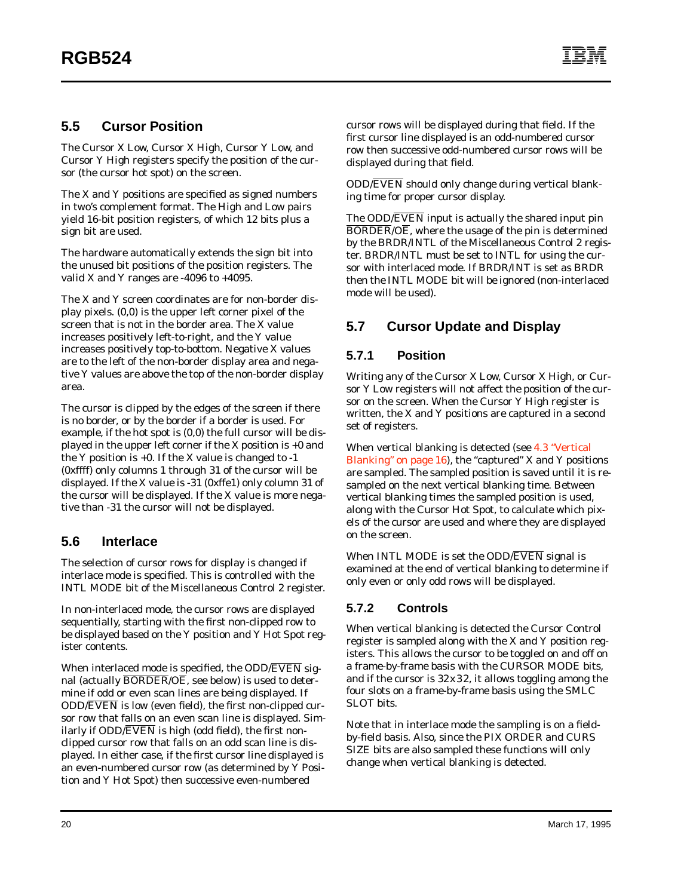#### **5.5 Cursor Position**

The Cursor X Low, Cursor X High, Cursor Y Low, and Cursor Y High registers specify the position of the cursor (the cursor hot spot) on the screen.

The X and Y positions are specified as *signed* numbers in two's complement format. The High and Low pairs yield 16-bit position registers, of which 12 bits plus a sign bit are used.

The hardware automatically extends the sign bit into the unused bit positions of the position registers. The valid X and Y ranges are -4096 to +4095.

The X and Y screen coordinates are for non-border display pixels. (0,0) is the upper left corner pixel of the screen that is not in the border area. The X value increases positively left-to-right, and the Y value increases positively top-to-bottom. Negative X values are to the left of the non-border display area and negative Y values are above the top of the non-border display area.

The cursor is clipped by the edges of the screen if there is no border, or by the border if a border is used. For example, if the hot spot is (0,0) the full cursor will be displayed in the upper left corner if the X position is +0 and the Y position is  $+0$ . If the X value is changed to  $-1$ (0xffff) only columns 1 through 31 of the cursor will be displayed. If the X value is -31 (0xffe1) only column 31 of the cursor will be displayed. If the X value is more negative than -31 the cursor will not be displayed.

#### **5.6 Interlace**

The selection of cursor rows for display is changed if interlace mode is specified. This is controlled with the INTL MODE bit of the Miscellaneous Control 2 register.

In non-interlaced mode, the cursor rows are displayed sequentially, starting with the first non-clipped row to be displayed based on the Y position and Y Hot Spot register contents.

When interlaced mode is specified, the ODD/EVEN signal (actually  $\overline{BORDER}/O\overline{E}$ , see below) is used to determine if odd or even scan lines are being displayed. If ODD/EVEN is low (even field), the first non-clipped cursor row that falls on an even scan line is displayed. Similarly if  $ODD/$ *EVEN* is high (odd field), the first nonclipped cursor row that falls on an odd scan line is displayed. In either case, if the first cursor line displayed is an even-numbered cursor row (as determined by Y Position and Y Hot Spot) then successive even-numbered

cursor rows will be displayed during that field. If the first cursor line displayed is an odd-numbered cursor row then successive odd-numbered cursor rows will be displayed during that field.

ODD/EVEN should only change during vertical blanking time for proper cursor display.

The ODD/EVEN input is actually the shared input pin BORDER/OE, where the usage of the pin is determined by the BRDR/INTL of the Miscellaneous Control 2 register. BRDR/INTL must be set to INTL for using the cursor with interlaced mode. If BRDR/INT is set as BRDR then the INTL MODE bit will be ignored (non-interlaced mode will be used).

# **5.7 Cursor Update and Display**

#### **5.7.1 Position**

Writing any of the Cursor X Low, Cursor X High, or Cursor Y Low registers will not affect the position of the cursor on the screen. When the Cursor Y High register is written, the X and Y positions are captured in a second set of registers.

When vertical blanking is detected (see [4.3 "Vertical](#page-21-0) [Blanking" on page 16\)](#page-21-0), the "captured" X and Y positions are sampled. The sampled position is saved until it is resampled on the next vertical blanking time. Between vertical blanking times the sampled position is used, along with the Cursor Hot Spot, to calculate which pixels of the cursor are used and where they are displayed on the screen.

When INTL MODE is set the ODD/EVEN signal is examined at the end of vertical blanking to determine if only even or only odd rows will be displayed.

#### **5.7.2 Controls**

When vertical blanking is detected the Cursor Control register is sampled along with the X and Y position registers. This allows the cursor to be toggled on and off on a frame-by-frame basis with the CURSOR MODE bits, and if the cursor is 32x32, it allows toggling among the four slots on a frame-by-frame basis using the SMLC SLOT bits.

Note that in interlace mode the sampling is on a fieldby-field basis. Also, since the PIX ORDER and CURS SIZE bits are also sampled these functions will only change when vertical blanking is detected.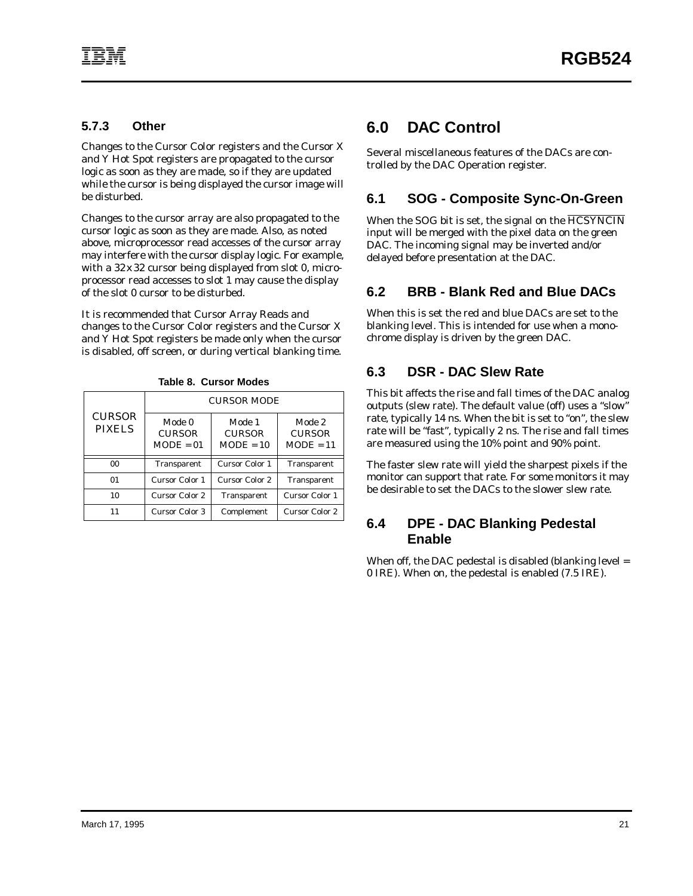#### <span id="page-26-0"></span>**5.7.3 Other**

Changes to the Cursor Color registers and the Cursor X and Y Hot Spot registers are propagated to the cursor logic as soon as they are made, so if they are updated while the cursor is being displayed the cursor image will be disturbed.

Changes to the cursor array are also propagated to the cursor logic as soon as they are made. Also, as noted above, microprocessor read accesses of the cursor array may interfere with the cursor display logic. For example, with a 32x 32 cursor being displayed from slot 0, microprocessor read accesses to slot 1 may cause the display of the slot 0 cursor to be disturbed.

It is recommended that Cursor Array Reads and changes to the Cursor Color registers and the Cursor X and Y Hot Spot registers be made only when the cursor is disabled, off screen, or during vertical blanking time.

|                                | <b>CURSOR MODE</b>                     |                                        |                                        |  |  |
|--------------------------------|----------------------------------------|----------------------------------------|----------------------------------------|--|--|
| <b>CURSOR</b><br><b>PIXELS</b> | Mode 0<br><b>CURSOR</b><br>$MODE = 01$ | Mode 1<br><b>CURSOR</b><br>$MODE = 10$ | Mode 2<br><b>CURSOR</b><br>$MODE = 11$ |  |  |
| 0 <sub>0</sub>                 | Transparent                            | Cursor Color 1                         | Transparent                            |  |  |
| 01                             | Cursor Color 1                         | <b>Cursor Color 2</b>                  | Transparent                            |  |  |
| 10                             | Cursor Color 2                         | Transparent                            | <b>Cursor Color 1</b>                  |  |  |
|                                | Cursor Color 3                         | Complement                             | Cursor Color 2                         |  |  |

**Table 8. Cursor Modes**

# **6.0 DAC Control**

Several miscellaneous features of the DACs are controlled by the DAC Operation register.

# **6.1 SOG - Composite Sync-On-Green**

When the SOG bit is set, the signal on the HCSYNCIN input will be merged with the pixel data on the green DAC. The incoming signal may be inverted and/or delayed before presentation at the DAC.

# **6.2 BRB - Blank Red and Blue DACs**

When this is set the red and blue DACs are set to the blanking level. This is intended for use when a monochrome display is driven by the green DAC.

# **6.3 DSR - DAC Slew Rate**

This bit affects the rise and fall times of the DAC analog outputs (slew rate). The default value (off) uses a "slow" rate, typically 14 ns. When the bit is set to "on", the slew rate will be "fast", typically 2 ns. The rise and fall times are measured using the 10% point and 90% point.

The faster slew rate will yield the sharpest pixels if the monitor can support that rate. For some monitors it may be desirable to set the DACs to the slower slew rate.

#### **6.4 DPE - DAC Blanking Pedestal Enable**

When off, the DAC pedestal is disabled (blanking level = 0 IRE). When on, the pedestal is enabled (7.5 IRE).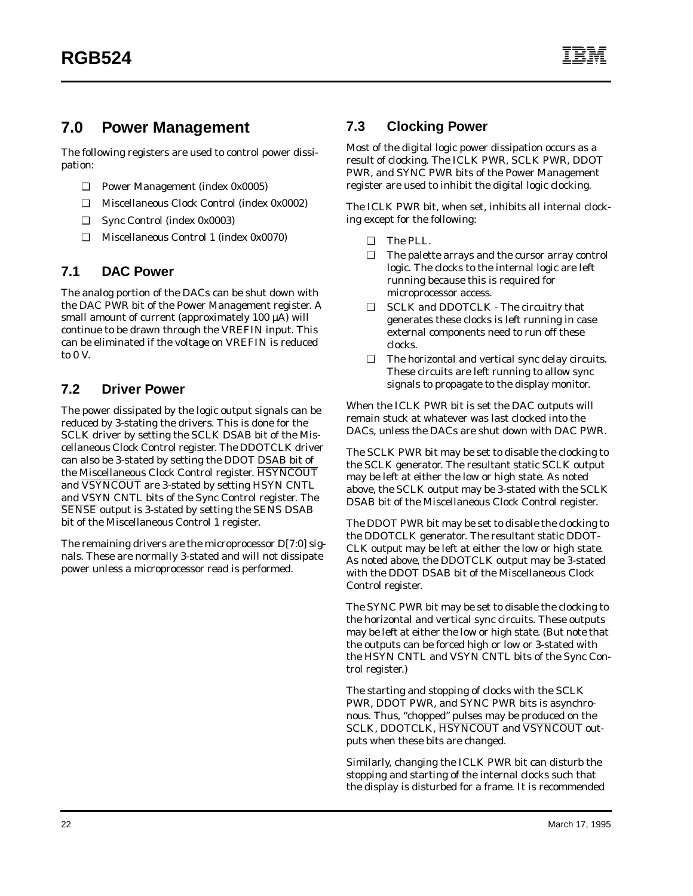# <span id="page-27-0"></span>**7.0 Power Management**

The following registers are used to control power dissipation:

- ❑ Power Management (index 0x0005)
- ❑ Miscellaneous Clock Control (index 0x0002)
- ❑ Sync Control (index 0x0003)
- ❑ Miscellaneous Control 1 (index 0x0070)

#### **7.1 DAC Power**

The analog portion of the DACs can be shut down with the DAC PWR bit of the Power Management register. A small amount of current (approximately 100 µA) will continue to be drawn through the VREFIN input. This can be eliminated if the voltage on VREFIN is reduced to 0 V.

## **7.2 Driver Power**

The power dissipated by the logic output signals can be reduced by 3-stating the drivers. This is done for the SCLK driver by setting the SCLK DSAB bit of the Miscellaneous Clock Control register. The DDOTCLK driver can also be 3-stated by setting the DDOT DSAB bit of the Miscellaneous Clock Control register. HSYNCOUT and **VSYNCOUT** are 3-stated by setting HSYN CNTL and VSYN CNTL bits of the Sync Control register. The SENSE output is 3-stated by setting the SENS DSAB bit of the Miscellaneous Control 1 register.

The remaining drivers are the microprocessor D[7:0] signals. These are normally 3-stated and will not dissipate power unless a microprocessor read is performed.

#### **7.3 Clocking Power**

Most of the digital logic power dissipation occurs as a result of clocking. The ICLK PWR, SCLK PWR, DDOT PWR, and SYNC PWR bits of the Power Management register are used to inhibit the digital logic clocking.

The ICLK PWR bit, when set, inhibits all internal clocking except for the following:

- ❑ The PLL.
- ❑ The palette arrays and the cursor array control logic. The clocks to the internal logic are left running because this is required for microprocessor access.
- ❑ SCLK and DDOTCLK The circuitry that generates these clocks is left running in case external components need to run off these clocks.
- ❑ The horizontal and vertical sync delay circuits. These circuits are left running to allow sync signals to propagate to the display monitor.

When the ICLK PWR bit is set the DAC outputs will remain stuck at whatever was last clocked into the DACs, unless the DACs are shut down with DAC PWR.

The SCLK PWR bit may be set to disable the clocking to the SCLK generator. The resultant static SCLK output may be left at either the low or high state. As noted above, the SCLK output may be 3-stated with the SCLK DSAB bit of the Miscellaneous Clock Control register.

The DDOT PWR bit may be set to disable the clocking to the DDOTCLK generator. The resultant static DDOT-CLK output may be left at either the low or high state. As noted above, the DDOTCLK output may be 3-stated with the DDOT DSAB bit of the Miscellaneous Clock Control register.

The SYNC PWR bit may be set to disable the clocking to the horizontal and vertical sync circuits. These outputs may be left at either the low or high state. (But note that the outputs can be forced high or low or 3-stated with the HSYN CNTL and VSYN CNTL bits of the Sync Control register.)

The starting and stopping of clocks with the SCLK PWR, DDOT PWR, and SYNC PWR bits is asynchronous. Thus, "chopped" pulses may be produced on the SCLK, DDOTCLK, HSYNCOUT and VSYNCOUT outputs when these bits are changed.

Similarly, changing the ICLK PWR bit can disturb the stopping and starting of the internal clocks such that the display is disturbed for a frame. It is recommended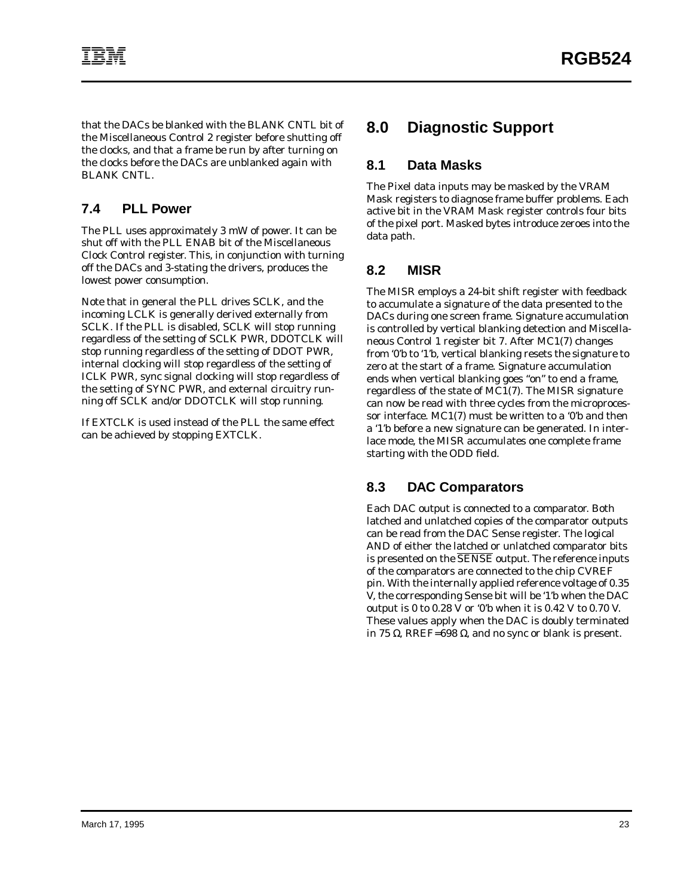that the DACs be blanked with the BLANK CNTL bit of the Miscellaneous Control 2 register before shutting off the clocks, and that a frame be run by after turning on the clocks before the DACs are unblanked again with BLANK CNTL.

## **7.4 PLL Power**

The PLL uses approximately 3 mW of power. It can be shut off with the PLL ENAB bit of the Miscellaneous Clock Control register. This, in conjunction with turning off the DACs and 3-stating the drivers, produces the lowest power consumption.

Note that in general the PLL drives SCLK, and the incoming LCLK is generally derived externally from SCLK. If the PLL is disabled, SCLK will stop running regardless of the setting of SCLK PWR, DDOTCLK will stop running regardless of the setting of DDOT PWR, internal clocking will stop regardless of the setting of ICLK PWR, sync signal clocking will stop regardless of the setting of SYNC PWR, and external circuitry running off SCLK and/or DDOTCLK will stop running.

If EXTCLK is used instead of the PLL the same effect can be achieved by stopping EXTCLK.

# **8.0 Diagnostic Support**

#### **8.1 Data Masks**

The Pixel data inputs may be masked by the VRAM Mask registers to diagnose frame buffer problems. Each active bit in the VRAM Mask register controls four bits of the pixel port. Masked bytes introduce zeroes into the data path.

#### **8.2 MISR**

The MISR employs a 24-bit shift register with feedback to accumulate a signature of the data presented to the DACs during one screen frame. Signature accumulation is controlled by vertical blanking detection and Miscellaneous Control 1 register bit 7. After MC1(7) changes from '0'b to '1'b, vertical blanking resets the signature to zero at the start of a frame. Signature accumulation ends when vertical blanking goes "on" to end a frame, regardless of the state of MC1(7). The MISR signature can now be read with three cycles from the microprocessor interface. MC1(7) must be written to a '0'b and then a '1'b before a new signature can be generated. In interlace mode, the MISR accumulates one complete frame starting with the ODD field.

## **8.3 DAC Comparators**

Each DAC output is connected to a comparator. Both latched and unlatched copies of the comparator outputs can be read from the DAC Sense register. The logical AND of either the latched or unlatched comparator bits is presented on the SENSE output. The reference inputs of the comparators are connected to the chip CVREF pin. With the internally applied reference voltage of 0.35 V, the corresponding Sense bit will be '1'b when the DAC output is 0 to 0.28 V or '0'b when it is 0.42 V to 0.70 V. These values apply when the DAC is doubly terminated in 75 Ω, RREF=698 Ω, and no sync or blank is present.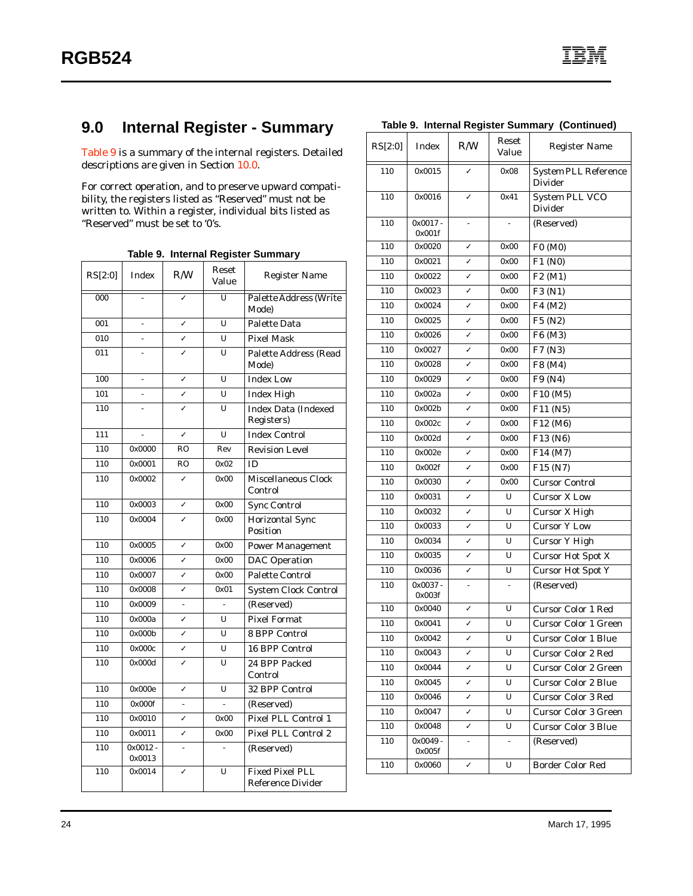# **9.0 Internal Register - Summary**

Table 9 is a summary of the internal registers. Detailed descriptions are given in Section [10.0](#page-31-0).

For correct operation, and to preserve upward compatibility, the registers listed as "Reserved" must not be written to. Within a register, individual bits listed as "Reserved" must be set to '0's.

| Table 9. Internal Register Summary |  |  |  |  |
|------------------------------------|--|--|--|--|
|------------------------------------|--|--|--|--|

| RS[2:0] | Index                | R/W                     | Reset<br>Value | <b>Register Name</b>                               |
|---------|----------------------|-------------------------|----------------|----------------------------------------------------|
| 000     |                      |                         | $\overline{U}$ | <b>Palette Address (Write</b><br>Mode)             |
| 001     |                      | J                       | U              | <b>Palette Data</b>                                |
| 010     |                      | $\overline{\checkmark}$ | U              | <b>Pixel Mask</b>                                  |
| 011     |                      |                         | U              | Palette Address (Read<br>Mode)                     |
| 100     | L,                   | ✓                       | U              | <b>Index Low</b>                                   |
| 101     |                      | ✓                       | U              | <b>Index High</b>                                  |
| 110     |                      | ✓                       | U              | <b>Index Data (Indexed)</b><br>Registers)          |
| 111     |                      | ✓                       | U              | <b>Index Control</b>                               |
| 110     | 0x0000               | <b>RO</b>               | Rev            | <b>Revision Level</b>                              |
| 110     | 0x0001               | <b>RO</b>               | 0x02           | ID                                                 |
| 110     | 0x0002               | ✓                       | 0x00           | Miscellaneous Clock<br>Control                     |
| 110     | 0x0003               | ✓                       | 0x00           | <b>Sync Control</b>                                |
| 110     | 0x0004               |                         | 0x00           | <b>Horizontal Sync</b><br>Position                 |
| 110     | 0x0005               | J                       | 0x00           | <b>Power Management</b>                            |
| 110     | 0x0006               | J                       | 0x00           | <b>DAC</b> Operation                               |
| 110     | 0x0007               | ✓                       | 0x00           | <b>Palette Control</b>                             |
| 110     | 0x0008               | J                       | 0x01           | <b>System Clock Control</b>                        |
| 110     | 0x0009               | $\frac{1}{2}$           |                | (Reserved)                                         |
| 110     | 0x000a               | √                       | U              | <b>Pixel Format</b>                                |
| 110     | 0x000b               | $\overline{\checkmark}$ | U              | <b>8 BPP Control</b>                               |
| 110     | 0x000c               | ✓                       | U              | 16 BPP Control                                     |
| 110     | 0x000d               |                         | U              | 24 BPP Packed<br>Control                           |
| 110     | 0x000e               | ✓                       | U              | 32 BPP Control                                     |
| 110     | 0x000f               |                         |                | (Reserved)                                         |
| 110     | 0x0010               | ✓                       | 0x00           | Pixel PLL Control 1                                |
| 110     | 0x0011               | ✓                       | 0x00           | Pixel PLL Control 2                                |
| 110     | $0x0012 -$<br>0x0013 |                         |                | (Reserved)                                         |
| 110     | 0x0014               |                         | U              | <b>Fixed Pixel PLL</b><br><b>Reference Divider</b> |

|  |  | Table 9. Internal Register Summary (Continued) |
|--|--|------------------------------------------------|
|  |  |                                                |

| RS[2:0] | Index             | R/W                     | Reset<br>Value | <b>Register Name</b>                          |
|---------|-------------------|-------------------------|----------------|-----------------------------------------------|
| 110     | 0x0015            |                         | 0x08           | <b>System PLL Reference</b><br><b>Divider</b> |
| 110     | 0x0016            |                         | 0x41           | System PLL VCO<br><b>Divider</b>              |
| 110     | 0x0017-<br>0x001f |                         |                | (Reserved)                                    |
| 110     | 0x0020            | ✓                       | 0x00           | F0 (M0)                                       |
| 110     | 0x0021            | ✓                       | 0x00           | F1 (N0)                                       |
| 110     | 0x0022            | ✓                       | 0x00           | F2 (M1)                                       |
| 110     | 0x0023            | ✓                       | 0x00           | F3 (N1)                                       |
| 110     | 0x0024            | ✓                       | 0x00           | F4 (M2)                                       |
| 110     | 0x0025            | $\checkmark$            | 0x00           | F5 (N2)                                       |
| 110     | 0x0026            | ✓                       | 0x00           | F6 (M3)                                       |
| 110     | 0x0027            | ✓                       | 0x00           | F7 (N3)                                       |
| 110     | 0x0028            | ✓                       | 0x00           | F8 (M4)                                       |
| 110     | 0x0029            | ✓                       | 0x00           | F9 (N4)                                       |
| 110     | 0x002a            | ✓                       | 0x00           | F10 (M5)                                      |
| 110     | 0x002b            | ✓                       | 0x00           | F11 (N5)                                      |
| 110     | 0x002c            | ✓                       | 0x00           | F12 (M6)                                      |
| 110     | 0x002d            | ✓                       | 0x00           | F13 (N6)                                      |
| 110     | 0x002e            | ✓                       | 0x00           | F14 (M7)                                      |
| 110     | 0x002f            | ✓                       | 0x00           | F15 (N7)                                      |
| 110     | 0x0030            | ✓                       | 0x00           | <b>Cursor Control</b>                         |
| 110     | 0x0031            | $\checkmark$            | U              | <b>Cursor X Low</b>                           |
| 110     | 0x0032            | ✓                       | U              | <b>Cursor X High</b>                          |
| 110     | 0x0033            | ✓                       | U              | <b>Cursor Y Low</b>                           |
| 110     | 0x0034            | ✓                       | U              | <b>Cursor Y High</b>                          |
| 110     | 0x0035            | ✓                       | U              | <b>Cursor Hot Spot X</b>                      |
| 110     | 0x0036            | ✓                       | U              | <b>Cursor Hot Spot Y</b>                      |
| 110     | 0x0037-<br>0x003f |                         |                | (Reserved)                                    |
| 110     | 0x0040            | ✓                       | U              | <b>Cursor Color 1 Red</b>                     |
| 110     | 0x0041            | ✓                       | U              | <b>Cursor Color 1 Green</b>                   |
| 110     | 0x0042            | ✓                       | U              | <b>Cursor Color 1 Blue</b>                    |
| 110     | 0x0043            | $\overline{\checkmark}$ | U              | <b>Cursor Color 2 Red</b>                     |
| 110     | 0x0044            | ✓                       | U              | <b>Cursor Color 2 Green</b>                   |
| 110     | 0x0045            | ✓                       | U              | <b>Cursor Color 2 Blue</b>                    |
| 110     | 0x0046            | ✓                       | U              | <b>Cursor Color 3 Red</b>                     |
| 110     | 0x0047            | ✓                       | U              | <b>Cursor Color 3 Green</b>                   |
| 110     | 0x0048            | ✓                       | U              | <b>Cursor Color 3 Blue</b>                    |
| 110     | 0x0049-<br>0x005f | $\frac{1}{2}$           | $\blacksquare$ | (Reserved)                                    |
| 110     | 0x0060            | ✓                       | U              | <b>Border Color Red</b>                       |
|         |                   |                         |                |                                               |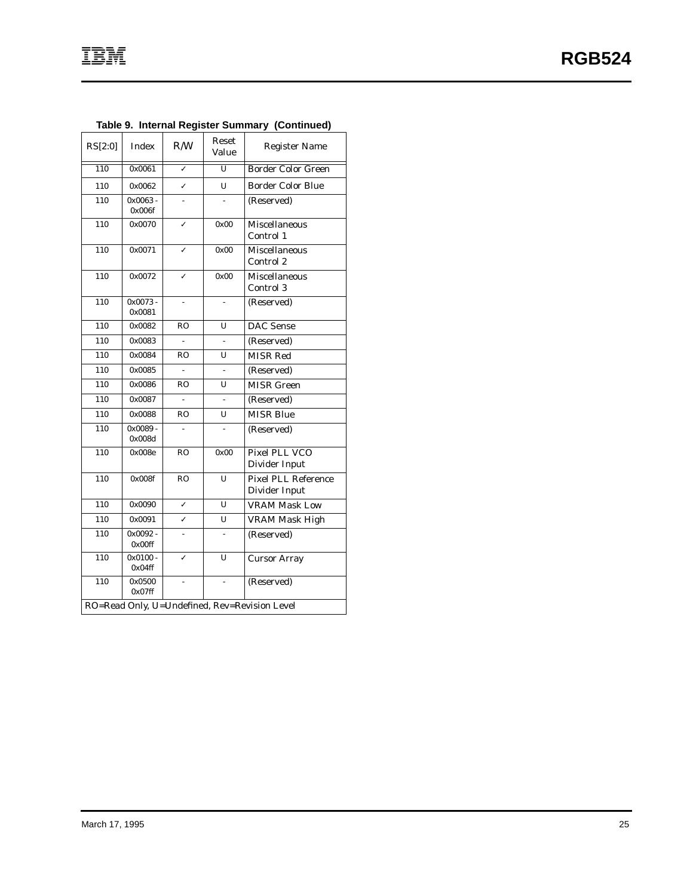| RS[2:0]                                       | <b>Index</b>         | R/W            | Reset<br>Value | <b>Register Name</b>                        |
|-----------------------------------------------|----------------------|----------------|----------------|---------------------------------------------|
| $\overline{110}$                              | 0x0061               | ✓              | $\overline{U}$ | <b>Border Color Green</b>                   |
| 110                                           | 0x0062               | ✓              | U              | <b>Border Color Blue</b>                    |
| 110                                           | $0x0063 -$<br>0x006f |                |                | (Reserved)                                  |
| 110                                           | 0x0070               | ✓              | 0x00           | <b>Miscellaneous</b><br>Control 1           |
| 110                                           | 0x0071               | ✓              | 0x00           | <b>Miscellaneous</b><br>Control 2           |
| 110                                           | 0x0072               | ✓              | 0x00           | <b>Miscellaneous</b><br>Control 3           |
| 110                                           | $0x0073 -$<br>0x0081 |                |                | (Reserved)                                  |
| 110                                           | 0x0082               | <b>RO</b>      | U              | <b>DAC</b> Sense                            |
| 110                                           | 0x0083               | $\overline{a}$ |                | (Reserved)                                  |
| 110                                           | 0x0084               | <b>RO</b>      | U              | <b>MISR Red</b>                             |
| 110                                           | 0x0085               |                |                | (Reserved)                                  |
| 110                                           | 0x0086               | <b>RO</b>      | U              | <b>MISR Green</b>                           |
| 110                                           | 0x0087               |                |                | (Reserved)                                  |
| 110                                           | 0x0088               | <b>RO</b>      | U              | <b>MISR Blue</b>                            |
| 110                                           | $0x0089 -$<br>0x008d |                |                | (Reserved)                                  |
| 110                                           | 0x008e               | <b>RO</b>      | 0x00           | Pixel PLL VCO<br>Divider Input              |
| 110                                           | 0x008f               | <b>RO</b>      | U              | <b>Pixel PLL Reference</b><br>Divider Input |
| 110                                           | 0x0090               | ✓              | U              | <b>VRAM Mask Low</b>                        |
| 110                                           | 0x0091               | $\checkmark$   | U              | <b>VRAM Mask High</b>                       |
| 110                                           | $0x0092 -$<br>0x00ff |                |                | (Reserved)                                  |
| 110                                           | $0x0100 -$<br>0x04ff | ✓              | U              | <b>Cursor Array</b>                         |
| 110                                           | 0x0500<br>$0x07$ ff  |                |                | (Reserved)                                  |
| RO=Read Only, U=Undefined, Rev=Revision Level |                      |                |                |                                             |

## **Table 9. Internal Register Summary (Continued)**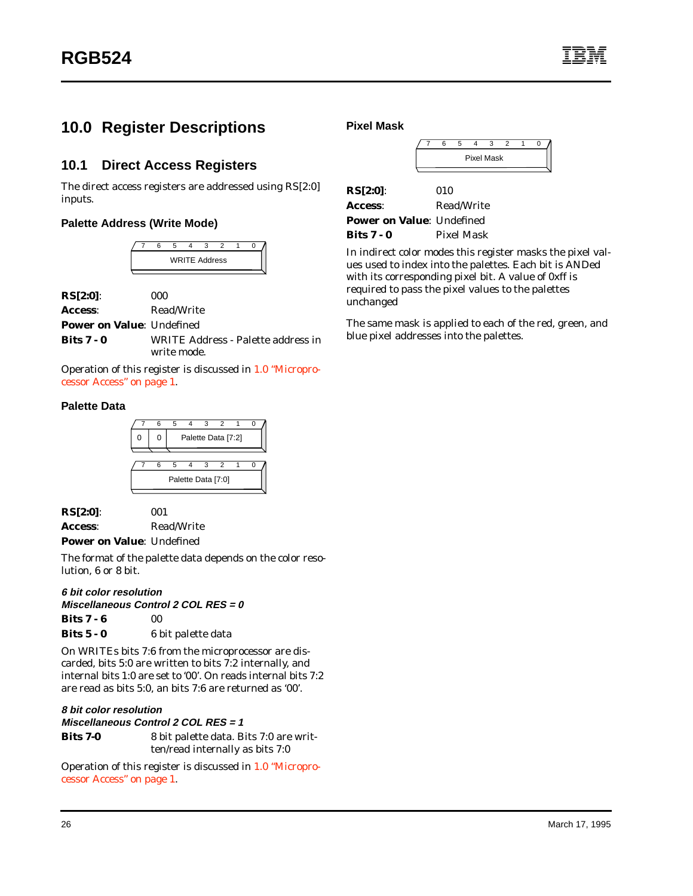# <span id="page-31-0"></span>**10.0 Register Descriptions**

#### **10.1 Direct Access Registers**

The direct access registers are addressed using RS[2:0] inputs.

#### **Palette Address (Write Mode)**



| $RS[2:0]$ :                      | 000        |
|----------------------------------|------------|
| Access:                          | Read/Write |
| <b>Power on Value: Undefined</b> |            |

**Bits 7 - 0** WRITE Address - Palette address in write mode.

Operation of this register is discussed in [1.0 "Micropro](#page-6-0)[cessor Access" on page 1.](#page-6-0)

#### **Palette Data**



**RS[2:0]**: 001 **Access**: Read/Write

**Power on Value**: Undefined

The format of the palette data depends on the color resolution, 6 or 8 bit.

#### **6 bit color resolution**

**Miscellaneous Control 2 COL RES = 0**

**Bits 7 - 6** 00

On WRITEs bits 7:6 from the microprocessor are discarded, bits 5:0 are written to bits 7:2 internally, and internal bits 1:0 are set to '00'. On reads internal bits 7:2 are read as bits 5:0, an bits 7:6 are returned as '00'.

**8 bit color resolution Miscellaneous Control 2 COL RES = 1**

| Bits 7-0 | 8 bit palette data. Bits 7:0 are writ- |
|----------|----------------------------------------|
|          | ten/read internally as bits 7:0        |

Operation of this register is discussed in [1.0 "Micropro](#page-6-0)[cessor Access" on page 1.](#page-6-0)

**Pixel Mask**

|  |  | <b>Pixel Mask</b> |  |  |
|--|--|-------------------|--|--|
|  |  |                   |  |  |

| $RS[2:0]$ :                      | 010        |
|----------------------------------|------------|
| Access:                          | Read/Write |
| <b>Power on Value: Undefined</b> |            |
| Bits $7 - 0$                     | Pixel Mask |

In indirect color modes this register masks the pixel values used to index into the palettes. Each bit is ANDed with its corresponding pixel bit. A value of 0xff is required to pass the pixel values to the palettes unchanged

The same mask is applied to each of the red, green, and blue pixel addresses into the palettes.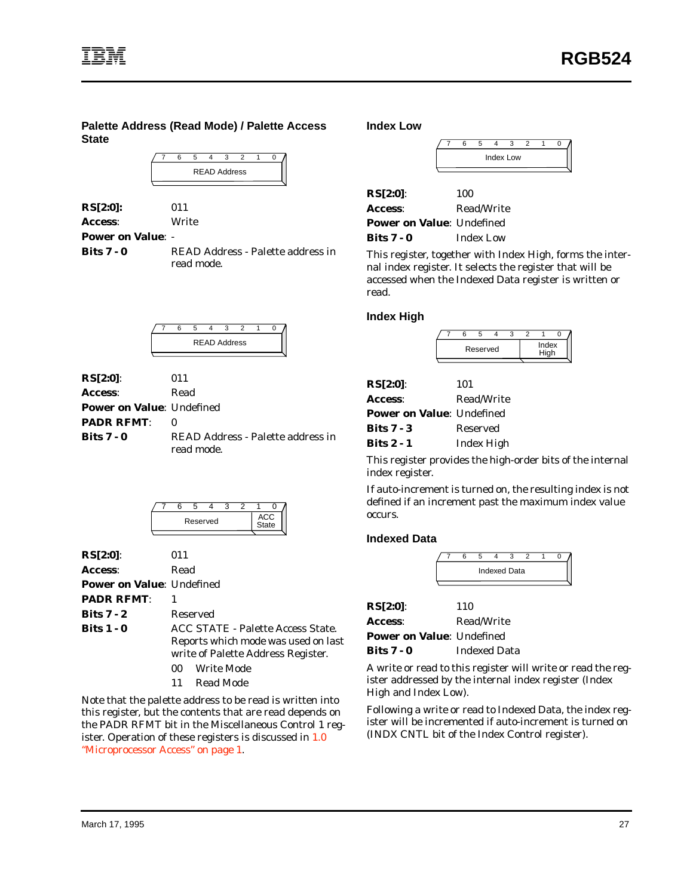**Palette Address (Read Mode) / Palette Access State**

| <b>READ Address</b> |  |  |  |  |  |  |  |
|---------------------|--|--|--|--|--|--|--|
|                     |  |  |  |  |  |  |  |

| RS[2:0]: | 011   |
|----------|-------|
| Access:  | Write |

**Power on Value**: -

**Bits 7 - 0** READ Address - Palette address in read mode.

| <b>READ Address</b> |  |  |  |  |  |  |  |  |  |
|---------------------|--|--|--|--|--|--|--|--|--|
|                     |  |  |  |  |  |  |  |  |  |

| $RS[2:0]$ :                      | 011                                             |
|----------------------------------|-------------------------------------------------|
| Access:                          | Read                                            |
| <b>Power on Value: Undefined</b> |                                                 |
| <b>PADR RFMT:</b>                |                                                 |
| <b>Bits 7 - 0</b>                | READ Address - Palette address in<br>read mode. |

| Reserved |  |  |  |  |  |  |  |
|----------|--|--|--|--|--|--|--|
|          |  |  |  |  |  |  |  |

| $RS[2:0]$ :                      | 011                                                                                                                                       |
|----------------------------------|-------------------------------------------------------------------------------------------------------------------------------------------|
| Access:                          | Read                                                                                                                                      |
| <b>Power on Value: Undefined</b> |                                                                                                                                           |
| <b>PADR RFMT:</b>                |                                                                                                                                           |
| Bits $7 - 2$                     | Reserved                                                                                                                                  |
| Bits $1 - 0$                     | ACC STATE - Palette Access State.<br>Reports which mode was used on last<br>write of Palette Address Register.<br><b>Write Mode</b><br>00 |
|                                  | Read Mode<br>11                                                                                                                           |

Note that the palette address to be read is written into this register, but the contents that are read depends on the PADR RFMT bit in the Miscellaneous Control 1 register. Operation of these registers is discussed in [1.0](#page-6-0) ["Microprocessor Access" on page 1.](#page-6-0)

**Index Low**

| RS[2:0]:                         | 100              |
|----------------------------------|------------------|
| Access:                          | Read/Write       |
| <b>Power on Value: Undefined</b> |                  |
| Bits $7 - 0$                     | <b>Index Low</b> |

This register, together with Index High, forms the internal index register. It selects the register that will be accessed when the Indexed Data register is written or read.

#### **Index High**

|  | Reserved | Index |  |  |  |
|--|----------|-------|--|--|--|

| RS[2:0]:                         | 101             |
|----------------------------------|-----------------|
| Access:                          | Read/Write      |
| <b>Power on Value: Undefined</b> |                 |
| Bits $7 - 3$                     | <b>Reserved</b> |
| <b>Bits 2 - 1</b>                | Index High      |

This register provides the high-order bits of the internal index register.

If auto-increment is turned on, the resulting index is not defined if an increment past the maximum index value occurs.

#### **Indexed Data**

|  |  | <b>Indexed Data</b> |  |  |
|--|--|---------------------|--|--|
|  |  |                     |  |  |

| RS[2:0]:                         | 110                 |
|----------------------------------|---------------------|
| <b>Access:</b>                   | Read/Write          |
| <b>Power on Value: Undefined</b> |                     |
| <b>Bits 7 - 0</b>                | <b>Indexed Data</b> |

A write or read to this register will write or read the register addressed by the internal index register (Index High and Index Low).

Following a write or read to Indexed Data, the index register will be incremented if auto-increment is turned on (INDX CNTL bit of the Index Control register).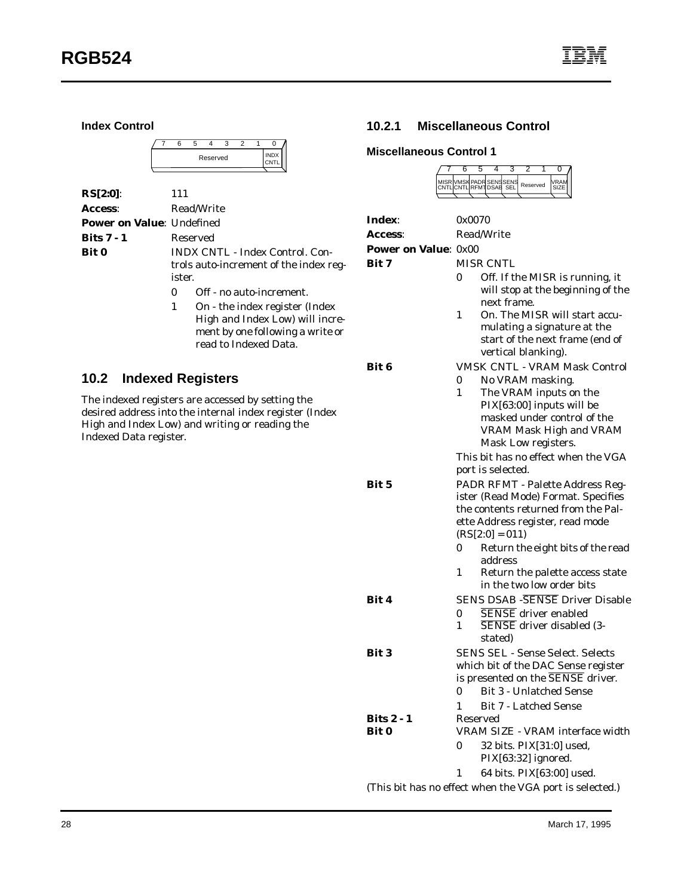**Index Control**

|  |  | Reserved |  |  |  |
|--|--|----------|--|--|--|
|  |  |          |  |  |  |

| $RS[2:0]$ :                      | 111                                                                                        |
|----------------------------------|--------------------------------------------------------------------------------------------|
| Access:                          | Read/Write                                                                                 |
| <b>Power on Value: Undefined</b> |                                                                                            |
| Bits $7 - 1$                     | Reserved                                                                                   |
| <b>Bit 0</b>                     | <b>INDX CNTL - Index Control. Con-</b><br>trols auto-increment of the index reg-<br>ister. |
|                                  | Off - no auto-increment.<br>$_{0}$                                                         |
|                                  | On - the index register (Index<br>1<br>Utale and Index Level will incre                    |

High and Index Low) will increment by one following a write or read to Indexed Data.

#### **10.2 Indexed Registers**

The indexed registers are accessed by setting the desired address into the internal index register (Index High and Index Low) and writing or reading the Indexed Data register.

#### **10.2.1 Miscellaneous Control**

7 6 5 4 3 2 1 0

#### **Miscellaneous Control 1**

|                             | MISR VMSK PADR SENSSENS<br>CNTL CNTL RFMT DSAB SEL<br>VRAM<br>Reserved<br>SIZE |
|-----------------------------|--------------------------------------------------------------------------------|
|                             |                                                                                |
| Index:                      | 0x0070                                                                         |
| <b>Access:</b>              | <b>Read/Write</b>                                                              |
| <b>Power on Value: 0x00</b> |                                                                                |
| Bit 7                       | <b>MISR CNTL</b>                                                               |
|                             | Off. If the MISR is running, it<br>0                                           |
|                             | will stop at the beginning of the                                              |
|                             | next frame.                                                                    |
|                             | On. The MISR will start accu-<br>1                                             |
|                             | mulating a signature at the                                                    |
|                             | start of the next frame (end of<br>vertical blanking).                         |
| Bit 6                       | <b>VMSK CNTL - VRAM Mask Control</b>                                           |
|                             | No VRAM masking.<br>0                                                          |
|                             | The VRAM inputs on the<br>1                                                    |
|                             | PIX[63:00] inputs will be                                                      |
|                             | masked under control of the                                                    |
|                             | <b>VRAM Mask High and VRAM</b>                                                 |
|                             | Mask Low registers.                                                            |
|                             | This bit has no effect when the VGA                                            |
|                             | port is selected.                                                              |
| Bit 5                       | PADR RFMT - Palette Address Reg-                                               |
|                             | ister (Read Mode) Format. Specifies<br>the contents returned from the Pal-     |
|                             | ette Address register, read mode                                               |
|                             | $(RS[2:0] = 011)$                                                              |
|                             | Return the eight bits of the read<br>0<br>address                              |
|                             | 1<br>Return the palette access state                                           |
|                             | in the two low order bits                                                      |
| Bit 4                       | <b>SENS DSAB - SENSE Driver Disable</b>                                        |
|                             | <b>SENSE</b> driver enabled<br>0                                               |
|                             | SENSE driver disabled (3-<br>$\mathbf{1}$                                      |
|                             | stated)                                                                        |
| <b>Bit 3</b>                | <b>SENS SEL - Sense Select. Selects</b>                                        |
|                             | which bit of the DAC Sense register                                            |
|                             | is presented on the SENSE driver.                                              |
|                             | <b>Bit 3 - Unlatched Sense</b><br>0                                            |
| <b>Bits 2 - 1</b>           | <b>Bit 7 - Latched Sense</b><br>1<br>Reserved                                  |
| Bit 0                       | VRAM SIZE - VRAM interface width                                               |
|                             | 0<br>32 bits. PIX[31:0] used,                                                  |
|                             | PIX[63:32] ignored.                                                            |
|                             | 64 bits. PIX[63:00] used.<br>1                                                 |
|                             | (This bit has no effect when the VGA port is selected.)                        |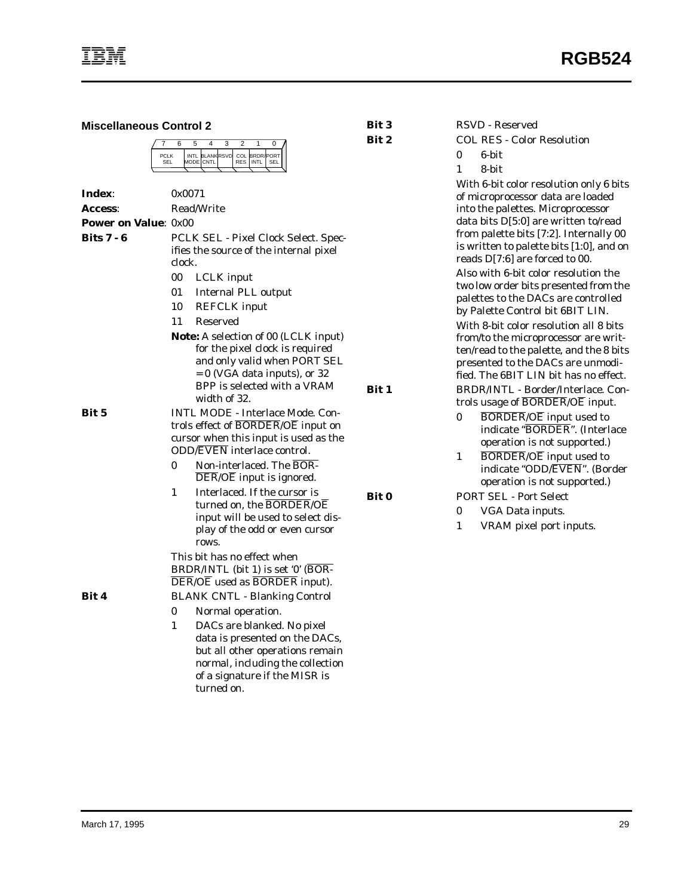| <b>Miscellaneous Control 2</b>                                                                                                                                                                                                                                                                                                                                                                                                                       |                                                                                                                                                                                                                                                                                                                                                                                                                                                            | <b>Bit 3</b> | <b>RSVD</b> - Reserved                                                                                                                                                                                                                                                                                                                                                                                                                                                                                                            |  |  |
|------------------------------------------------------------------------------------------------------------------------------------------------------------------------------------------------------------------------------------------------------------------------------------------------------------------------------------------------------------------------------------------------------------------------------------------------------|------------------------------------------------------------------------------------------------------------------------------------------------------------------------------------------------------------------------------------------------------------------------------------------------------------------------------------------------------------------------------------------------------------------------------------------------------------|--------------|-----------------------------------------------------------------------------------------------------------------------------------------------------------------------------------------------------------------------------------------------------------------------------------------------------------------------------------------------------------------------------------------------------------------------------------------------------------------------------------------------------------------------------------|--|--|
|                                                                                                                                                                                                                                                                                                                                                                                                                                                      | $\overline{2}$<br>7<br>6<br>5<br>4<br>3<br>$\mathbf{1}$<br>0                                                                                                                                                                                                                                                                                                                                                                                               | Bit 2        | <b>COL RES - Color Resolution</b>                                                                                                                                                                                                                                                                                                                                                                                                                                                                                                 |  |  |
|                                                                                                                                                                                                                                                                                                                                                                                                                                                      | INTL BLANK RSVD<br>COL BRDR/PORT<br><b>PCLK</b>                                                                                                                                                                                                                                                                                                                                                                                                            |              | 6-bit<br>0                                                                                                                                                                                                                                                                                                                                                                                                                                                                                                                        |  |  |
|                                                                                                                                                                                                                                                                                                                                                                                                                                                      | mode   cntl<br>RES INTL<br><b>SEL</b><br>SEL                                                                                                                                                                                                                                                                                                                                                                                                               |              | 8-bit<br>1                                                                                                                                                                                                                                                                                                                                                                                                                                                                                                                        |  |  |
| Index:<br><b>Access:</b>                                                                                                                                                                                                                                                                                                                                                                                                                             | 0x0071<br>Read/Write                                                                                                                                                                                                                                                                                                                                                                                                                                       |              | With 6-bit color resolution only 6 bits<br>of microprocessor data are loaded<br>into the palettes. Microprocessor                                                                                                                                                                                                                                                                                                                                                                                                                 |  |  |
|                                                                                                                                                                                                                                                                                                                                                                                                                                                      |                                                                                                                                                                                                                                                                                                                                                                                                                                                            |              | data bits D[5:0] are written to/read                                                                                                                                                                                                                                                                                                                                                                                                                                                                                              |  |  |
| <b>Power on Value: 0x00</b><br><b>Bits 7 - 6</b><br>PCLK SEL - Pixel Clock Select. Spec-<br>ifies the source of the internal pixel<br>clock.<br>00<br><b>LCLK</b> input<br><b>Internal PLL output</b><br>01<br>10<br><b>REFCLK</b> input<br><b>Reserved</b><br>11<br><b>Note:</b> A selection of 00 (LCLK input)<br>for the pixel clock is required<br>and only valid when PORT SEL<br>$= 0$ (VGA data inputs), or 32<br>BPP is selected with a VRAM |                                                                                                                                                                                                                                                                                                                                                                                                                                                            | Bit 1        | from palette bits [7:2]. Internally 00<br>is written to palette bits [1:0], and on<br>reads D[7:6] are forced to 00.<br>Also with 6-bit color resolution the<br>two low order bits presented from the<br>palettes to the DACs are controlled<br>by Palette Control bit 6BIT LIN.<br>With 8-bit color resolution all 8 bits<br>from/to the microprocessor are writ-<br>ten/read to the palette, and the 8 bits<br>presented to the DACs are unmodi-<br>fied. The 6BIT LIN bit has no effect.<br>BRDR/INTL - Border/Interlace. Con- |  |  |
| Bit 5                                                                                                                                                                                                                                                                                                                                                                                                                                                | width of 32.<br><b>INTL MODE - Interlace Mode. Con-</b><br>trols effect of BORDER/OE input on<br>cursor when this input is used as the<br><b>ODD/EVEN</b> interlace control.<br>Non-interlaced. The BOR-<br>$\mathbf{0}$<br>$\overline{\text{DER}}$ / $\overline{\text{OE}}$ input is ignored.<br>Interlaced. If the cursor is<br>$\mathbf{1}$<br>turned on, the BORDER/OE<br>input will be used to select dis-<br>play of the odd or even cursor<br>rows. | Bit 0        | trols usage of BORDER/OE input.<br>$\overline{BORDER}/\overline{OE}$ input used to<br>$\bf{0}$<br>indicate "BORDER". (Interlace<br>operation is not supported.)<br><b>BORDER/OE</b> input used to<br>1<br>indicate "ODD/EVEN". (Border<br>operation is not supported.)<br><b>PORT SEL - Port Select</b><br>$\bf{0}$<br>VGA Data inputs.<br>1<br>VRAM pixel port inputs.                                                                                                                                                           |  |  |
| Bit 4                                                                                                                                                                                                                                                                                                                                                                                                                                                | This bit has no effect when<br>BRDR/INTL (bit 1) is set '0' (BOR-<br>DER/OE used as BORDER input).<br><b>BLANK CNTL - Blanking Control</b><br>0<br>Normal operation.<br>DACs are blanked. No pixel<br>$\mathbf{1}$<br>data is presented on the DACs,<br>but all other operations remain<br>normal, including the collection<br>of a signature if the MISR is                                                                                               |              |                                                                                                                                                                                                                                                                                                                                                                                                                                                                                                                                   |  |  |

turned on.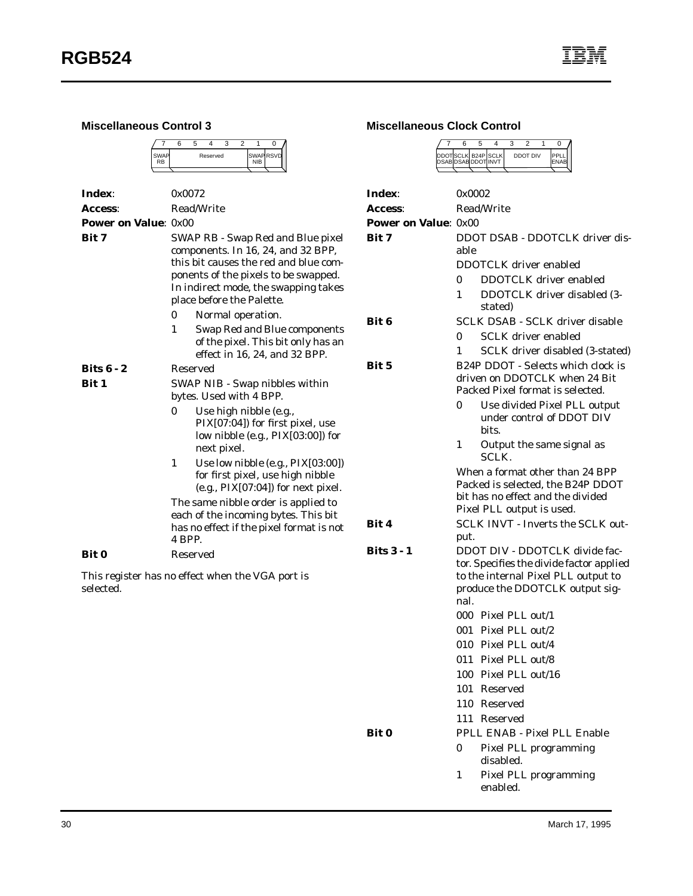| <b>Miscellaneous Control 3</b> |                                                                                                                                                                                                                                                                                                                                                                                                                                                    | <b>Miscellaneous Clock Cor</b> |                                                                                                                                                          |  |
|--------------------------------|----------------------------------------------------------------------------------------------------------------------------------------------------------------------------------------------------------------------------------------------------------------------------------------------------------------------------------------------------------------------------------------------------------------------------------------------------|--------------------------------|----------------------------------------------------------------------------------------------------------------------------------------------------------|--|
|                                | 3<br>$\overline{2}$<br>6<br>5<br>$\overline{4}$<br>1<br>0<br>SWAP RSVD<br><b>SWAP</b><br>Reserved<br><b>RB</b><br><b>NIB</b>                                                                                                                                                                                                                                                                                                                       |                                | 6<br>5<br>4<br>DDOTSCLK B24P SCL<br>DSAB DSAB DDOT INV                                                                                                   |  |
| Index:                         | 0x0072                                                                                                                                                                                                                                                                                                                                                                                                                                             | Index:                         | 0x0002                                                                                                                                                   |  |
| Access:                        | Read/Write                                                                                                                                                                                                                                                                                                                                                                                                                                         | Access:                        | Read/Wri                                                                                                                                                 |  |
| <b>Power on Value: 0x00</b>    |                                                                                                                                                                                                                                                                                                                                                                                                                                                    | <b>Power on Value: 0x00</b>    |                                                                                                                                                          |  |
| Bit 7                          | SWAP RB - Swap Red and Blue pixel<br>components. In 16, 24, and 32 BPP,<br>this bit causes the red and blue com-<br>ponents of the pixels to be swapped.<br>In indirect mode, the swapping takes<br>place before the Palette.<br>0<br>Normal operation.                                                                                                                                                                                            | Bit 7                          | <b>DDOT D:</b><br>able<br><b>DDOTCL</b><br>$\bf{0}$<br>DD<br>D <sub>D</sub><br>1<br>stat                                                                 |  |
|                                | Swap Red and Blue components<br>1<br>of the pixel. This bit only has an<br>effect in 16, 24, and 32 BPP.                                                                                                                                                                                                                                                                                                                                           | Bit 6                          | SCLK DS<br>$\bf{0}$<br>SCI<br>SCI<br>1                                                                                                                   |  |
| Bits $6 - 2$                   | Reserved                                                                                                                                                                                                                                                                                                                                                                                                                                           | Bit 5                          | B <sub>24</sub> P <sub>DD</sub>                                                                                                                          |  |
| Bit 1                          | SWAP NIB - Swap nibbles within<br>bytes. Used with 4 BPP.<br>$\bf{0}$<br>Use high nibble (e.g.,<br>PIX[07:04]) for first pixel, use<br>low nibble (e.g., PIX[03:00]) for<br>next pixel.<br>1<br>Use low nibble (e.g., PIX[03:00])<br>for first pixel, use high nibble<br>$(e.g., PIX[07:04])$ for next pixel.<br>The same nibble order is applied to<br>each of the incoming bytes. This bit<br>has no effect if the pixel format is not<br>4 BPP. | Bit 4                          | driven or<br>Packed P<br>$\bf{0}$<br>Use<br>und<br>bits<br>1<br>Out<br>SCI<br>When a f<br>Packed is<br>bit has no<br>Pixel PLI<br><b>SCLK IN</b><br>put. |  |
| <b>Bit 0</b>                   | Reserved                                                                                                                                                                                                                                                                                                                                                                                                                                           | Bits $3 - 1$                   | <b>DDOT D</b>                                                                                                                                            |  |
| selected.                      | This register has no effect when the VGA port is                                                                                                                                                                                                                                                                                                                                                                                                   |                                | tor. Speci<br>to the int<br>produce t<br>nal.<br>000 Pixe<br>001 Pixe<br>010 Pixe<br>$0.4.4$ The                                                         |  |

#### ntrol

|  | ี่ค |                                           |          |  |
|--|-----|-------------------------------------------|----------|--|
|  |     | DDOTSCLK B24P SCLK<br>DSAB DSAB DDOT INVT | DDOT DIV |  |
|  |     |                                           |          |  |

| Index:               | 0x0002                                  |                                                                                                                                                      |  |  |  |  |
|----------------------|-----------------------------------------|------------------------------------------------------------------------------------------------------------------------------------------------------|--|--|--|--|
| Access:              |                                         | <b>Read/Write</b>                                                                                                                                    |  |  |  |  |
| Power on Value: 0x00 |                                         |                                                                                                                                                      |  |  |  |  |
| Bit 7                | DDOT DSAB - DDOTCLK driver dis-<br>able |                                                                                                                                                      |  |  |  |  |
|                      |                                         | DDOTCLK driver enabled                                                                                                                               |  |  |  |  |
|                      | 0                                       | <b>DDOTCLK</b> driver enabled                                                                                                                        |  |  |  |  |
|                      | 1                                       | DDOTCLK driver disabled (3-<br>stated)                                                                                                               |  |  |  |  |
| Bit 6                |                                         | <b>SCLK DSAB - SCLK driver disable</b>                                                                                                               |  |  |  |  |
|                      | 0                                       | <b>SCLK</b> driver enabled                                                                                                                           |  |  |  |  |
|                      | 1                                       | SCLK driver disabled (3-stated)                                                                                                                      |  |  |  |  |
| Bit 5                |                                         | B24P DDOT - Selects which clock is<br>driven on DDOTCLK when 24 Bit<br>Packed Pixel format is selected.                                              |  |  |  |  |
|                      | $\mathbf{0}$                            | Use divided Pixel PLL output<br>under control of DDOT DIV<br>bits.                                                                                   |  |  |  |  |
|                      | 1                                       | Output the same signal as<br><b>SCLK.</b>                                                                                                            |  |  |  |  |
|                      |                                         | When a format other than 24 BPP<br>Packed is selected, the B24P DDOT<br>bit has no effect and the divided<br>Pixel PLL output is used.               |  |  |  |  |
| Bit 4                |                                         | <b>SCLK INVT - Inverts the SCLK out-</b>                                                                                                             |  |  |  |  |
|                      | put.                                    |                                                                                                                                                      |  |  |  |  |
| Bits 3 - 1           | nal.                                    | DDOT DIV - DDOTCLK divide fac-<br>tor. Specifies the divide factor applied<br>to the internal Pixel PLL output to<br>produce the DDOTCLK output sig- |  |  |  |  |
|                      |                                         | 000 Pixel PLL out/1                                                                                                                                  |  |  |  |  |
|                      |                                         | 001 Pixel PLL out/2                                                                                                                                  |  |  |  |  |
|                      |                                         | 010 Pixel PLL out/4                                                                                                                                  |  |  |  |  |
|                      |                                         | 011 Pixel PLL out/8                                                                                                                                  |  |  |  |  |
|                      |                                         | 100 Pixel PLL out/16                                                                                                                                 |  |  |  |  |
|                      | 101                                     | Reserved                                                                                                                                             |  |  |  |  |
|                      |                                         | 110 Reserved                                                                                                                                         |  |  |  |  |
|                      |                                         | 111 Reserved                                                                                                                                         |  |  |  |  |
| Bit 0                |                                         | PPLL ENAB - Pixel PLL Enable                                                                                                                         |  |  |  |  |
|                      | 0                                       | <b>Pixel PLL programming</b><br>disabled.                                                                                                            |  |  |  |  |
|                      | 1                                       | Pixel PLL programming<br>enabled.                                                                                                                    |  |  |  |  |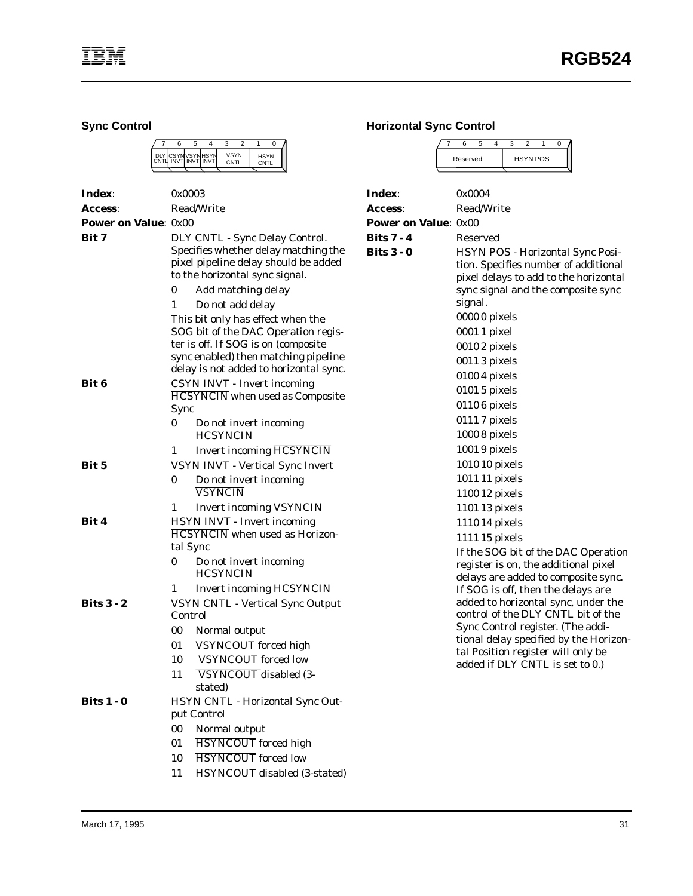**Sync Control**

|  | ีค                                      |  |                      |                            |  |
|--|-----------------------------------------|--|----------------------|----------------------------|--|
|  | DLY CSYNVSYNHSYN<br>CNTL INVTLINVTLINVT |  | <b>VSYN</b><br>CNTI. | <b>HSYN</b><br><b>CNTI</b> |  |
|  |                                         |  |                      |                            |  |

| Index:                      | 0x0003                                                                                                                                                                                                                                                                                                                                                                 |                                                                                                                                                               | Index:                                 | 0x0004                                                                                                                                                                                                                            |
|-----------------------------|------------------------------------------------------------------------------------------------------------------------------------------------------------------------------------------------------------------------------------------------------------------------------------------------------------------------------------------------------------------------|---------------------------------------------------------------------------------------------------------------------------------------------------------------|----------------------------------------|-----------------------------------------------------------------------------------------------------------------------------------------------------------------------------------------------------------------------------------|
| <b>Access:</b>              |                                                                                                                                                                                                                                                                                                                                                                        | Read/Write                                                                                                                                                    | <b>Access:</b>                         | Read/Write                                                                                                                                                                                                                        |
| <b>Power on Value: 0x00</b> |                                                                                                                                                                                                                                                                                                                                                                        |                                                                                                                                                               | <b>Power on Value: 0x00</b>            |                                                                                                                                                                                                                                   |
| Bit 7                       | DLY CNTL - Sync Delay Control.<br>Specifies whether delay matching the<br>pixel pipeline delay should be added<br>to the horizontal sync signal.<br>$\bf{0}$<br>Add matching delay<br>Do not add delay<br>1<br>This bit only has effect when the<br>SOG bit of the DAC Operation regis-<br>ter is off. If SOG is on (composite<br>sync enabled) then matching pipeline |                                                                                                                                                               | <b>Bits 7 - 4</b><br><b>Bits 3 - 0</b> | Reserved<br>HSYN POS - Horizontal Sync Posi-<br>tion. Specifies number of additional<br>pixel delays to add to the horizontal<br>sync signal and the composite sync<br>signal.<br>00000 pixels<br>0001 1 pixel<br>00102 pixels    |
| Bit 6                       |                                                                                                                                                                                                                                                                                                                                                                        | delay is not added to horizontal sync.<br><b>CSYN INVT - Invert incoming</b><br><b>HCSYNCIN</b> when used as Composite                                        |                                        | 00113 pixels<br>0100 4 pixels<br>01015 pixels                                                                                                                                                                                     |
|                             | Sync<br>$\bf{0}$                                                                                                                                                                                                                                                                                                                                                       | Do not invert incoming<br><b>HCSYNCIN</b>                                                                                                                     |                                        | 01106 pixels<br>01117 pixels<br>10008 pixels                                                                                                                                                                                      |
| Bit 5                       | 1<br>0                                                                                                                                                                                                                                                                                                                                                                 | <b>Invert incoming HCSYNCIN</b><br>VSYN INVT - Vertical Sync Invert<br>Do not invert incoming                                                                 |                                        | 10019 pixels<br>1010 10 pixels<br>1011 11 pixels                                                                                                                                                                                  |
| Bit 4                       | 1                                                                                                                                                                                                                                                                                                                                                                      | <b>VSYNCIN</b><br><b>Invert incoming VSYNCIN</b><br><b>HSYN INVT - Invert incoming</b>                                                                        |                                        | 1100 12 pixels<br>1101 13 pixels<br>1110 14 pixels                                                                                                                                                                                |
|                             | tal Sync<br>0<br>1                                                                                                                                                                                                                                                                                                                                                     | <b>HCSYNCIN</b> when used as Horizon-<br>Do not invert incoming<br><b>HCSYNCIN</b><br><b>Invert incoming HCSYNCIN</b>                                         |                                        | 111115 pixels<br>If the SOG bit of the DAC Operation<br>register is on, the additional pixel<br>delays are added to composite sync.<br>If SOG is off, then the delays are                                                         |
| <b>Bits 3 - 2</b>           | Control<br>00<br>01<br>10<br>11                                                                                                                                                                                                                                                                                                                                        | <b>VSYN CNTL - Vertical Sync Output</b><br>Normal output<br>VSYNCOUT forced high<br><b>VSYNCOUT</b> forced low<br>VSYNCOUT disabled (3-<br>stated)            |                                        | added to horizontal sync, under the<br>control of the DLY CNTL bit of the<br>Sync Control register. (The addi-<br>tional delay specified by the Horizon-<br>tal Position register will only be<br>added if DLY CNTL is set to 0.) |
| <b>Bits 1 - 0</b>           | 00<br>01<br>10<br>11                                                                                                                                                                                                                                                                                                                                                   | HSYN CNTL - Horizontal Sync Out-<br>put Control<br>Normal output<br><b>HSYNCOUT</b> forced high<br><b>HSYNCOUT</b> forced low<br>HSYNCOUT disabled (3-stated) |                                        |                                                                                                                                                                                                                                   |

#### **Horizontal Sync Control**

7 6 5 4 3 2 1 0 Reserved | HSYN POS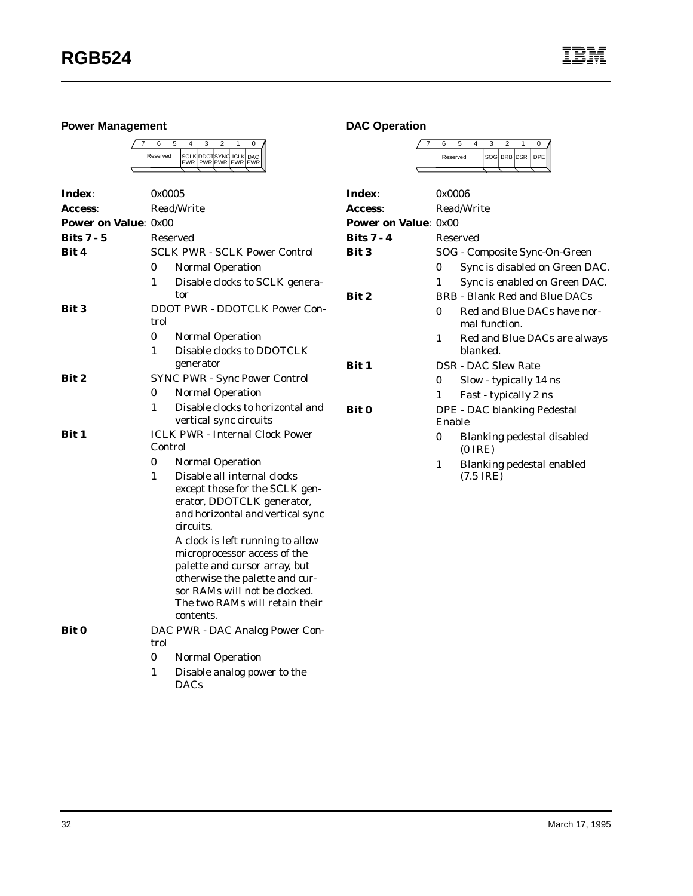## **Power Management**



| Index:                      | 0x0005   |                                                                 |  |  |  |  |
|-----------------------------|----------|-----------------------------------------------------------------|--|--|--|--|
| <b>Access:</b>              |          | <b>Read/Write</b>                                               |  |  |  |  |
| <b>Power on Value: 0x00</b> |          |                                                                 |  |  |  |  |
| Bits $7 - 5$                | Reserved |                                                                 |  |  |  |  |
| Bit 4                       |          | <b>SCLK PWR - SCLK Power Control</b>                            |  |  |  |  |
|                             | 0        | <b>Normal Operation</b>                                         |  |  |  |  |
|                             | 1        | Disable clocks to SCLK genera-                                  |  |  |  |  |
|                             |          | tor                                                             |  |  |  |  |
| Bit 3                       |          | <b>DDOT PWR - DDOTCLK Power Con-</b>                            |  |  |  |  |
|                             | trol     |                                                                 |  |  |  |  |
|                             | $\bf{0}$ | <b>Normal Operation</b>                                         |  |  |  |  |
|                             | 1        | Disable clocks to DDOTCLK<br>generator                          |  |  |  |  |
| Bit 2                       |          | <b>SYNC PWR - Sync Power Control</b>                            |  |  |  |  |
|                             | 0        | <b>Normal Operation</b>                                         |  |  |  |  |
|                             | 1        | Disable clocks to horizontal and                                |  |  |  |  |
|                             |          | vertical sync circuits                                          |  |  |  |  |
| Bit 1                       | Control  | <b>ICLK PWR - Internal Clock Power</b>                          |  |  |  |  |
|                             | 0        | <b>Normal Operation</b>                                         |  |  |  |  |
|                             | 1        | Disable all internal clocks                                     |  |  |  |  |
|                             |          | except those for the SCLK gen-                                  |  |  |  |  |
|                             |          | erator, DDOTCLK generator,                                      |  |  |  |  |
|                             |          | and horizontal and vertical sync<br>circuits.                   |  |  |  |  |
|                             |          | A clock is left running to allow                                |  |  |  |  |
|                             |          | microprocessor access of the                                    |  |  |  |  |
|                             |          | palette and cursor array, but                                   |  |  |  |  |
|                             |          | otherwise the palette and cur-<br>sor RAMs will not be clocked. |  |  |  |  |
|                             |          | The two RAMs will retain their                                  |  |  |  |  |
|                             |          | contents.                                                       |  |  |  |  |
| Bit 0                       |          | DAC PWR - DAC Analog Power Con-                                 |  |  |  |  |
|                             | trol     |                                                                 |  |  |  |  |
|                             | 0        | <b>Normal Operation</b>                                         |  |  |  |  |
|                             | 1        | Disable analog power to the<br><b>DACs</b>                      |  |  |  |  |

## **DAC Operation**

|  | Reserved |  |  |  | SOG BRB DSR   DPE |  |
|--|----------|--|--|--|-------------------|--|
|  |          |  |  |  |                   |  |

| Index:                      | 0x0006 |                                                  |  |  |  |  |
|-----------------------------|--------|--------------------------------------------------|--|--|--|--|
| Access:                     |        | Read/Write                                       |  |  |  |  |
| <b>Power on Value: 0x00</b> |        |                                                  |  |  |  |  |
| <b>Bits 7 - 4</b>           |        | Reserved                                         |  |  |  |  |
| <b>Bit 3</b>                |        | SOG - Composite Sync-On-Green                    |  |  |  |  |
|                             | 0      | Sync is disabled on Green DAC.                   |  |  |  |  |
|                             | 1      | Sync is enabled on Green DAC.                    |  |  |  |  |
| <b>Bit 2</b>                |        | BRB - Blank Red and Blue DACs                    |  |  |  |  |
|                             | 0      | Red and Blue DACs have nor-<br>mal function.     |  |  |  |  |
|                             | 1      | Red and Blue DACs are always<br>blanked.         |  |  |  |  |
| <b>Bit 1</b>                |        | <b>DSR - DAC Slew Rate</b>                       |  |  |  |  |
|                             | 0      | Slow - typically 14 ns                           |  |  |  |  |
|                             | 1      | Fast - typically 2 ns                            |  |  |  |  |
| <b>Bit 0</b>                |        | DPE - DAC blanking Pedestal                      |  |  |  |  |
|                             | Enable |                                                  |  |  |  |  |
|                             | 0      | Blanking pedestal disabled<br>$(0$ IRE)          |  |  |  |  |
|                             | 1      | Blanking pedestal enabled<br>$(7.5 \text{ IRE})$ |  |  |  |  |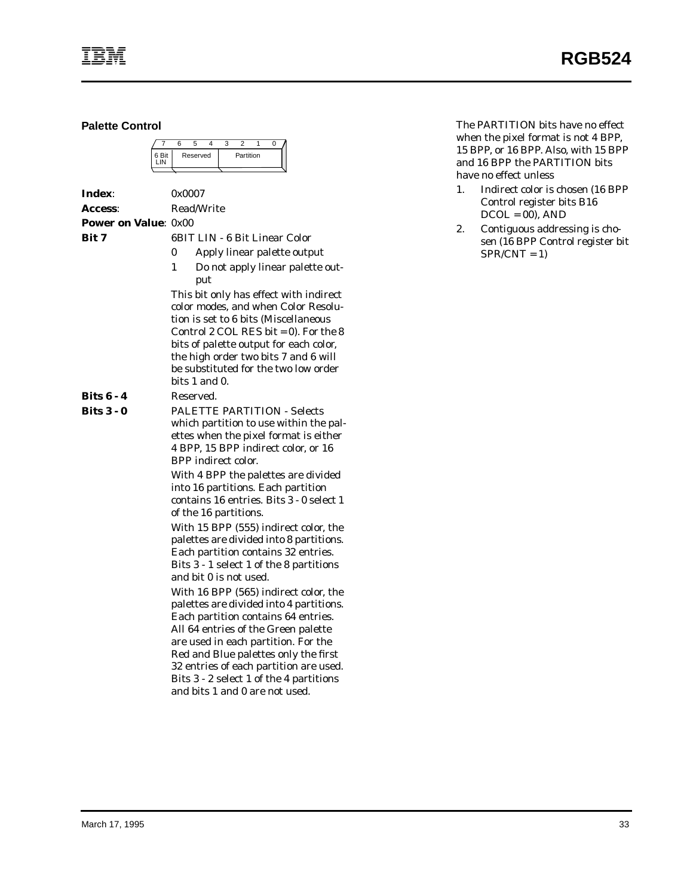**Palette Control**

|       | ี |          |  |           |  |  |
|-------|---|----------|--|-----------|--|--|
| 6 Bit |   | Reserved |  | Partition |  |  |
|       |   |          |  |           |  |  |

**Index**: 0x0007 **Access**: Read/Write **Power on Value**: 0x00 **Bit 7** 6BIT LIN - 6 Bit Linear Color 0 Apply linear palette output 1 Do not apply linear palette output This bit only has effect with indirect color modes, and when Color Resolution is set to 6 bits (Miscellaneous Control 2 COL RES bit  $= 0$ ). For the 8 bits of palette output for each color, the high order two bits 7 and 6 will be substituted for the two low order bits 1 and 0. **Bits 6 - 4** Reserved. **Bits 3 - 0** PALETTE PARTITION - Selects which partition to use within the palettes when the pixel format is either 4 BPP, 15 BPP indirect color, or 16 BPP indirect color. With 4 BPP the palettes are divided into 16 partitions. Each partition contains 16 entries. Bits 3 - 0 select 1 of the 16 partitions. With 15 BPP (555) indirect color, the palettes are divided into 8 partitions. Each partition contains 32 entries. Bits 3 - 1 select 1 of the 8 partitions and bit 0 is not used. With 16 BPP (565) indirect color, the palettes are divided into 4 partitions. Each partition contains 64 entries. All 64 entries of the Green palette are used in each partition. For the Red and Blue palettes only the first 32 entries of each partition are used. Bits 3 - 2 select 1 of the 4 partitions and bits 1 and 0 are not used.

The PARTITION bits have no effect when the pixel format is not 4 BPP, 15 BPP, or 16 BPP. Also, with 15 BPP and 16 BPP the PARTITION bits have no effect unless

- 1. Indirect color is chosen (16 BPP Control register bits B16  $DCOL = 00$ ,  $AND$
- 2. Contiguous addressing is chosen (16 BPP Control register bit  $SPR/CNT = 1$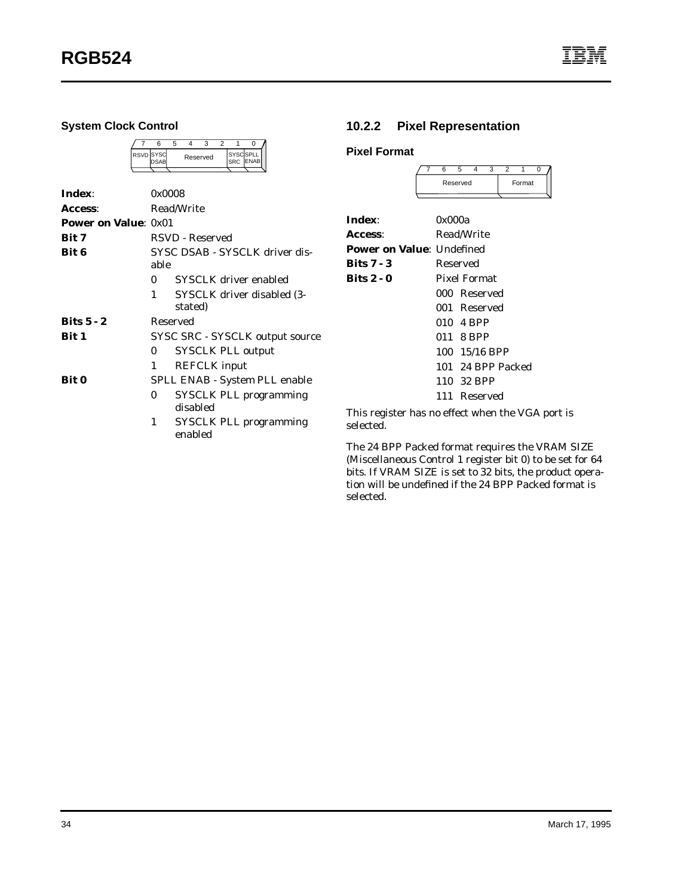#### **System Clock Control**

|  | <b>RSVD</b> SYSC<br><b>IDSAB</b> |  | Reserved | SYSCSPLL<br><b>ISRC</b> | <b>ENAB</b> |
|--|----------------------------------|--|----------|-------------------------|-------------|
|  |                                  |  |          |                         |             |

| Index:                      | 0x0008                                 |                                           |  |  |  |  |
|-----------------------------|----------------------------------------|-------------------------------------------|--|--|--|--|
| Access:                     |                                        | Read/Write                                |  |  |  |  |
| <b>Power on Value: 0x01</b> |                                        |                                           |  |  |  |  |
| <b>Bit 7</b>                |                                        | RSVD - Reserved                           |  |  |  |  |
| Bit 6                       | SYSC DSAB - SYSCLK driver dis-<br>able |                                           |  |  |  |  |
|                             | 0                                      | SYSCLK driver enabled                     |  |  |  |  |
|                             | 1                                      | SYSCLK driver disabled (3-<br>stated)     |  |  |  |  |
| $Bits 5 - 2$                | Reserved                               |                                           |  |  |  |  |
| Bit 1                       |                                        | SYSC SRC - SYSCLK output source           |  |  |  |  |
|                             | 0                                      | <b>SYSCLK PLL output</b>                  |  |  |  |  |
|                             | 1                                      | <b>REFCLK</b> input                       |  |  |  |  |
| <b>Bit 0</b>                |                                        | SPLL ENAB - System PLL enable             |  |  |  |  |
|                             | 0                                      | <b>SYSCLK PLL programming</b><br>disabled |  |  |  |  |
|                             | 1                                      | <b>SYSCLK PLL programming</b><br>enabled  |  |  |  |  |

## **10.2.2 Pixel Representation**

## **Pixel Format**

|  | Reserved |  | Format |  |
|--|----------|--|--------|--|
|  |          |  |        |  |

| Index:                           | 0x000a              |  |
|----------------------------------|---------------------|--|
| Access:                          | <b>Read/Write</b>   |  |
| <b>Power on Value: Undefined</b> |                     |  |
| Bits $7 - 3$                     | Reserved            |  |
| <b>Bits 2 - 0</b>                | <b>Pixel Format</b> |  |
|                                  | 000 Reserved        |  |
|                                  | 001 Reserved        |  |
|                                  | 010 4 BPP           |  |
|                                  | 011 8 BPP           |  |
|                                  | 100 15/16 BPP       |  |
|                                  | 101 24 BPP Packed   |  |
|                                  | 110 32 BPP          |  |
|                                  | 111 Reserved        |  |
|                                  |                     |  |

This register has no effect when the VGA port is selected.

The 24 BPP Packed format requires the VRAM SIZE (Miscellaneous Control 1 register bit 0) to be set for 64 bits. If VRAM SIZE is set to 32 bits, the product operation will be undefined if the 24 BPP Packed format is selected.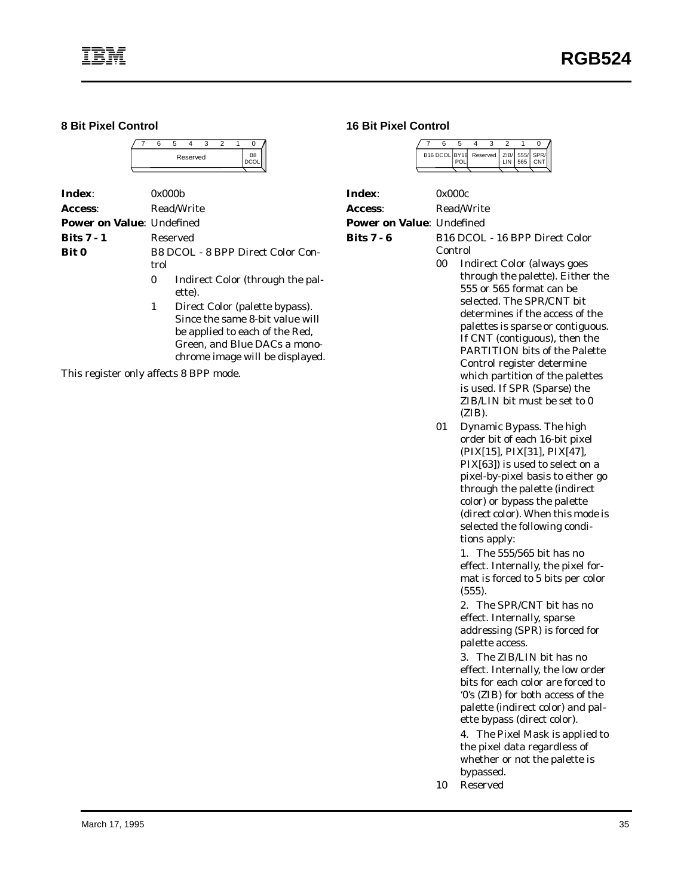#### **8 Bit Pixel Control**

|  |  | Reserved |  | B8 |
|--|--|----------|--|----|
|  |  |          |  |    |

| Index:                           | 0x000b   |                                                                                                     |  |  |  |  |
|----------------------------------|----------|-----------------------------------------------------------------------------------------------------|--|--|--|--|
| Access:                          |          | Read/Write                                                                                          |  |  |  |  |
| <b>Power on Value: Undefined</b> |          |                                                                                                     |  |  |  |  |
| <b>Bits 7 - 1</b>                | Reserved |                                                                                                     |  |  |  |  |
| <b>Bit 0</b>                     | trol     | B8 DCOL - 8 BPP Direct Color Con-                                                                   |  |  |  |  |
|                                  | $\bf{0}$ | Indirect Color (through the pal-<br>ette).                                                          |  |  |  |  |
|                                  | 1        | Direct Color (palette bypass).<br>Since the same 8-bit value will<br>be applied to each of the Red. |  |  |  |  |

Green, and Blue DACs a monochrome image will be displayed.

This register only affects 8 BPP mode.

#### **16 Bit Pixel Control**

|  | ี             |  |  |                                      |  |
|--|---------------|--|--|--------------------------------------|--|
|  | B16 DCOL BY16 |  |  | Reserved   ZIB/ 555/ SPR/<br>565 CNT |  |
|  |               |  |  |                                      |  |

| Index:                            | 0x000c                                                                                                                                                                                                                                                                                                                                                                                                                            |
|-----------------------------------|-----------------------------------------------------------------------------------------------------------------------------------------------------------------------------------------------------------------------------------------------------------------------------------------------------------------------------------------------------------------------------------------------------------------------------------|
| <b>Access:</b>                    | Read/Write                                                                                                                                                                                                                                                                                                                                                                                                                        |
| <b>Power on Value</b> : Undefined |                                                                                                                                                                                                                                                                                                                                                                                                                                   |
| Bits 7 - 6                        | B <sub>16</sub> DCOL - 16 BPP Direct Color<br>Control                                                                                                                                                                                                                                                                                                                                                                             |
|                                   | 00<br><b>Indirect Color (always goes</b><br>through the palette). Either the<br>555 or 565 format can be<br>selected. The SPR/CNT bit<br>determines if the access of the<br>palettes is sparse or contiguous.<br>If CNT (contiguous), then the<br><b>PARTITION</b> bits of the Palette<br>Control register determine<br>which partition of the palettes<br>is used. If SPR (Sparse) the<br>ZIB/LIN bit must be set to 0<br>(ZIB). |

01 Dynamic Bypass. The high order bit of each 16-bit pixel (PIX[15], PIX[31], PIX[47], PIX[63]) is used to select on a pixel-by-pixel basis to either go through the palette (indirect color) or bypass the palette (direct color). When this mode is selected the following conditions apply:

> 1. The 555/565 bit has no effect. Internally, the pixel format is forced to 5 bits per color (555).

2. The SPR/CNT bit has no effect. Internally, sparse addressing (SPR) is forced for palette access.

3. The ZIB/LIN bit has no effect. Internally, the low order bits for each color are forced to '0's (ZIB) for both access of the palette (indirect color) and palette bypass (direct color).

4. The Pixel Mask is applied to the pixel data regardless of whether or not the palette is bypassed.

10 Reserved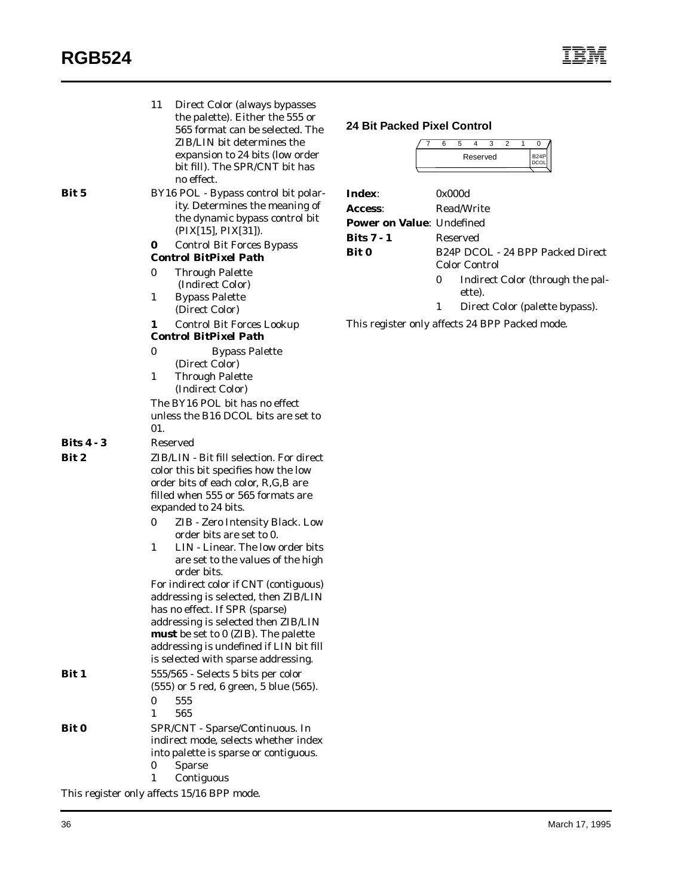| Bit 5                                      | 11<br>0<br>0<br>$\mathbf{1}$<br>1 | Direct Color (always bypasses<br>the palette). Either the 555 or<br>565 format can be selected. The<br>ZIB/LIN bit determines the<br>expansion to 24 bits (low order<br>bit fill). The SPR/CNT bit has<br>no effect.<br>BY16 POL - Bypass control bit polar-<br>ity. Determines the meaning of<br>the dynamic bypass control bit<br>(PIX[15], PIX[31]).<br><b>Control Bit Forces Bypass</b><br><b>Control BitPixel Path</b><br><b>Through Palette</b><br>(Indirect Color)<br><b>Bypass Palette</b><br>(Direct Color)<br><b>Control Bit Forces Lookup</b>                                                                         | <b>24 Bit Packed Pixel Control</b><br>Index:<br>Access:<br>Power on Value: Undefined<br><b>Bits 7 - 1</b><br><b>Bit 0</b> | 0<br>1 | 6<br>0x000d | 5<br>4<br>3<br>$\overline{2}$<br>0<br>$\mathbf{1}$<br>B <sub>24</sub> P<br>Reserved<br><b>DCOL</b><br>Read/Write<br>Reserved<br>B24P DCOL - 24 BPP Packed Direct<br><b>Color Control</b><br>Indirect Color (through the pal-<br>ette).<br>Direct Color (palette bypass).<br>This register only affects 24 BPP Packed mode. |
|--------------------------------------------|-----------------------------------|----------------------------------------------------------------------------------------------------------------------------------------------------------------------------------------------------------------------------------------------------------------------------------------------------------------------------------------------------------------------------------------------------------------------------------------------------------------------------------------------------------------------------------------------------------------------------------------------------------------------------------|---------------------------------------------------------------------------------------------------------------------------|--------|-------------|----------------------------------------------------------------------------------------------------------------------------------------------------------------------------------------------------------------------------------------------------------------------------------------------------------------------------|
|                                            |                                   | <b>Control BitPixel Path</b>                                                                                                                                                                                                                                                                                                                                                                                                                                                                                                                                                                                                     |                                                                                                                           |        |             |                                                                                                                                                                                                                                                                                                                            |
|                                            | $\pmb{0}$<br>$\mathbf{1}$<br>01.  | <b>Bypass Palette</b><br>(Direct Color)<br><b>Through Palette</b><br>(Indirect Color)<br>The BY16 POL bit has no effect<br>unless the B16 DCOL bits are set to                                                                                                                                                                                                                                                                                                                                                                                                                                                                   |                                                                                                                           |        |             |                                                                                                                                                                                                                                                                                                                            |
| <b>Bits 4 - 3</b>                          | Reserved                          |                                                                                                                                                                                                                                                                                                                                                                                                                                                                                                                                                                                                                                  |                                                                                                                           |        |             |                                                                                                                                                                                                                                                                                                                            |
| Bit 2                                      | 0<br>$\mathbf{1}$                 | ZIB/LIN - Bit fill selection. For direct<br>color this bit specifies how the low<br>order bits of each color, R,G,B are<br>filled when 555 or 565 formats are<br>expanded to 24 bits.<br>ZIB - Zero Intensity Black. Low<br>order bits are set to 0.<br>LIN - Linear. The low order bits<br>are set to the values of the high<br>order bits.<br>For indirect color if CNT (contiguous)<br>addressing is selected, then ZIB/LIN<br>has no effect. If SPR (sparse)<br>addressing is selected then ZIB/LIN<br>must be set to 0 (ZIB). The palette<br>addressing is undefined if LIN bit fill<br>is selected with sparse addressing. |                                                                                                                           |        |             |                                                                                                                                                                                                                                                                                                                            |
| Bit 1                                      |                                   | 555/565 - Selects 5 bits per color<br>$(555)$ or 5 red, 6 green, 5 blue $(565)$ .                                                                                                                                                                                                                                                                                                                                                                                                                                                                                                                                                |                                                                                                                           |        |             |                                                                                                                                                                                                                                                                                                                            |
|                                            | 555<br>0<br>565<br>1              |                                                                                                                                                                                                                                                                                                                                                                                                                                                                                                                                                                                                                                  |                                                                                                                           |        |             |                                                                                                                                                                                                                                                                                                                            |
| <b>Bit 0</b>                               |                                   | SPR/CNT - Sparse/Continuous. In                                                                                                                                                                                                                                                                                                                                                                                                                                                                                                                                                                                                  |                                                                                                                           |        |             |                                                                                                                                                                                                                                                                                                                            |
|                                            | 0<br><b>Sparse</b><br>1           | indirect mode, selects whether index<br>into palette is sparse or contiguous.<br>Contiguous                                                                                                                                                                                                                                                                                                                                                                                                                                                                                                                                      |                                                                                                                           |        |             |                                                                                                                                                                                                                                                                                                                            |
| This register only affects 15/16 BPP mode. |                                   |                                                                                                                                                                                                                                                                                                                                                                                                                                                                                                                                                                                                                                  |                                                                                                                           |        |             |                                                                                                                                                                                                                                                                                                                            |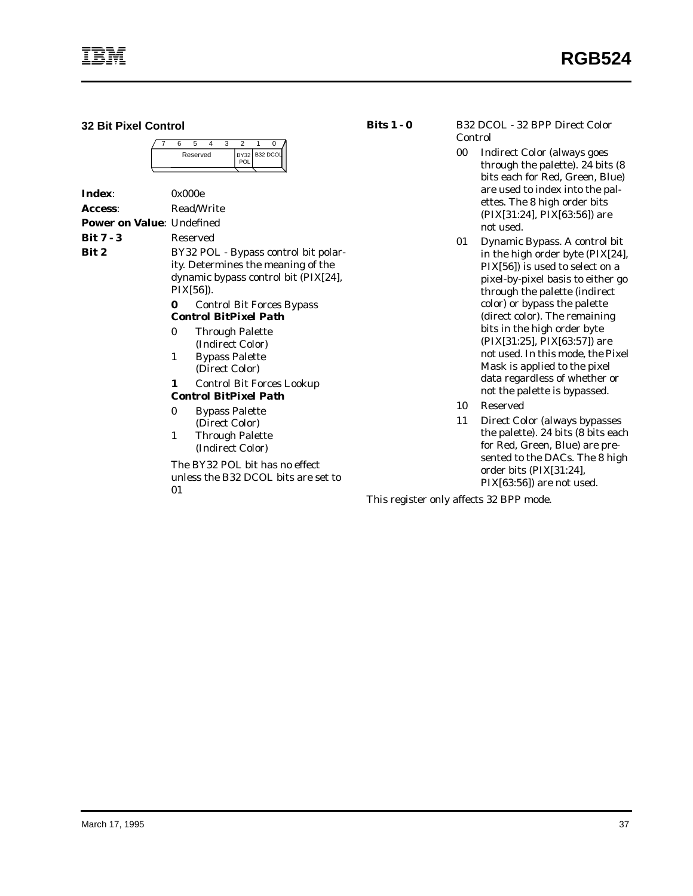**32 Bit Pixel Control**

|  | Reserved |  | POL | BY32 B32 DCOL |
|--|----------|--|-----|---------------|
|  |          |  |     |               |

| Index:                            | 0x000e    |                                                                                                                    |
|-----------------------------------|-----------|--------------------------------------------------------------------------------------------------------------------|
| <b>Access:</b>                    |           | Read/Write                                                                                                         |
| <b>Power on Value</b> : Undefined |           |                                                                                                                    |
| Bit 7 - 3                         | Reserved  |                                                                                                                    |
| Bit 2                             | PIX[56]). | BY32 POL - Bypass control bit polar-<br>ity. Determines the meaning of the<br>dynamic bypass control bit (PIX[24], |
|                                   | 0         | <b>Control Bit Forces Bypass</b><br><b>Control BitPixel Path</b>                                                   |
|                                   | 0         | <b>Through Palette</b><br>(Indirect Color)                                                                         |
|                                   | 1         | <b>Bypass Palette</b><br>(Direct Color)                                                                            |
|                                   | 1         | <b>Control Bit Forces Lookup</b>                                                                                   |
|                                   |           | <b>Control BitPixel Path</b>                                                                                       |
|                                   | 0         | <b>Bypass Palette</b><br>(Direct Color)                                                                            |
|                                   | 1         | <b>Through Palette</b><br>(Indirect Color)                                                                         |

The BY32 POL bit has no effect unless the B32 DCOL bits are set to 01

**Bits 1 - 0** B32 DCOL - 32 BPP Direct Color Control

- 00 Indirect Color (always goes through the palette). 24 bits (8 bits each for Red, Green, Blue) are used to index into the palettes. The 8 high order bits (PIX[31:24], PIX[63:56]) are not used.
- 01 Dynamic Bypass. A control bit in the high order byte (PIX[24], PIX[56]) is used to select on a pixel-by-pixel basis to either go through the palette (indirect color) or bypass the palette (direct color). The remaining bits in the high order byte (PIX[31:25], PIX[63:57]) are not used. In this mode, the Pixel Mask is applied to the pixel data regardless of whether or not the palette is bypassed.
- 10 Reserved
- 11 Direct Color (always bypasses the palette). 24 bits (8 bits each for Red, Green, Blue) are presented to the DACs. The 8 high order bits (PIX[31:24], PIX[63:56]) are not used.

This register only affects 32 BPP mode.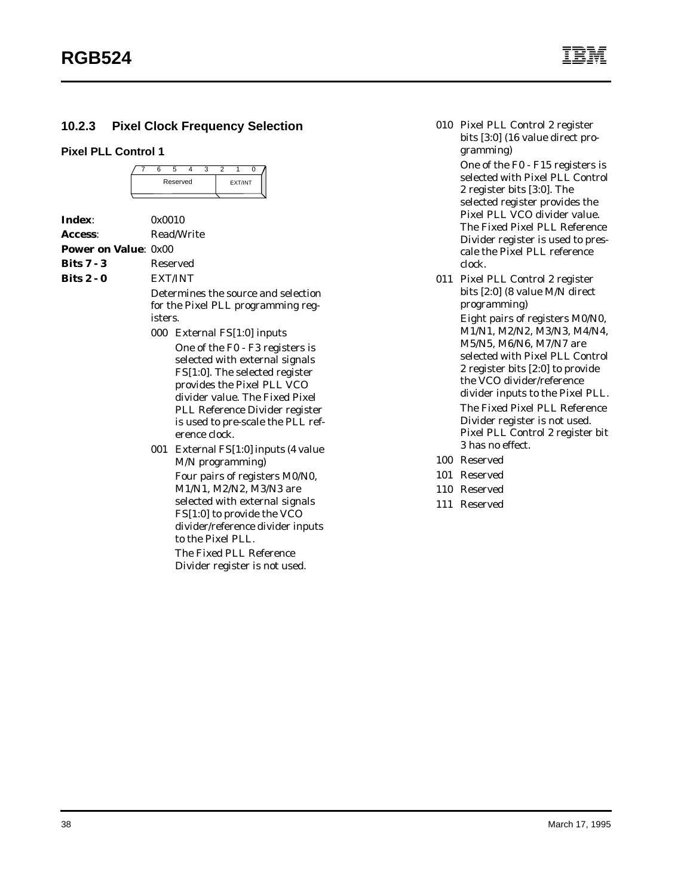## **10.2.3 Pixel Clock Frequency Selection**

#### **Pixel PLL Control 1**

|  | Reserved |  | EXT/INT |  |
|--|----------|--|---------|--|
|  |          |  |         |  |

|                              | Read/Write                                                                                                                                                                                                                                                  |
|------------------------------|-------------------------------------------------------------------------------------------------------------------------------------------------------------------------------------------------------------------------------------------------------------|
| <b>Power on Value</b> : 0x00 |                                                                                                                                                                                                                                                             |
|                              | Reserved                                                                                                                                                                                                                                                    |
|                              | <b>EXT/INT</b>                                                                                                                                                                                                                                              |
|                              | Determines the source and selection<br>for the Pixel PLL programming reg-                                                                                                                                                                                   |
|                              | 000 External FS[1:0] inputs                                                                                                                                                                                                                                 |
|                              | One of the F0 - F3 registers is<br>selected with external signals<br>FS[1:0]. The selected register<br>provides the Pixel PLL VCO<br>divider value. The Fixed Pixel<br>PLL Reference Divider register<br>is used to pre-scale the PLL ref-<br>erence clock. |
|                              | 001 External FS[1:0] inputs (4 value<br>M/N programming)                                                                                                                                                                                                    |
|                              | Four pairs of registers M0/N0,<br>M1/N1, M2/N2, M3/N3 are<br>selected with external signals<br>FS[1:0] to provide the VCO<br>divider/reference divider inputs<br>to the Pixel PLL.                                                                          |
|                              | 0x0010<br>isters.                                                                                                                                                                                                                                           |

The Fixed PLL Reference Divider register is not used. 010 Pixel PLL Control 2 register bits [3:0] (16 value direct programming)

> One of the F0 - F15 registers is selected with Pixel PLL Control 2 register bits [3:0]. The selected register provides the Pixel PLL VCO divider value. The Fixed Pixel PLL Reference Divider register is used to prescale the Pixel PLL reference clock.

- 011 Pixel PLL Control 2 register bits [2:0] (8 value M/N direct programming) Eight pairs of registers M0/N0, M1/N1, M2/N2, M3/N3, M4/N4, M5/N5, M6/N6, M7/N7 are selected with Pixel PLL Control 2 register bits [2:0] to provide the VCO divider/reference divider inputs to the Pixel PLL. The Fixed Pixel PLL Reference Divider register is not used. Pixel PLL Control 2 register bit 3 has no effect.
- 100 Reserved
- 101 Reserved
- 110 Reserved
- 111 Reserved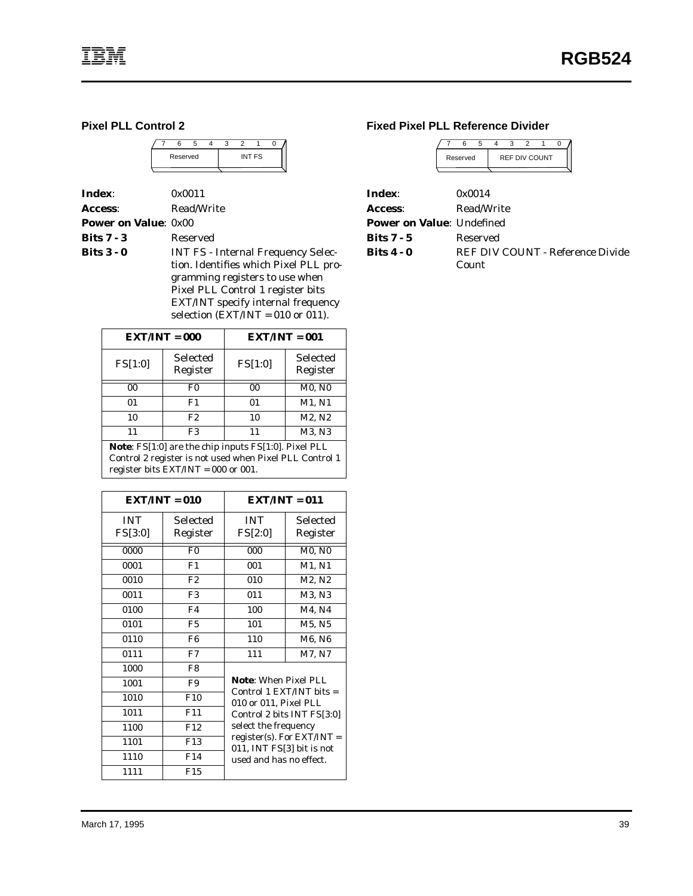#### **Pixel PLL Control 2**

|  | Reserved |  |  | INT FS |  |
|--|----------|--|--|--------|--|
|  |          |  |  |        |  |

**Index**: 0x0011 Access: Read/Write

**Power on Value**: 0x00

**Bits 7 - 3** Reserved

**Bits 3 - 0** INT FS - Internal Frequency Selection. Identifies which Pixel PLL programming registers to use when Pixel PLL Control 1 register bits EXT/INT specify internal frequency selection  $\overline{\text{EXT}/\text{INT}} = 010$  or 011).

|         | $EXT/INT = 000$             | $EXT/INT = 001$ |                      |  |  |  |
|---------|-----------------------------|-----------------|----------------------|--|--|--|
| FS[1:0] | <b>Selected</b><br>Register | FS[1:0]         | Selected<br>Register |  |  |  |
| 00      | F0                          | 00              | <b>M0, N0</b>        |  |  |  |
| 01      | F1                          | 01              | M1, N1               |  |  |  |
| 10      | F2                          | 10              | M2, N2               |  |  |  |
|         | F3                          | 11              | M3, N3               |  |  |  |

**Note**: FS[1:0] are the chip inputs FS[1:0]. Pixel PLL Control 2 register is not used when Pixel PLL Control 1 register bits EXT/INT = 000 or 001.

|                       | $\mathbf{EXT}/\mathbf{INT} = 010$ | $EXT/INT = 011$                                           |                                 |  |  |  |
|-----------------------|-----------------------------------|-----------------------------------------------------------|---------------------------------|--|--|--|
| <b>INT</b><br>FS[3:0] | Selected<br>Register              | <b>INT</b><br>FS[2:0]                                     | Selected<br>Register            |  |  |  |
| 0000                  | F <sub>0</sub>                    | 000                                                       | M0, N0                          |  |  |  |
| 0001                  | F1                                | 001                                                       | M1, N1                          |  |  |  |
| 0010                  | F2                                | 010                                                       | M2, N2                          |  |  |  |
| 0011                  | F <sub>3</sub>                    | 011                                                       | M3, N3                          |  |  |  |
| 0100                  | F4                                | 100                                                       | M4, N4                          |  |  |  |
| 0101                  | F5                                | 101                                                       | M5, N5                          |  |  |  |
| 0110                  | F <sub>6</sub>                    | 110                                                       | M6, N6                          |  |  |  |
| 0111                  | F7                                | 111                                                       | M7, N7                          |  |  |  |
| 1000                  | F8                                |                                                           |                                 |  |  |  |
| 1001                  | F9                                | <b>Note:</b> When Pixel PLL<br>Control 1 EXT/INT bits $=$ |                                 |  |  |  |
| 1010                  | F10                               | 010 or 011, Pixel PLL                                     |                                 |  |  |  |
| 1011                  | F <sub>11</sub>                   |                                                           | Control 2 bits INT FS[3:0]      |  |  |  |
| 1100                  | F12                               | select the frequency                                      |                                 |  |  |  |
| 1101                  | F <sub>13</sub>                   |                                                           | $register(s)$ . For $EXT/INT =$ |  |  |  |
| 1110                  | F14                               | 011, INT FS[3] bit is not<br>used and has no effect.      |                                 |  |  |  |
| 1111                  | F15                               |                                                           |                                 |  |  |  |

#### **Fixed Pixel PLL Reference Divider**

|                                   |          | հ          | 5 | 3 |                      |  |  |                                  |  |
|-----------------------------------|----------|------------|---|---|----------------------|--|--|----------------------------------|--|
|                                   | Reserved |            |   |   | <b>REF DIV COUNT</b> |  |  |                                  |  |
|                                   |          |            |   |   |                      |  |  |                                  |  |
| Index:                            |          | 0x0014     |   |   |                      |  |  |                                  |  |
| <b>Access:</b>                    |          | Read/Write |   |   |                      |  |  |                                  |  |
| <b>Power on Value</b> : Undefined |          |            |   |   |                      |  |  |                                  |  |
| <b>Bits 7 - 5</b>                 |          | Reserved   |   |   |                      |  |  |                                  |  |
| Bits 4 - 0                        |          |            |   |   |                      |  |  | REF DIV COUNT - Reference Divide |  |
|                                   |          | Count      |   |   |                      |  |  |                                  |  |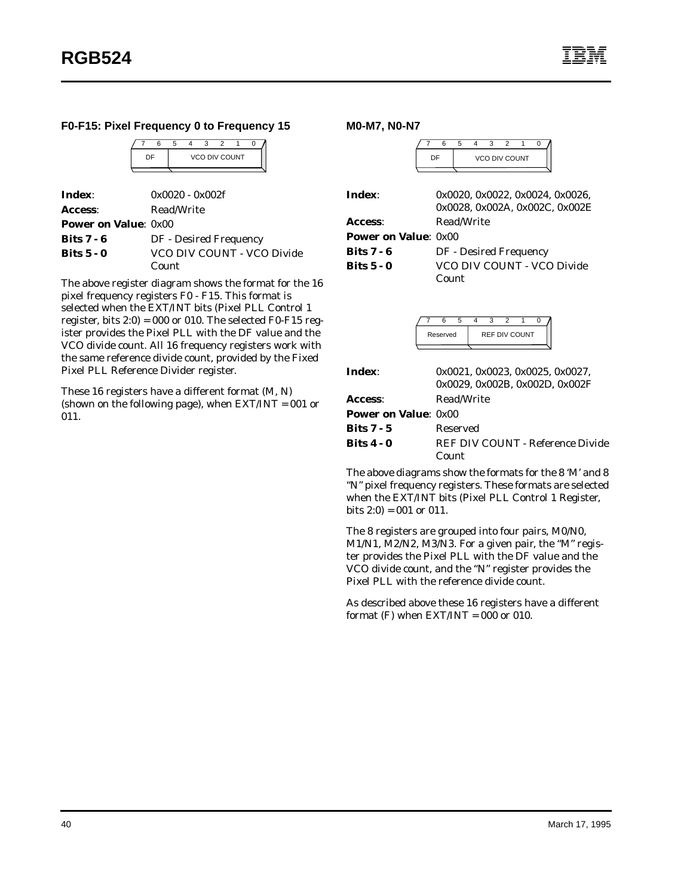#### **F0-F15: Pixel Frequency 0 to Frequency 15**

|  | а |  |                      |  |
|--|---|--|----------------------|--|
|  |   |  | <b>VCO DIV COUNT</b> |  |
|  |   |  |                      |  |

| Index:                       | $0x0020 - 0x002f$          |
|------------------------------|----------------------------|
| <b>Access:</b>               | Read/Write                 |
| <b>Power on Value</b> : 0x00 |                            |
| <b>Bits 7 - 6</b>            | DF - Desired Frequency     |
| <b>Bits 5 - 0</b>            | VCO DIV COUNT - VCO Divide |
|                              | Count                      |

The above register diagram shows the format for the 16 pixel frequency registers F0 - F15. This format is selected when the EXT/INT bits (Pixel PLL Control 1 register, bits  $2:0$ ) = 000 or 010. The selected F0-F15 register provides the Pixel PLL with the DF value and the VCO divide count. All 16 frequency registers work with the same reference divide count, provided by the Fixed Pixel PLL Reference Divider register.

These 16 registers have a different format (M, N) (shown on the following page), when EXT/INT = 001 or 011.

**M0-M7, N0-N7**



|                             | 0x0028, 0x002A, 0x002C, 0x002E |
|-----------------------------|--------------------------------|
| Access:                     | Read/Write                     |
| <b>Power on Value: 0x00</b> |                                |
| Bits $7 - 6$                | DF - Desired Frequency         |
| Bits $5 - 0$                | VCO DIV COUNT - VCO Divide     |
|                             | Count                          |
|                             |                                |
|                             |                                |

|  | Reserved | <b>REF DIV COUNT</b> |  |  |  |  |  |
|--|----------|----------------------|--|--|--|--|--|
|  |          |                      |  |  |  |  |  |

| Index:                       | 0x0021, 0x0023, 0x0025, 0x0027,           |
|------------------------------|-------------------------------------------|
|                              | 0x0029. 0x002B. 0x002D. 0x002F            |
| <b>Access:</b>               | Read/Write                                |
| <b>Power on Value</b> : 0x00 |                                           |
| Bits 7 - 5                   | Reserved                                  |
| Bits 4 - 0                   | REF DIV COUNT - Reference Divide<br>Count |
|                              |                                           |

The above diagrams show the formats for the 8 'M' and 8 "N" pixel frequency registers. These formats are selected when the EXT/INT bits (Pixel PLL Control 1 Register, bits  $2:0$ ) = 001 or 011.

The 8 registers are grouped into four pairs, M0/N0, M1/N1, M2/N2, M3/N3. For a given pair, the "M" register provides the Pixel PLL with the DF value and the VCO divide count, and the "N" register provides the Pixel PLL with the reference divide count.

As described above these 16 registers have a different format  $(F)$  when  $EXT/INT = 000$  or 010.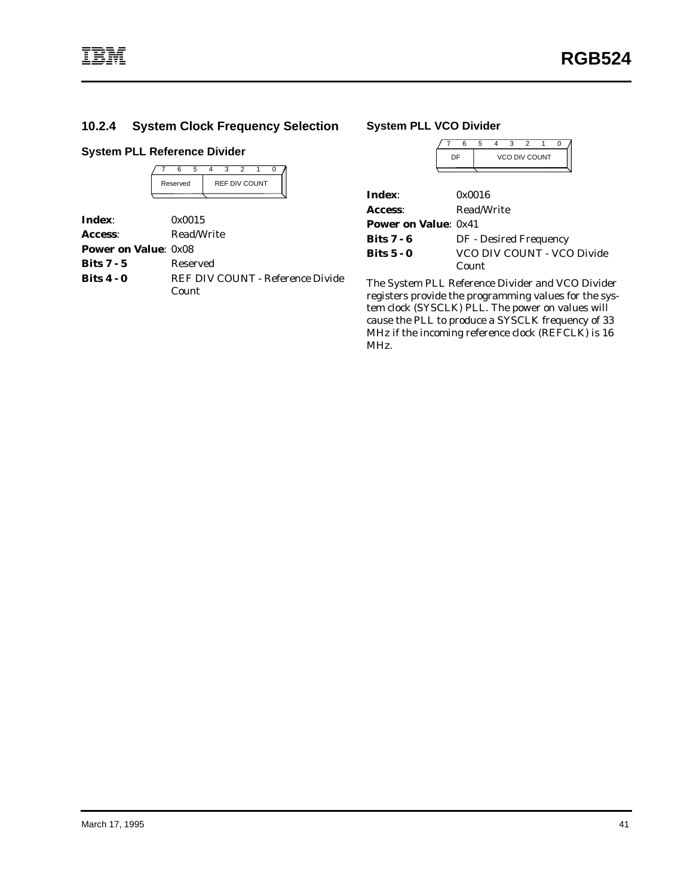**Index:** 

## **10.2.4 System Clock Frequency Selection**

### **System PLL Reference Divider**

| <b>REF DIV COUNT</b><br>Reserved | 0x0015 |  | 6 | 5 | 3 | 2 |  |  |
|----------------------------------|--------|--|---|---|---|---|--|--|
|                                  |        |  |   |   |   |   |  |  |
|                                  |        |  |   |   |   |   |  |  |

| Access:                     | Read/Write                       |
|-----------------------------|----------------------------------|
| <b>Power on Value: 0x08</b> |                                  |
| Bits $7 - 5$                | Reserved                         |
| Bits $4 - 0$                | REF DIV COUNT - Reference Divide |
|                             | Count                            |

#### **System PLL VCO Divider**

|                              | 6<br>5                     |  |  |  |  |  |  |
|------------------------------|----------------------------|--|--|--|--|--|--|
|                              | <b>VCO DIV COUNT</b><br>DF |  |  |  |  |  |  |
|                              |                            |  |  |  |  |  |  |
| Index:                       | 0x0016                     |  |  |  |  |  |  |
| <b>Access:</b>               | Read/Write                 |  |  |  |  |  |  |
| <b>Power on Value</b> : 0x41 |                            |  |  |  |  |  |  |
| Bits 7 - 6                   | DF - Desired Frequency     |  |  |  |  |  |  |
| Bits 5 - 0                   | VCO DIV COUNT - VCO Divide |  |  |  |  |  |  |
|                              | Count                      |  |  |  |  |  |  |

The System PLL Reference Divider and VCO Divider registers provide the programming values for the system clock (SYSCLK) PLL. The power on values will cause the PLL to produce a SYSCLK frequency of 33 MHz if the incoming reference clock (REFCLK) is 16 MHz.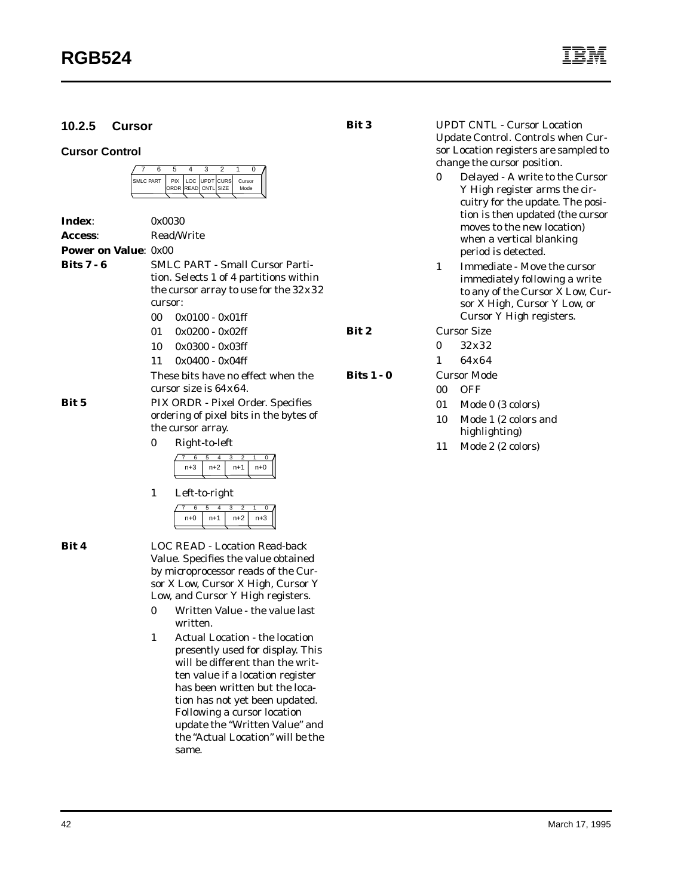## **10.2.5 Cursor**

#### **Cursor Control**

|  | <b>SMI C PART</b> | ORDR READ CNTL SIZE | <b>PIX LOC UPDT CURS</b> | Cursor |      |  |
|--|-------------------|---------------------|--------------------------|--------|------|--|
|  |                   |                     |                          |        | Mode |  |

| Index:                       | 0x0030                                                                                     |                                                                                  |       |  |  |  |  |  |
|------------------------------|--------------------------------------------------------------------------------------------|----------------------------------------------------------------------------------|-------|--|--|--|--|--|
| <b>Access:</b>               |                                                                                            | Read/Write                                                                       |       |  |  |  |  |  |
| <b>Power on Value</b> : 0x00 |                                                                                            |                                                                                  |       |  |  |  |  |  |
| Bits 7 - 6                   |                                                                                            | <b>SMLC PART - Small Cursor Parti-</b>                                           |       |  |  |  |  |  |
|                              | tion. Selects 1 of 4 partitions within                                                     |                                                                                  |       |  |  |  |  |  |
|                              | the cursor array to use for the $32x32$                                                    |                                                                                  |       |  |  |  |  |  |
|                              | cursor:                                                                                    |                                                                                  |       |  |  |  |  |  |
|                              | 00.                                                                                        | $0x0100 - 0x01$ ff                                                               |       |  |  |  |  |  |
|                              |                                                                                            | $01 \quad 0x0200 - 0x02$ ff                                                      | Bit 2 |  |  |  |  |  |
|                              |                                                                                            | $10 \quad 0x0300 - 0x03f$                                                        |       |  |  |  |  |  |
|                              | 11                                                                                         | $0x0400 - 0x04ff$                                                                |       |  |  |  |  |  |
|                              | <b>Bits 1 - 0</b><br>These bits have no effect when the<br>cursor size is $64 \times 64$ . |                                                                                  |       |  |  |  |  |  |
| Bit 5                        |                                                                                            | PIX ORDR - Pixel Order. Specifies<br>ordering of pixel bits in the bytes of      |       |  |  |  |  |  |
|                              |                                                                                            | the cursor array.                                                                |       |  |  |  |  |  |
|                              | 0                                                                                          | Right-to-left                                                                    |       |  |  |  |  |  |
|                              |                                                                                            | 3<br>$\overline{2}$<br>6<br>5<br>4<br>1<br>0<br>$n+3$<br>$n+2$<br>$n+0$<br>$n+1$ |       |  |  |  |  |  |
|                              | 1                                                                                          | Left-to-right                                                                    |       |  |  |  |  |  |

**Bit 4** LOC READ - Location Read-back Value. Specifies the value obtained by microprocessor reads of the Cursor X Low, Cursor X High, Cursor Y Low, and Cursor Y High registers.

7 6 5 4 3 2 1 0  $n+0$  |  $n+1$  |  $n+2$  |  $n+3$ 

- 0 Written Value the value last written.
- 1 Actual Location the location presently used for display. This will be different than the written value if a location register has been written but the location has not yet been updated. Following a cursor location update the "Written Value" and the "Actual Location" will be the same.

**Bit 3** UPDT CNTL - Cursor Location Update Control. Controls when Cursor Location registers are sampled to change the cursor position.

- 0 Delayed A write to the Cursor Y High register arms the circuitry for the update. The position is then updated (the cursor moves to the new location) when a vertical blanking period is detected.
- 1 Immediate Move the cursor immediately following a write to any of the Cursor X Low, Cursor X High, Cursor Y Low, or Cursor Y High registers.

**Cursor Size** 

- 0 32x32
- 1 64x64

**8 Bits 1** Cursor Mode

- 00 OFF
- 01 Mode 0 (3 colors)
- 10 Mode 1 (2 colors and highlighting)
- 11 Mode 2 (2 colors)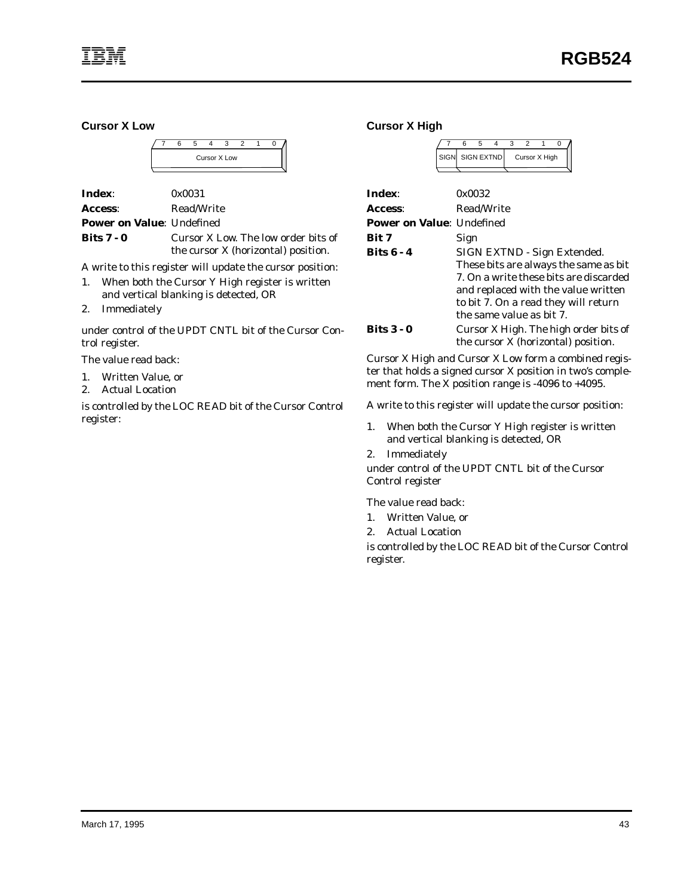#### **Cursor X Low**

| Cursor X Low |  |  |  |  |  |  |  |  |  |
|--------------|--|--|--|--|--|--|--|--|--|
|              |  |  |  |  |  |  |  |  |  |

| Index:                           | 0x0031     |
|----------------------------------|------------|
| Access:                          | Read/Write |
| <b>Power on Value: Undefined</b> |            |

**Bits 7 - 0** Cursor X Low. The low order bits of the cursor X (horizontal) position.

A write to this register will update the cursor position:

- 1. When both the Cursor Y High register is written and vertical blanking is detected, OR
- 2. Immediately

under control of the UPDT CNTL bit of the Cursor Control register.

The value read back:

- 1. Written Value, or
- 2. Actual Location

is controlled by the LOC READ bit of the Cursor Control register:

#### **Cursor X High**

|                                  | 6          | 5               | 4 | 3 | 2 |               |  |
|----------------------------------|------------|-----------------|---|---|---|---------------|--|
|                                  |            | SIGN SIGN EXTND |   |   |   | Cursor X High |  |
|                                  |            |                 |   |   |   |               |  |
| Index:                           |            | 0x0032          |   |   |   |               |  |
| Access:                          | Read/Write |                 |   |   |   |               |  |
| <b>Power on Value: Undefined</b> |            |                 |   |   |   |               |  |

| Bit 7      | Sign                                   |
|------------|----------------------------------------|
| Bits 6 - 4 | SIGN EXTND - Sign Extended.            |
|            | These bits are always the same as bit  |
|            | 7. On a write these bits are discarded |
|            | and replaced with the value written    |
|            | to bit 7. On a read they will return   |
|            | the same value as bit 7.               |
| Bits 3 - 0 | Cursor X High. The high order bits of  |

Cursor X High and Cursor X Low form a combined register that holds a signed cursor X position in two's complement form. The X position range is -4096 to +4095.

the cursor X (horizontal) position.

A write to this register will update the cursor position:

- 1. When both the Cursor Y High register is written and vertical blanking is detected, OR
- 2. Immediately

under control of the UPDT CNTL bit of the Cursor Control register

The value read back:

- 1. Written Value, or
- 2. Actual Location

is controlled by the LOC READ bit of the Cursor Control register.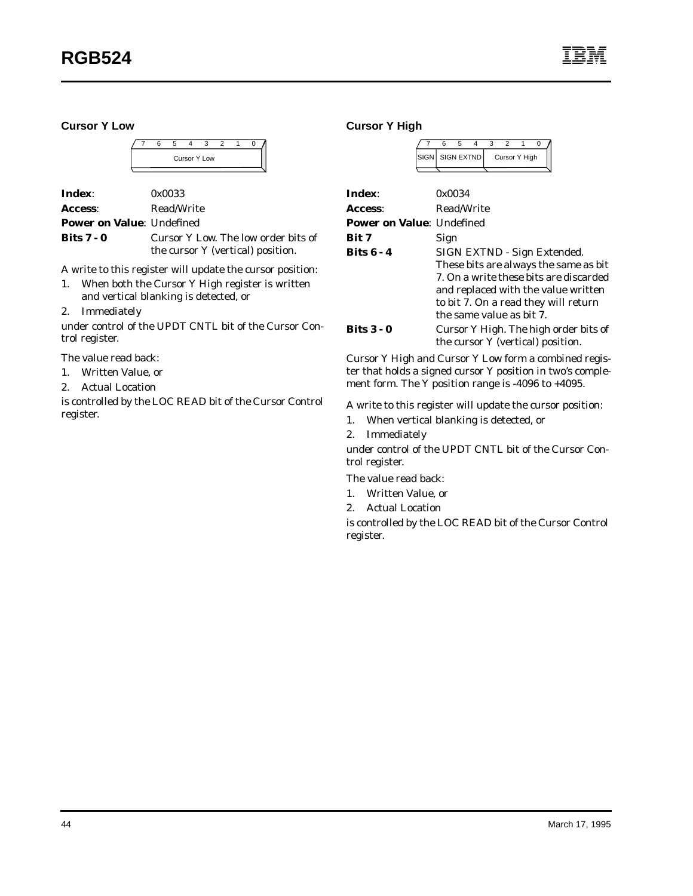**Cursor Y Low**



**Index**: 0x0033 Access: Read/Write **Power on Value**: Undefined

**Bits 7 - 0** Cursor Y Low. The low order bits of the cursor Y (vertical) position.

A write to this register will update the cursor position:

- 1. When both the Cursor Y High register is written and vertical blanking is detected, or
- 2. Immediately

under control of the UPDT CNTL bit of the Cursor Control register.

The value read back:

- 1. Written Value, or
- 2. Actual Location

is controlled by the LOC READ bit of the Cursor Control register.

**Cursor Y High**

| SIGN SIGN EXTND |  | Cursor Y High |  |
|-----------------|--|---------------|--|

| Index:                           | 0x0034                                                                                                                                                                                                                    |
|----------------------------------|---------------------------------------------------------------------------------------------------------------------------------------------------------------------------------------------------------------------------|
| Access:                          | Read/Write                                                                                                                                                                                                                |
| <b>Power on Value: Undefined</b> |                                                                                                                                                                                                                           |
| Bit 7                            | Sign                                                                                                                                                                                                                      |
| <b>Bits 6 - 4</b>                | SIGN EXTND - Sign Extended.<br>These bits are always the same as bit<br>7. On a write these bits are discarded<br>and replaced with the value written<br>to bit 7. On a read they will return<br>the same value as bit 7. |
| Bits $3 - 0$                     | Cursor Y High. The high order bits of<br>the cursor Y (vertical) position.                                                                                                                                                |

Cursor Y High and Cursor Y Low form a combined register that holds a signed cursor Y position in two's complement form. The Y position range is -4096 to +4095.

A write to this register will update the cursor position:

- 1. When vertical blanking is detected, or
- 2. Immediately

under control of the UPDT CNTL bit of the Cursor Control register.

The value read back:

- 1. Written Value, or
- 2. Actual Location

is controlled by the LOC READ bit of the Cursor Control register.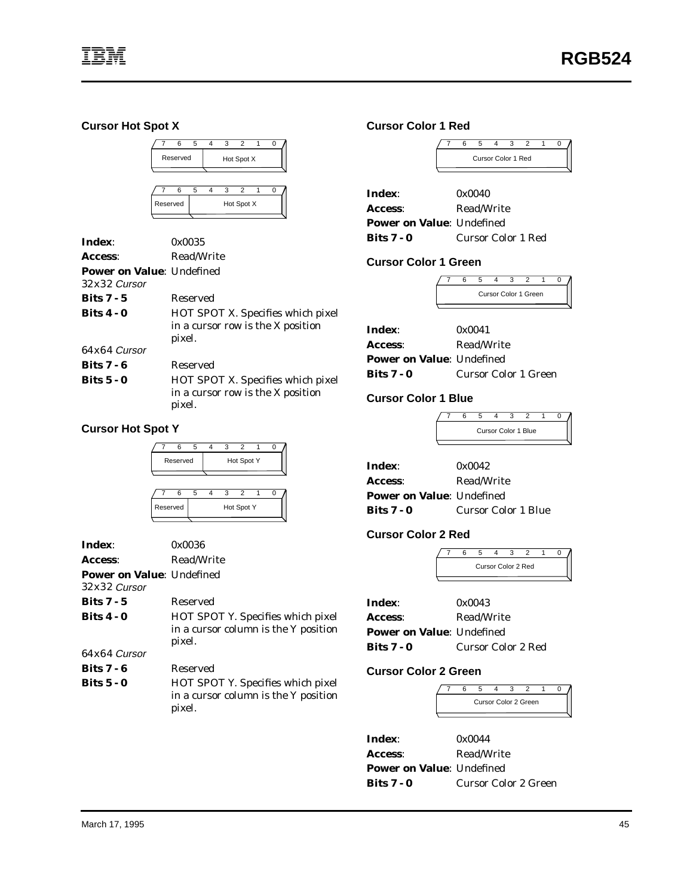#### **Cursor Hot Spot X**



| Index:                           | 0x0035                                                                                  |
|----------------------------------|-----------------------------------------------------------------------------------------|
| Access:                          | Read/Write                                                                              |
| <b>Power on Value: Undefined</b> |                                                                                         |
| $.32x.32$ Cursor                 |                                                                                         |
| Bits $7 - 5$                     | Reserved                                                                                |
| <b>Bits 4 - 0</b>                | <b>HOT SPOT X. Specifies which pixel</b><br>in a cursor row is the X position<br>pixel. |
| $64x64$ Cursor                   |                                                                                         |
| <b>Bits 7 - 6</b>                | Reserved                                                                                |
| Bits $5 - 0$                     | <b>HOT SPOT X. Specifies which pixel</b><br>in a cursor row is the X position<br>pixel. |

#### **Cursor Hot Spot Y**



| Index:                                             | 0x0036                                                                                     |
|----------------------------------------------------|--------------------------------------------------------------------------------------------|
| Access:                                            | Read/Write                                                                                 |
| <b>Power on Value: Undefined</b><br>$32x32$ Cursor |                                                                                            |
| Bits $7 - 5$                                       | Reserved                                                                                   |
| Bits $4 - 0$                                       | <b>HOT SPOT Y. Specifies which pixel</b><br>in a cursor column is the Y position<br>pixel. |
| $64x64$ Cursor                                     |                                                                                            |
| <b>Bits 7 - 6</b>                                  | Reserved                                                                                   |
| Bits $5 - 0$                                       | HOT SPOT Y. Specifies which pixel<br>in a cursor column is the Y position<br>pixel.        |

#### **Cursor Color 1 Red**

|                                                       | 6 | 5                    | 4                  | 3 |  |  |
|-------------------------------------------------------|---|----------------------|--------------------|---|--|--|
|                                                       |   |                      | Cursor Color 1 Red |   |  |  |
| Index:<br>Access:<br><b>Power on Value: Undefined</b> |   | 0x0040<br>Read/Write |                    |   |  |  |
| Bits $7 - 0$                                          |   | Cursor Color 1 Red   |                    |   |  |  |

## **Cursor Color 1 Green**

|  |  | Cursor Color 1 Green |  |  |
|--|--|----------------------|--|--|
|  |  |                      |  |  |

| Index:                           | 0x0041               |
|----------------------------------|----------------------|
| Access:                          | Read/Write           |
| <b>Power on Value: Undefined</b> |                      |
| Bits $7 - 0$                     | Cursor Color 1 Green |

## **Cursor Color 1 Blue**

|  |  | <b>Cursor Color 1 Blue</b> |  |  |
|--|--|----------------------------|--|--|
|  |  |                            |  |  |

| Index:                           | 0x0042              |
|----------------------------------|---------------------|
| Access:                          | Read/Write          |
| <b>Power on Value: Undefined</b> |                     |
| Bits $7 - 0$                     | Cursor Color 1 Blue |

#### **Cursor Color 2 Red**

|  | Cursor Color 2 Red |  |  |
|--|--------------------|--|--|
|  |                    |  |  |

| Index:                            | 0x0043                    |
|-----------------------------------|---------------------------|
| Access:                           | Read/Write                |
| <b>Power on Value</b> : Undefined |                           |
| Bits 7 - 0                        | <b>Cursor Color 2 Red</b> |

#### **Cursor Color 2 Green**

| Cursor Color 2 Green |  |  |  |  |  |  |  |  |
|----------------------|--|--|--|--|--|--|--|--|
|                      |  |  |  |  |  |  |  |  |

| Index:                           | 0x0044               |
|----------------------------------|----------------------|
| Access:                          | Read/Write           |
| <b>Power on Value: Undefined</b> |                      |
| <b>Bits 7 - 0</b>                | Cursor Color 2 Green |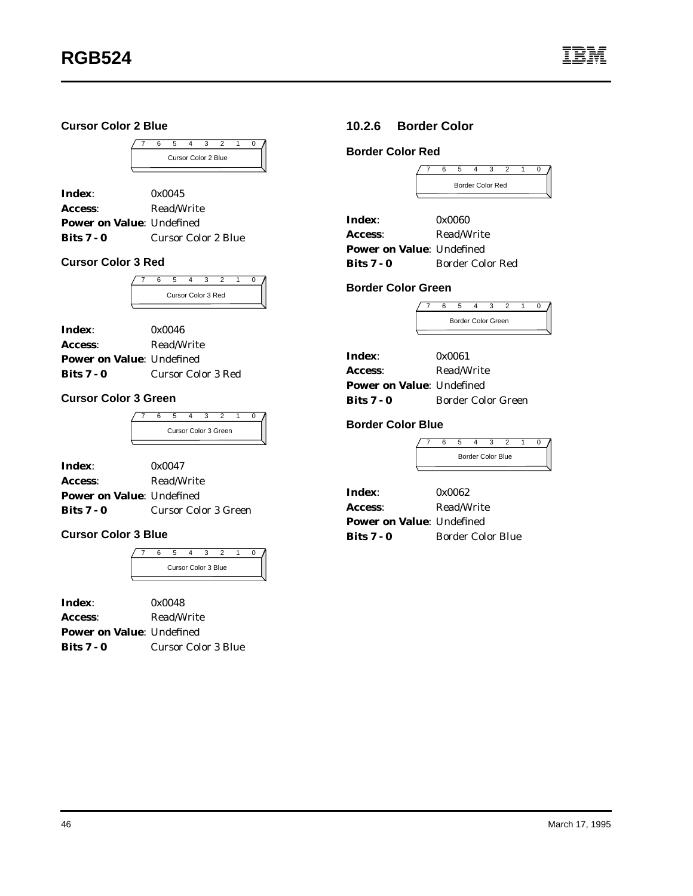### **Cursor Color 2 Blue**



| Index:                           | 0x0045                     |
|----------------------------------|----------------------------|
| Access:                          | Read/Write                 |
| <b>Power on Value: Undefined</b> |                            |
| Bits $7 - 0$                     | <b>Cursor Color 2 Blue</b> |

#### **Cursor Color 3 Red**



| Index:                           | 0x0046                    |
|----------------------------------|---------------------------|
| Access:                          | Read/Write                |
| <b>Power on Value: Undefined</b> |                           |
| Bits $7 - 0$                     | <b>Cursor Color 3 Red</b> |

#### **Cursor Color 3 Green**

| Cursor Color 3 Green |  |  |  |  |  |  |  |
|----------------------|--|--|--|--|--|--|--|

| Index:                           | 0x0047                      |
|----------------------------------|-----------------------------|
| Access:                          | Read/Write                  |
| <b>Power on Value: Undefined</b> |                             |
| Bits $7 - 0$                     | <b>Cursor Color 3 Green</b> |

### **Cursor Color 3 Blue**

|  | <b>Cursor Color 3 Blue</b> |  |  |  |
|--|----------------------------|--|--|--|

| Index:                           | 0x0048              |
|----------------------------------|---------------------|
| Access:                          | Read/Write          |
| <b>Power on Value: Undefined</b> |                     |
| Bits $7 - 0$                     | Cursor Color 3 Blue |

## **10.2.6 Border Color**

#### **Border Color Red**

|  | <b>Border Color Red</b> |  |  |  |  |  |  |  |
|--|-------------------------|--|--|--|--|--|--|--|
|  |                         |  |  |  |  |  |  |  |

| Index:                           | 0x0060                  |
|----------------------------------|-------------------------|
| Access:                          | Read/Write              |
| <b>Power on Value: Undefined</b> |                         |
| <b>Bits 7 - 0</b>                | <b>Border Color Red</b> |

#### **Border Color Green**

| <b>Border Color Green</b> |  |  |  |  |  |  |  |  |
|---------------------------|--|--|--|--|--|--|--|--|

| Index:                           | 0x0061                    |
|----------------------------------|---------------------------|
| Access:                          | Read/Write                |
| <b>Power on Value: Undefined</b> |                           |
| <b>Bits 7 - 0</b>                | <b>Border Color Green</b> |

#### **Border Color Blue**

7 6 5 4 3 2 1 0 Border Color Blue

| Index:                           | 0x0062                   |
|----------------------------------|--------------------------|
| Access:                          | Read/Write               |
| <b>Power on Value: Undefined</b> |                          |
| <b>Bits 7 - 0</b>                | <b>Border Color Blue</b> |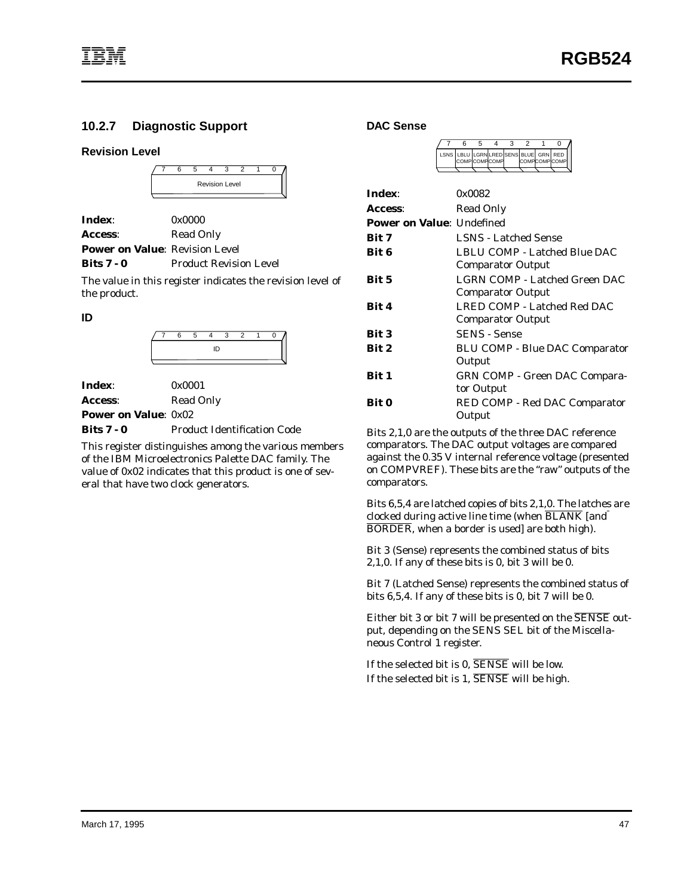## <span id="page-52-0"></span>**10.2.7 Diagnostic Support**

#### **Revision Level**

|  | ี |  |  |                       |  |  |  |
|--|---|--|--|-----------------------|--|--|--|
|  |   |  |  | <b>Revision Level</b> |  |  |  |
|  |   |  |  |                       |  |  |  |

| Index:                                | 0x0000                        |
|---------------------------------------|-------------------------------|
| Access:                               | <b>Read Only</b>              |
| <b>Power on Value: Revision Level</b> |                               |
| Bits $7 - 0$                          | <b>Product Revision Level</b> |

The value in this register indicates the revision level of

**ID**

the product.

| חו |  |  |  |  |  |
|----|--|--|--|--|--|

| <b>Index:</b>               | 0x0001           |
|-----------------------------|------------------|
| <b>Access:</b>              | <b>Read Only</b> |
| <b>Power on Value: 0x02</b> |                  |

**Bits 7 - 0** Product Identification Code

This register distinguishes among the various members of the IBM Microelectronics Palette DAC family. The value of 0x02 indicates that this product is one of several that have two clock generators.

#### **DAC Sense**

|  | LSNS LBLU LGRNLRED SENS BLUE GRN RED<br><b>COMPICOMPICOMP</b> |  |  | <b>COMPCOMPCOMP</b> |  |
|--|---------------------------------------------------------------|--|--|---------------------|--|
|  |                                                               |  |  |                     |  |

| Index:                           | 0x0082                                                    |
|----------------------------------|-----------------------------------------------------------|
| Access:                          | Read Only                                                 |
| <b>Power on Value: Undefined</b> |                                                           |
| Bit 7                            | <b>LSNS</b> - Latched Sense                               |
| Bit 6                            | LBLU COMP - Latched Blue DAC                              |
|                                  | <b>Comparator Output</b>                                  |
| <b>Bit 5</b>                     | LGRN COMP - Latched Green DAC<br><b>Comparator Output</b> |
|                                  |                                                           |
| Bit 4                            | LRED COMP - Latched Red DAC                               |
|                                  | <b>Comparator Output</b>                                  |
| <b>Bit 3</b>                     | <b>SENS - Sense</b>                                       |
| <b>Bit 2</b>                     | <b>BLU COMP - Blue DAC Comparator</b>                     |
|                                  | Output                                                    |
| Bit 1                            | <b>GRN COMP - Green DAC Compara-</b>                      |
|                                  | tor Output                                                |
| Bit 0                            | RED COMP - Red DAC Comparator<br>Output                   |

Bits 2,1,0 are the outputs of the three DAC reference comparators. The DAC output voltages are compared against the 0.35 V internal reference voltage (presented on COMPVREF). These bits are the "raw" outputs of the comparators.

Bits 6,5,4 are latched copies of bits 2,1,0. The latches are clocked during active line time (when BLANK [and BORDER, when a border is used] are both high).

Bit 3 (Sense) represents the combined status of bits 2,1,0. If any of these bits is 0, bit 3 will be 0.

Bit 7 (Latched Sense) represents the combined status of bits 6,5,4. If any of these bits is 0, bit 7 will be 0.

Either bit 3 or bit 7 will be presented on the SENSE output, depending on the SENS SEL bit of the Miscellaneous Control 1 register.

If the selected bit is 0, SENSE will be low. If the selected bit is 1, SENSE will be high.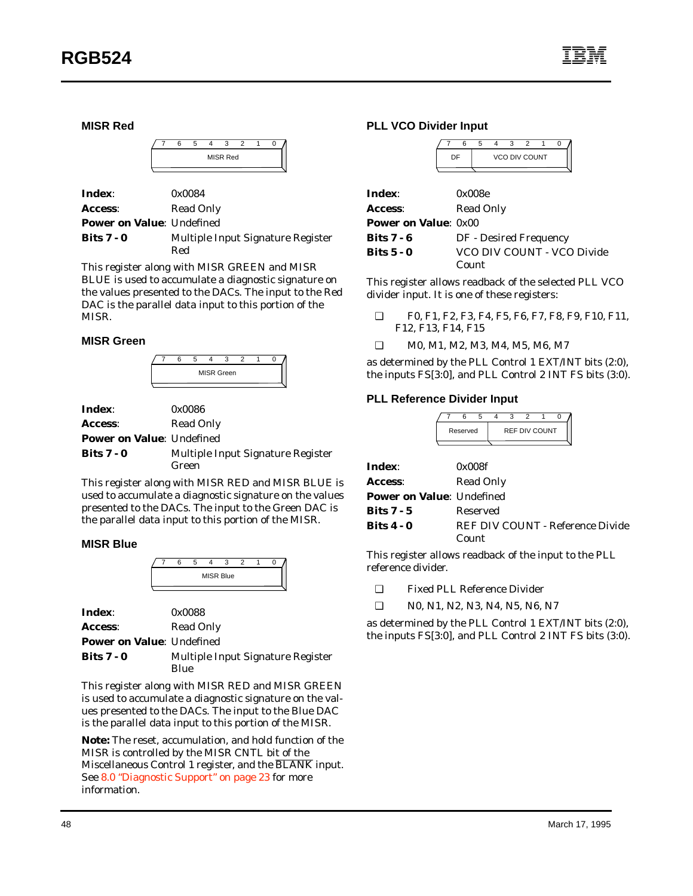**MISR Red**

| <b>MISR Red</b> |  |  |  |  |  |
|-----------------|--|--|--|--|--|
|                 |  |  |  |  |  |

| Index:                           | 0x0084                            |
|----------------------------------|-----------------------------------|
| <b>Access:</b>                   | Read Only                         |
| <b>Power on Value: Undefined</b> |                                   |
| <b>Bits 7 - 0</b>                | Multiple Input Signature Register |
|                                  | Red                               |

This register along with MISR GREEN and MISR BLUE is used to accumulate a diagnostic signature on the values presented to the DACs. The input to the Red DAC is the parallel data input to this portion of the MISR.

#### **MISR Green**



| <b>Index:</b>                    | 0x0086                            |
|----------------------------------|-----------------------------------|
| <b>Access:</b>                   | Read Only                         |
| <b>Power on Value: Undefined</b> |                                   |
| Bits $7 - 0$                     | Multiple Input Signature Register |
|                                  | Green                             |

This register along with MISR RED and MISR BLUE is used to accumulate a diagnostic signature on the values presented to the DACs. The input to the Green DAC is the parallel data input to this portion of the MISR.

#### **MISR Blue**

|  |  | <b>MISR Blue</b> |  |  |
|--|--|------------------|--|--|
|  |  |                  |  |  |

| Index:                           | 0x0088                            |
|----------------------------------|-----------------------------------|
| Access:                          | Read Only                         |
| <b>Power on Value: Undefined</b> |                                   |
| Bits $7 - 0$                     | Multiple Input Signature Register |
|                                  | Blue                              |

This register along with MISR RED and MISR GREEN is used to accumulate a diagnostic signature on the values presented to the DACs. The input to the Blue DAC is the parallel data input to this portion of the MISR.

**Note:** The reset, accumulation, and hold function of the MISR is controlled by the MISR CNTL bit of the Miscellaneous Control 1 register, and the BLANK input. See [8.0 "Diagnostic Support" on page 23](#page-28-0) for more information.

#### **PLL VCO Divider Input**

| <b>VCO DIV COUNT</b> |  |  |  |  |  |  |
|----------------------|--|--|--|--|--|--|
|                      |  |  |  |  |  |  |

| Index:                      | 0x008e                     |
|-----------------------------|----------------------------|
| Access:                     | <b>Read Only</b>           |
| <b>Power on Value: 0x00</b> |                            |
| Bits $7 - 6$                | DF - Desired Frequency     |
| Bits $5 - 0$                | VCO DIV COUNT - VCO Divide |
|                             | Count                      |

This register allows readback of the selected PLL VCO divider input. It is one of these registers:

- ❑ F0, F1, F2, F3, F4, F5, F6, F7, F8, F9, F10, F11, F12, F13, F14, F15
- ❑ M0, M1, M2, M3, M4, M5, M6, M7

as determined by the PLL Control 1 EXT/INT bits (2:0), the inputs FS[3:0], and PLL Control 2 INT FS bits (3:0).

#### **PLL Reference Divider Input**

|                        | 5<br>3                            |  |  |
|------------------------|-----------------------------------|--|--|
|                        | <b>REF DIV COUNT</b><br>Reserved  |  |  |
| Index:                 | 0x008f                            |  |  |
| <b>Access:</b>         | <b>Read Only</b>                  |  |  |
|                        | <b>Power on Value</b> : Undefined |  |  |
| Bits 7 - 5<br>Reserved |                                   |  |  |
| <b>Bits 4 - 0</b>      | REF DIV COUNT - Reference Divide  |  |  |
|                        | Count                             |  |  |

This register allows readback of the input to the PLL reference divider.

❑ Fixed PLL Reference Divider

❑ N0, N1, N2, N3, N4, N5, N6, N7

as determined by the PLL Control 1 EXT/INT bits (2:0), the inputs FS[3:0], and PLL Control 2 INT FS bits (3:0).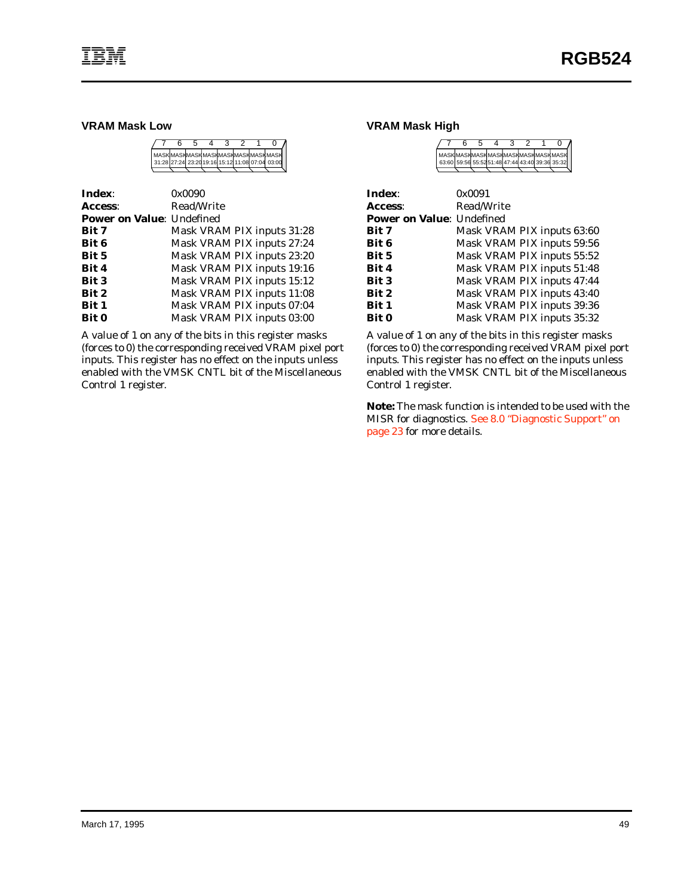#### **VRAM Mask Low**

|  |  |  | I MASKIMASKMASKMASKMASKMASKMASKMASKI           |
|--|--|--|------------------------------------------------|
|  |  |  | 31:28 27:24 23:2019:16 15:12 11:08 07:04 03:00 |

| Index:                           | 0x0090                     |
|----------------------------------|----------------------------|
| Access:                          | Read/Write                 |
| <b>Power on Value: Undefined</b> |                            |
| Bit 7                            | Mask VRAM PIX inputs 31:28 |
| <b>Bit 6</b>                     | Mask VRAM PIX inputs 27:24 |
| <b>Bit 5</b>                     | Mask VRAM PIX inputs 23:20 |
| Bit 4                            | Mask VRAM PIX inputs 19:16 |
| Bit 3                            | Mask VRAM PIX inputs 15:12 |
| Bit 2                            | Mask VRAM PIX inputs 11:08 |
| Bit 1                            | Mask VRAM PIX inputs 07:04 |
| <b>Bit 0</b>                     | Mask VRAM PIX inputs 03:00 |

A value of 1 on any of the bits in this register masks (forces to 0) the corresponding received VRAM pixel port inputs. This register has no effect on the inputs unless enabled with the VMSK CNTL bit of the Miscellaneous Control 1 register.

#### **VRAM Mask High**

| Index:                           | 0x0091                     |
|----------------------------------|----------------------------|
| Access:                          | Read/Write                 |
| <b>Power on Value: Undefined</b> |                            |
| Bit 7                            | Mask VRAM PIX inputs 63:60 |
| Bit 6                            | Mask VRAM PIX inputs 59:56 |
| Bit 5                            | Mask VRAM PIX inputs 55:52 |
| Bit 4                            | Mask VRAM PIX inputs 51:48 |
| <b>Bit 3</b>                     | Mask VRAM PIX inputs 47:44 |
| Bit 2                            | Mask VRAM PIX inputs 43:40 |
| Bit 1                            | Mask VRAM PIX inputs 39:36 |
| <b>Bit 0</b>                     | Mask VRAM PIX inputs 35:32 |

A value of 1 on any of the bits in this register masks (forces to 0) the corresponding received VRAM pixel port inputs. This register has no effect on the inputs unless enabled with the VMSK CNTL bit of the Miscellaneous Control 1 register.

**Note:** The mask function is intended to be used with the MISR for diagnostics. [See 8.0 "Diagnostic Support" on](#page-28-0) [page 23](#page-28-0) for more details.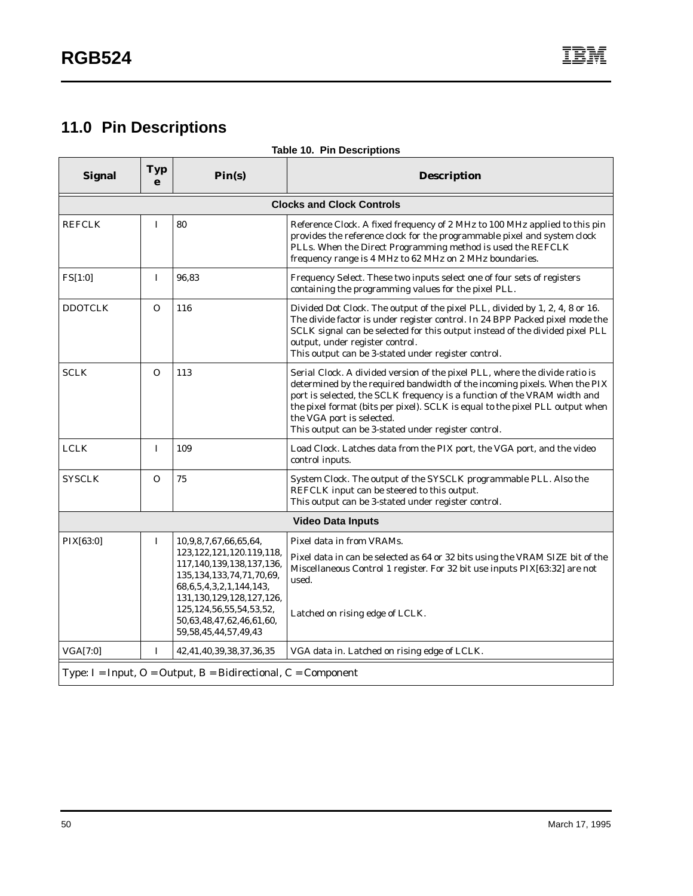# <span id="page-55-0"></span>**11.0 Pin Descriptions**

| <b>Signal</b>                                                            | Typ<br>e    | Pin(s)                                                                                                                                                                                                                                                                              | <b>Description</b>                                                                                                                                                                                                                                                                                                                                                                                        |  |
|--------------------------------------------------------------------------|-------------|-------------------------------------------------------------------------------------------------------------------------------------------------------------------------------------------------------------------------------------------------------------------------------------|-----------------------------------------------------------------------------------------------------------------------------------------------------------------------------------------------------------------------------------------------------------------------------------------------------------------------------------------------------------------------------------------------------------|--|
|                                                                          |             |                                                                                                                                                                                                                                                                                     | <b>Clocks and Clock Controls</b>                                                                                                                                                                                                                                                                                                                                                                          |  |
| <b>REFCLK</b>                                                            | I           | 80                                                                                                                                                                                                                                                                                  | Reference Clock. A fixed frequency of 2 MHz to 100 MHz applied to this pin<br>provides the reference clock for the programmable pixel and system clock<br>PLLs. When the Direct Programming method is used the REFCLK<br>frequency range is 4 MHz to 62 MHz on 2 MHz boundaries.                                                                                                                          |  |
| FS[1:0]                                                                  | $\bf{I}$    | 96,83                                                                                                                                                                                                                                                                               | Frequency Select. These two inputs select one of four sets of registers<br>containing the programming values for the pixel PLL.                                                                                                                                                                                                                                                                           |  |
| <b>DDOTCLK</b>                                                           | O           | 116                                                                                                                                                                                                                                                                                 | Divided Dot Clock. The output of the pixel PLL, divided by 1, 2, 4, 8 or 16.<br>The divide factor is under register control. In 24 BPP Packed pixel mode the<br>SCLK signal can be selected for this output instead of the divided pixel PLL<br>output, under register control.<br>This output can be 3-stated under register control.                                                                    |  |
| <b>SCLK</b>                                                              | $\Omega$    | 113                                                                                                                                                                                                                                                                                 | Serial Clock. A divided version of the pixel PLL, where the divide ratio is<br>determined by the required bandwidth of the incoming pixels. When the PIX<br>port is selected, the SCLK frequency is a function of the VRAM width and<br>the pixel format (bits per pixel). SCLK is equal to the pixel PLL output when<br>the VGA port is selected.<br>This output can be 3-stated under register control. |  |
| <b>LCLK</b>                                                              | $\mathbf I$ | 109                                                                                                                                                                                                                                                                                 | Load Clock. Latches data from the PIX port, the VGA port, and the video<br>control inputs.                                                                                                                                                                                                                                                                                                                |  |
| SYSCLK                                                                   | 0           | 75                                                                                                                                                                                                                                                                                  | System Clock. The output of the SYSCLK programmable PLL. Also the<br>REFCLK input can be steered to this output.<br>This output can be 3-stated under register control.                                                                                                                                                                                                                                   |  |
|                                                                          |             |                                                                                                                                                                                                                                                                                     | <b>Video Data Inputs</b>                                                                                                                                                                                                                                                                                                                                                                                  |  |
| PIX[63:0]                                                                | 1           | 10,9,8,7,67,66,65,64,<br>123, 122, 121, 120. 119, 118,<br>117,140,139,138,137,136,<br>135, 134, 133, 74, 71, 70, 69,<br>68, 6, 5, 4, 3, 2, 1, 144, 143,<br>131, 130, 129, 128, 127, 126,<br>125, 124, 56, 55, 54, 53, 52,<br>50,63,48,47,62,46,61,60,<br>59, 58, 45, 44, 57, 49, 43 | Pixel data in from VRAMs.<br>Pixel data in can be selected as 64 or 32 bits using the VRAM SIZE bit of the<br>Miscellaneous Control 1 register. For 32 bit use inputs PIX[63:32] are not<br>used.<br>Latched on rising edge of LCLK.                                                                                                                                                                      |  |
| <b>VGA[7:0]</b>                                                          | I           | 42,41,40,39,38,37,36,35                                                                                                                                                                                                                                                             | VGA data in. Latched on rising edge of LCLK.                                                                                                                                                                                                                                                                                                                                                              |  |
| Type: $I = Input$ , $O = Output$ , $B = Bidirectional$ , $C = Component$ |             |                                                                                                                                                                                                                                                                                     |                                                                                                                                                                                                                                                                                                                                                                                                           |  |

#### **Table 10. Pin Descriptions**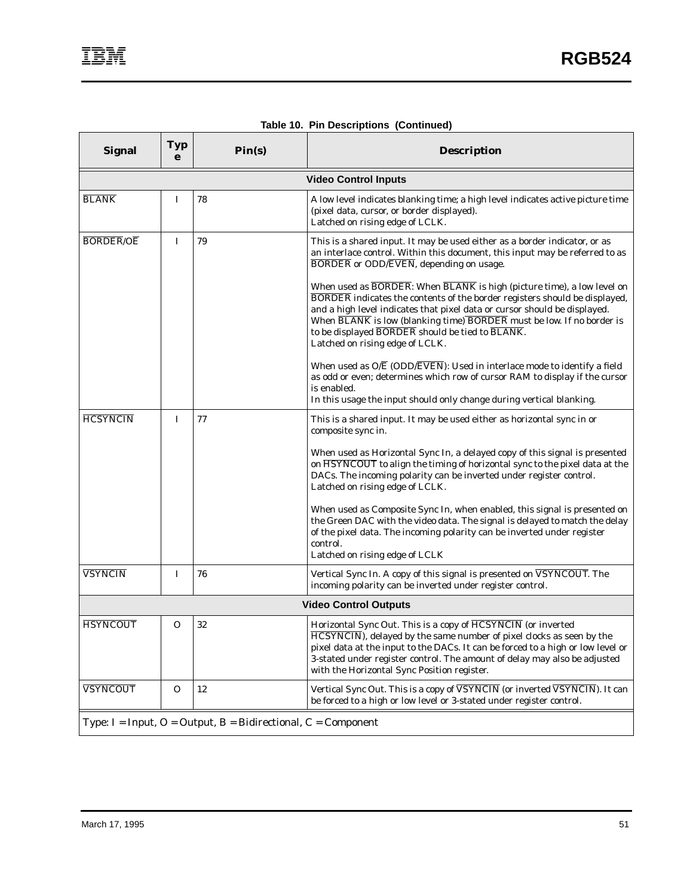| <b>Signal</b>                                                            | <b>Typ</b><br>e | Pin(s) | <b>Description</b>                                                                                                                                                                                                                                                                                                                                                                                      |  |  |  |
|--------------------------------------------------------------------------|-----------------|--------|---------------------------------------------------------------------------------------------------------------------------------------------------------------------------------------------------------------------------------------------------------------------------------------------------------------------------------------------------------------------------------------------------------|--|--|--|
| <b>Video Control Inputs</b>                                              |                 |        |                                                                                                                                                                                                                                                                                                                                                                                                         |  |  |  |
| <b>BLANK</b>                                                             | I               | 78     | A low level indicates blanking time; a high level indicates active picture time<br>(pixel data, cursor, or border displayed).<br>Latched on rising edge of LCLK.                                                                                                                                                                                                                                        |  |  |  |
| <b>BORDER/OE</b>                                                         | I               | 79     | This is a shared input. It may be used either as a border indicator, or as<br>an interlace control. Within this document, this input may be referred to as<br><b>BORDER</b> or ODD/EVEN, depending on usage.                                                                                                                                                                                            |  |  |  |
|                                                                          |                 |        | When used as BORDER: When BLANK is high (picture time), a low level on<br><b>BORDER</b> indicates the contents of the border registers should be displayed,<br>and a high level indicates that pixel data or cursor should be displayed.<br>When BLANK is low (blanking time) BORDER must be low. If no border is<br>to be displayed BORDER should be tied to BLANK.<br>Latched on rising edge of LCLK. |  |  |  |
|                                                                          |                 |        | When used as $O/\overline{E}$ (ODD/ $\overline{EVEN}$ ): Used in interlace mode to identify a field<br>as odd or even; determines which row of cursor RAM to display if the cursor<br>is enabled.<br>In this usage the input should only change during vertical blanking.                                                                                                                               |  |  |  |
| <b>HCSYNCIN</b>                                                          | I               | 77     | This is a shared input. It may be used either as horizontal sync in or<br>composite sync in.                                                                                                                                                                                                                                                                                                            |  |  |  |
|                                                                          |                 |        | When used as Horizontal Sync In, a delayed copy of this signal is presented<br>on HSYNCOUT to align the timing of horizontal sync to the pixel data at the<br>DACs. The incoming polarity can be inverted under register control.<br>Latched on rising edge of LCLK.                                                                                                                                    |  |  |  |
|                                                                          |                 |        | When used as Composite Sync In, when enabled, this signal is presented on<br>the Green DAC with the video data. The signal is delayed to match the delay<br>of the pixel data. The incoming polarity can be inverted under register<br>control.                                                                                                                                                         |  |  |  |
|                                                                          |                 |        | Latched on rising edge of LCLK                                                                                                                                                                                                                                                                                                                                                                          |  |  |  |
| <b>VSYNCIN</b>                                                           | I               | 76     | Vertical Sync In. A copy of this signal is presented on VSYNCOUT. The<br>incoming polarity can be inverted under register control.                                                                                                                                                                                                                                                                      |  |  |  |
| <b>Video Control Outputs</b>                                             |                 |        |                                                                                                                                                                                                                                                                                                                                                                                                         |  |  |  |
| <b>HSYNCOUT</b>                                                          | 0               | 32     | Horizontal Sync Out. This is a copy of HCSYNCIN (or inverted<br>HCSYNCIN), delayed by the same number of pixel clocks as seen by the<br>pixel data at the input to the DACs. It can be forced to a high or low level or<br>3-stated under register control. The amount of delay may also be adjusted<br>with the Horizontal Sync Position register.                                                     |  |  |  |
| <b>VSYNCOUT</b>                                                          | $\mathbf{O}$    | 12     | Vertical Sync Out. This is a copy of VSYNCIN (or inverted VSYNCIN). It can<br>be forced to a high or low level or 3-stated under register control.                                                                                                                                                                                                                                                      |  |  |  |
| Type: $I = Input$ , $O = Output$ , $B = Bidirectional$ , $C = Component$ |                 |        |                                                                                                                                                                                                                                                                                                                                                                                                         |  |  |  |

**Table 10. Pin Descriptions (Continued)**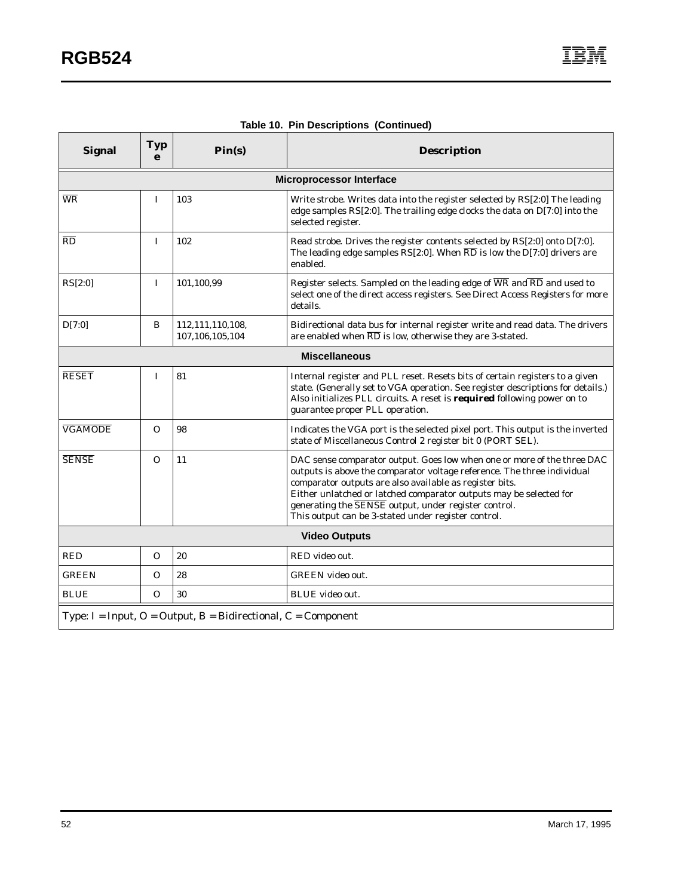| <b>Signal</b>                                                            | <b>Typ</b><br>e | Pin(s)                              | <b>Description</b>                                                                                                                                                                                                                                                                                                                                                                                 |  |  |
|--------------------------------------------------------------------------|-----------------|-------------------------------------|----------------------------------------------------------------------------------------------------------------------------------------------------------------------------------------------------------------------------------------------------------------------------------------------------------------------------------------------------------------------------------------------------|--|--|
|                                                                          |                 |                                     | <b>Microprocessor Interface</b>                                                                                                                                                                                                                                                                                                                                                                    |  |  |
| $\overline{\text{WR}}$                                                   | I               | 103                                 | Write strobe. Writes data into the register selected by RS[2:0] The leading<br>edge samples RS[2:0]. The trailing edge clocks the data on D[7:0] into the<br>selected register.                                                                                                                                                                                                                    |  |  |
| $\overline{RD}$                                                          | $\bf{I}$        | 102                                 | Read strobe. Drives the register contents selected by RS[2:0] onto D[7:0].<br>The leading edge samples RS[2:0]. When $\overline{\text{RD}}$ is low the D[7:0] drivers are<br>enabled.                                                                                                                                                                                                              |  |  |
| RS[2:0]                                                                  | $\mathbf I$     | 101,100,99                          | Register selects. Sampled on the leading edge of $\overline{\text{WR}}$ and $\overline{\text{RD}}$ and used to<br>select one of the direct access registers. See Direct Access Registers for more<br>details.                                                                                                                                                                                      |  |  |
| D[7:0]                                                                   | B               | 112,111,110,108,<br>107,106,105,104 | Bidirectional data bus for internal register write and read data. The drivers<br>are enabled when $\overline{\text{RD}}$ is low, otherwise they are 3-stated.                                                                                                                                                                                                                                      |  |  |
| <b>Miscellaneous</b>                                                     |                 |                                     |                                                                                                                                                                                                                                                                                                                                                                                                    |  |  |
| <b>RESET</b>                                                             | $\mathbf I$     | 81                                  | Internal register and PLL reset. Resets bits of certain registers to a given<br>state. (Generally set to VGA operation. See register descriptions for details.)<br>Also initializes PLL circuits. A reset is required following power on to<br>guarantee proper PLL operation.                                                                                                                     |  |  |
| <b>VGAMODE</b>                                                           | $\Omega$        | 98                                  | Indicates the VGA port is the selected pixel port. This output is the inverted<br>state of Miscellaneous Control 2 register bit 0 (PORT SEL).                                                                                                                                                                                                                                                      |  |  |
| <b>SENSE</b>                                                             | $\Omega$        | 11                                  | DAC sense comparator output. Goes low when one or more of the three DAC<br>outputs is above the comparator voltage reference. The three individual<br>comparator outputs are also available as register bits.<br>Either unlatched or latched comparator outputs may be selected for<br>generating the SENSE output, under register control.<br>This output can be 3-stated under register control. |  |  |
| <b>Video Outputs</b>                                                     |                 |                                     |                                                                                                                                                                                                                                                                                                                                                                                                    |  |  |
| <b>RED</b>                                                               | O               | 20                                  | RED video out.                                                                                                                                                                                                                                                                                                                                                                                     |  |  |
| <b>GREEN</b>                                                             | $\Omega$        | 28                                  | <b>GREEN</b> video out.                                                                                                                                                                                                                                                                                                                                                                            |  |  |
| <b>BLUE</b>                                                              | $\Omega$        | 30                                  | <b>BLUE</b> video out.                                                                                                                                                                                                                                                                                                                                                                             |  |  |
| Type: $I = Input$ , $O = Output$ , $B = Bidirectional$ , $C = Component$ |                 |                                     |                                                                                                                                                                                                                                                                                                                                                                                                    |  |  |

## **Table 10. Pin Descriptions (Continued)**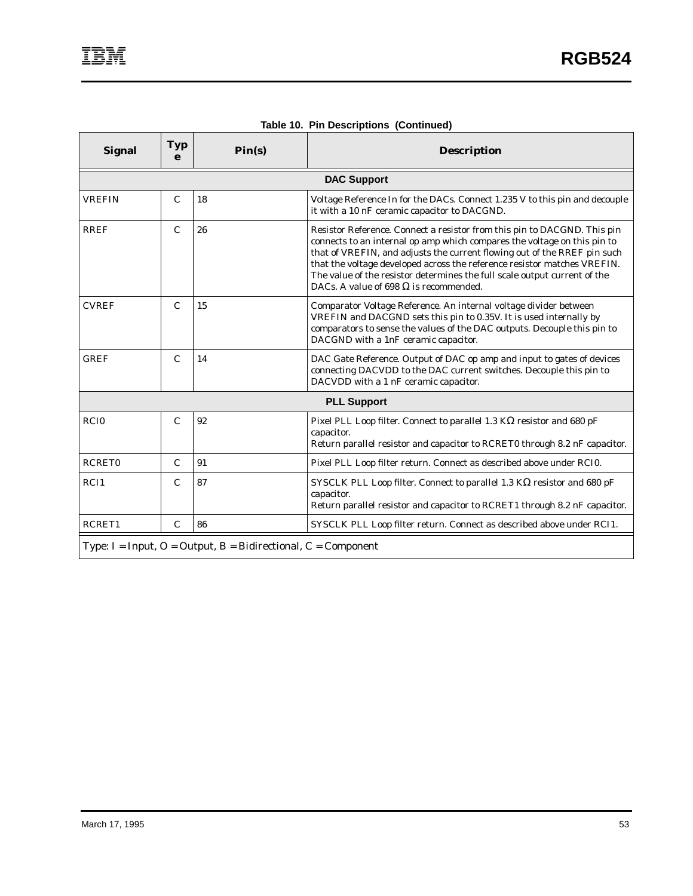| <b>Signal</b>                                                            | Typ<br>e           | Pin(s) | <b>Description</b>                                                                                                                                                                                                                                                                                                                                                                                                                         |  |  |  |  |
|--------------------------------------------------------------------------|--------------------|--------|--------------------------------------------------------------------------------------------------------------------------------------------------------------------------------------------------------------------------------------------------------------------------------------------------------------------------------------------------------------------------------------------------------------------------------------------|--|--|--|--|
|                                                                          | <b>DAC Support</b> |        |                                                                                                                                                                                                                                                                                                                                                                                                                                            |  |  |  |  |
| <b>VREFIN</b>                                                            | $\mathbf C$        | 18     | Voltage Reference In for the DACs. Connect 1.235 V to this pin and decouple<br>it with a 10 nF ceramic capacitor to DACGND.                                                                                                                                                                                                                                                                                                                |  |  |  |  |
| <b>RREF</b>                                                              | $\mathbf C$        | 26     | Resistor Reference. Connect a resistor from this pin to DACGND. This pin<br>connects to an internal op amp which compares the voltage on this pin to<br>that of VREFIN, and adjusts the current flowing out of the RREF pin such<br>that the voltage developed across the reference resistor matches VREFIN.<br>The value of the resistor determines the full scale output current of the<br>DACs. A value of 698 $\Omega$ is recommended. |  |  |  |  |
| <b>CVREF</b>                                                             | $\mathcal{C}$      | 15     | Comparator Voltage Reference. An internal voltage divider between<br>VREFIN and DACGND sets this pin to 0.35V. It is used internally by<br>comparators to sense the values of the DAC outputs. Decouple this pin to<br>DACGND with a 1nF ceramic capacitor.                                                                                                                                                                                |  |  |  |  |
| <b>GREF</b>                                                              | $\mathcal{C}$      | 14     | DAC Gate Reference. Output of DAC op amp and input to gates of devices<br>connecting DACVDD to the DAC current switches. Decouple this pin to<br>DACVDD with a 1 nF ceramic capacitor.                                                                                                                                                                                                                                                     |  |  |  |  |
| <b>PLL Support</b>                                                       |                    |        |                                                                                                                                                                                                                                                                                                                                                                                                                                            |  |  |  |  |
| RCI <sub>0</sub>                                                         | $\mathbf C$        | 92     | Pixel PLL Loop filter. Connect to parallel 1.3 K $\Omega$ resistor and 680 pF<br>capacitor.<br>Return parallel resistor and capacitor to RCRET0 through 8.2 nF capacitor.                                                                                                                                                                                                                                                                  |  |  |  |  |
| <b>RCRET0</b>                                                            | $\mathcal{C}$      | 91     | Pixel PLL Loop filter return. Connect as described above under RCIO.                                                                                                                                                                                                                                                                                                                                                                       |  |  |  |  |
| RCI1                                                                     | $\mathcal{C}$      | 87     | SYSCLK PLL Loop filter. Connect to parallel 1.3 $K\Omega$ resistor and 680 pF<br>capacitor.<br>Return parallel resistor and capacitor to RCRET1 through 8.2 nF capacitor.                                                                                                                                                                                                                                                                  |  |  |  |  |
| RCRET1                                                                   | $\mathbf C$        | 86     | SYSCLK PLL Loop filter return. Connect as described above under RCI1.                                                                                                                                                                                                                                                                                                                                                                      |  |  |  |  |
| Type: $I = Input$ , $O = Output$ , $B = Bidirectional$ , $C = Component$ |                    |        |                                                                                                                                                                                                                                                                                                                                                                                                                                            |  |  |  |  |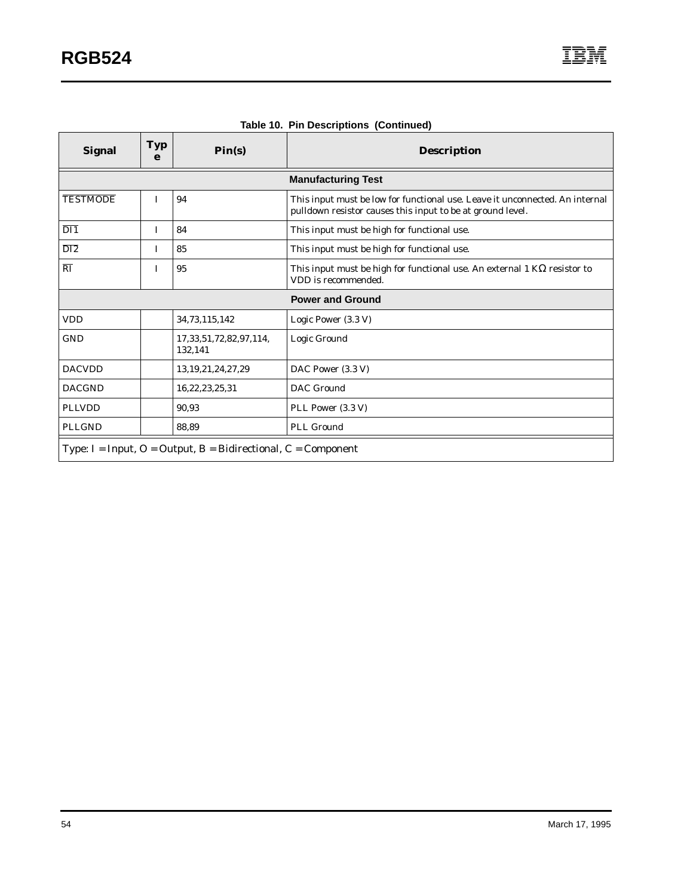| <b>Signal</b>          | <b>Typ</b><br>e | $\text{Pin}(s)$                                                          | <b>Description</b>                                                                                                                         |
|------------------------|-----------------|--------------------------------------------------------------------------|--------------------------------------------------------------------------------------------------------------------------------------------|
|                        |                 |                                                                          | <b>Manufacturing Test</b>                                                                                                                  |
| <b>TESTMODE</b>        | I               | 94                                                                       | This input must be low for functional use. Leave it unconnected. An internal<br>pulldown resistor causes this input to be at ground level. |
| $\overline{DI1}$       | I               | 84                                                                       | This input must be high for functional use.                                                                                                |
| $\overline{DI2}$       | L               | 85                                                                       | This input must be high for functional use.                                                                                                |
| $\overline{\text{RI}}$ | I               | 95                                                                       | This input must be high for functional use. An external 1 $K\Omega$ resistor to<br>VDD is recommended.                                     |
|                        |                 |                                                                          | <b>Power and Ground</b>                                                                                                                    |
| <b>VDD</b>             |                 | 34,73,115,142                                                            | Logic Power (3.3 V)                                                                                                                        |
| <b>GND</b>             |                 | 17, 33, 51, 72, 82, 97, 114,<br>132,141                                  | Logic Ground                                                                                                                               |
| <b>DACVDD</b>          |                 | 13, 19, 21, 24, 27, 29                                                   | DAC Power (3.3 V)                                                                                                                          |
| <b>DACGND</b>          |                 | 16,22,23,25,31                                                           | DAC Ground                                                                                                                                 |
| <b>PLLVDD</b>          |                 | 90,93                                                                    | PLL Power (3.3 V)                                                                                                                          |
| <b>PLLGND</b>          |                 | 88,89                                                                    | <b>PLL Ground</b>                                                                                                                          |
|                        |                 | Type: $I = Input$ , $O = Output$ , $B = Bidirectional$ , $C = Component$ |                                                                                                                                            |

| Table 10. Pin Descriptions (Continued) |  |
|----------------------------------------|--|
|----------------------------------------|--|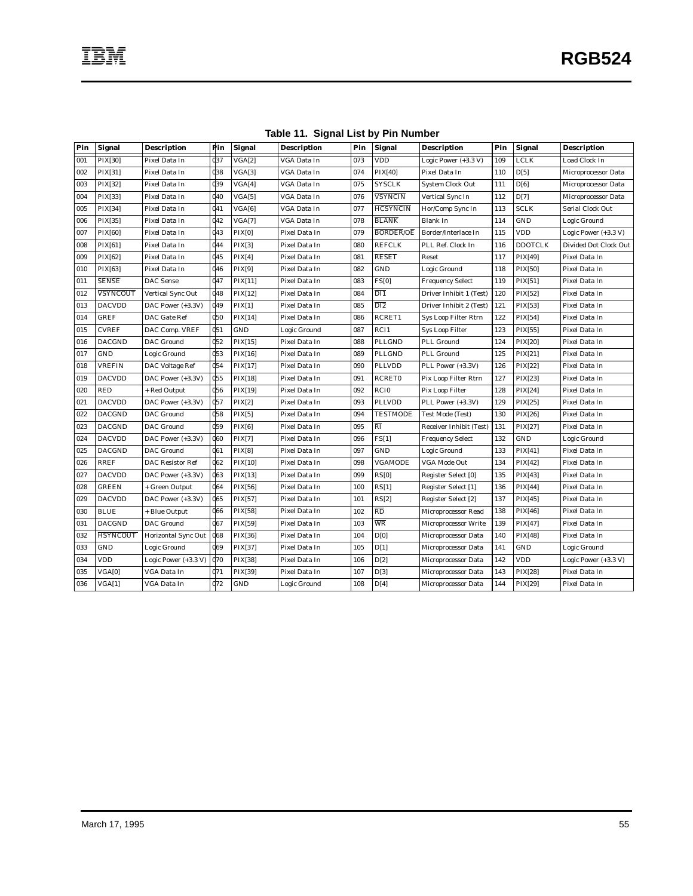| Pin | <b>Signal</b>   | <b>Description</b>      | Pin             | <b>Signal</b>  | <b>Description</b> | Pin | <b>Signal</b>            | <b>Description</b>      | Pin | <b>Signal</b>  | <b>Description</b>      |
|-----|-----------------|-------------------------|-----------------|----------------|--------------------|-----|--------------------------|-------------------------|-----|----------------|-------------------------|
| 001 | <b>PIX[30]</b>  | Pixel Data In           | 037             | VGA[2]         | VGA Data In        | 073 | <b>VDD</b>               | Logic Power (+3.3 V)    | 109 | <b>LCLK</b>    | Load Clock In           |
| 002 | PIX[31]         | Pixel Data In           | $_{038}$        | VGA[3]         | VGA Data In        | 074 | PIX[40]                  | Pixel Data In           | 110 | D[5]           | Microprocessor Data     |
| 003 | PIX[32]         | Pixel Data In           | <b>d</b> 39     | VGA[4]         | VGA Data In        | 075 | <b>SYSCLK</b>            | <b>System Clock Out</b> | 111 | D[6]           | Microprocessor Data     |
| 004 | PIX[33]         | Pixel Data In           | <b>d</b> 40     | VGA[5]         | VGA Data In        | 076 | <b>VSYNCIN</b>           | Vertical Sync In        | 112 | D[7]           | Microprocessor Data     |
| 005 | PIX[34]         | Pixel Data In           | 041             | VGA[6]         | VGA Data In        | 077 | <b>HCSYNCIN</b>          | Hor/Comp Sync In        | 113 | <b>SCLK</b>    | <b>Serial Clock Out</b> |
| 006 | PIX[35]         | Pixel Data In           | 042             | VGA[7]         | VGA Data In        | 078 | <b>BLANK</b>             | Blank In                | 114 | GND            | Logic Ground            |
| 007 | <b>PIX[60]</b>  | Pixel Data In           | $q_{43}$        | <b>PIX[0]</b>  | Pixel Data In      | 079 | <b>BORDER/OE</b>         | Border/Interlace In     | 115 | <b>VDD</b>     | Logic Power (+3.3 V)    |
| 008 | PIX[61]         | Pixel Data In           | 044             | PIX[3]         | Pixel Data In      | 080 | <b>REFCLK</b>            | PLL Ref. Clock In       | 116 | <b>DDOTCLK</b> | Divided Dot Clock Out   |
| 009 | PIX[62]         | Pixel Data In           | <b>d</b> 45     | PIX[4]         | Pixel Data In      | 081 | <b>RESET</b>             | Reset                   | 117 | PIX[49]        | Pixel Data In           |
| 010 | PIX[63]         | Pixel Data In           | <b>d46</b>      | PIX[9]         | Pixel Data In      | 082 | <b>GND</b>               | Logic Ground            | 118 | <b>PIX[50]</b> | Pixel Data In           |
| 011 | <b>SENSE</b>    | <b>DAC</b> Sense        | 047             | PIX[11]        | Pixel Data In      | 083 | FS[0]                    | <b>Frequency Select</b> | 119 | PIX[51]        | Pixel Data In           |
| 012 | <b>VSYNCOUT</b> | Vertical Sync Out       | <b>d</b> 48     | PIX[12]        | Pixel Data In      | 084 | $\overline{DI1}$         | Driver Inhibit 1 (Test) | 120 | PIX[52]        | Pixel Data In           |
| 013 | <b>DACVDD</b>   | DAC Power (+3.3V)       | <b>d</b> 49     | PIX[1]         | Pixel Data In      | 085 | $\overline{DI2}$         | Driver Inhibit 2 (Test) | 121 | PIX[53]        | Pixel Data In           |
| 014 | <b>GREF</b>     | DAC Gate Ref            | <b>d</b> 50     | <b>PIX[14]</b> | Pixel Data In      | 086 | RCRET1                   | Sys Loop Filter Rtrn    | 122 | PIX[54]        | Pixel Data In           |
| 015 | <b>CVREF</b>    | DAC Comp. VREF          | 0 <sub>51</sub> | GND            | Logic Ground       | 087 | RCI1                     | <b>Sys Loop Filter</b>  | 123 | PIX[55]        | Pixel Data In           |
| 016 | <b>DACGND</b>   | <b>DAC</b> Ground       | 052             | PIX[15]        | Pixel Data In      | 088 | PLLGND                   | PLL Ground              | 124 | <b>PIX[20]</b> | Pixel Data In           |
| 017 | GND             | Logic Ground            | $q_{53}$        | PIX[16]        | Pixel Data In      | 089 | PLLGND                   | PLL Ground              | 125 | PIX[21]        | Pixel Data In           |
| 018 | <b>VREFIN</b>   | DAC Voltage Ref         | 0 <sub>54</sub> | PIX[17]        | Pixel Data In      | 090 | <b>PLLVDD</b>            | PLL Power (+3.3V)       | 126 | PIX[22]        | Pixel Data In           |
| 019 | <b>DACVDD</b>   | DAC Power (+3.3V)       | 0 <sub>55</sub> | PIX[18]        | Pixel Data In      | 091 | <b>RCRET0</b>            | Pix Loop Filter Rtrn    | 127 | PIX[23]        | Pixel Data In           |
| 020 | <b>RED</b>      | + Red Output            | <b>d</b> 56     | PIX[19]        | Pixel Data In      | 092 | <b>RCIO</b>              | Pix Loop Filter         | 128 | PIX[24]        | Pixel Data In           |
| 021 | <b>DACVDD</b>   | DAC Power (+3.3V)       | 057             | PIX[2]         | Pixel Data In      | 093 | <b>PLLVDD</b>            | PLL Power (+3.3V)       | 129 | PIX[25]        | Pixel Data In           |
| 022 | <b>DACGND</b>   | <b>DAC</b> Ground       | 0 <sub>58</sub> | PIX[5]         | Pixel Data In      | 094 | <b>TESTMODE</b>          | Test Mode (Test)        | 130 | PIX[26]        | Pixel Data In           |
| 023 | <b>DACGND</b>   | <b>DAC</b> Ground       | <b>d</b> 59     | PIX[6]         | Pixel Data In      | 095 | RĪ                       | Receiver Inhibit (Test) | 131 | PIX[27]        | Pixel Data In           |
| 024 | <b>DACVDD</b>   | DAC Power (+3.3V)       | <b>d60</b>      | PIX[7]         | Pixel Data In      | 096 | FS[1]                    | <b>Frequency Select</b> | 132 | GND            | Logic Ground            |
| 025 | <b>DACGND</b>   | <b>DAC</b> Ground       | <b>d</b> 61     | PIX[8]         | Pixel Data In      | 097 | GND                      | Logic Ground            | 133 | PIX[41]        | Pixel Data In           |
| 026 | <b>RREF</b>     | <b>DAC Resistor Ref</b> | d62             | PIX[10]        | Pixel Data In      | 098 | <b>VGAMODE</b>           | <b>VGA Mode Out</b>     | 134 | PIX[42]        | Pixel Data In           |
| 027 | <b>DACVDD</b>   | DAC Power (+3.3V)       | d63             | PIX[13]        | Pixel Data In      | 099 | RS[0]                    | Register Select [0]     | 135 | PIX[43]        | Pixel Data In           |
| 028 | <b>GREEN</b>    | + Green Output          | <b>d</b> 64     | PIX[56]        | Pixel Data In      | 100 | RS[1]                    | Register Select [1]     | 136 | PIX[44]        | Pixel Data In           |
| 029 | <b>DACVDD</b>   | DAC Power (+3.3V)       | <b>d</b> 65     | PIX[57]        | Pixel Data In      | 101 | RS[2]                    | Register Select [2]     | 137 | PIX[45]        | Pixel Data In           |
| 030 | <b>BLUE</b>     | + Blue Output           | <b>d66</b>      | PIX[58]        | Pixel Data In      | 102 | $\overline{\mathrm{RD}}$ | Microprocessor Read     | 138 | PIX[46]        | Pixel Data In           |
| 031 | <b>DACGND</b>   | <b>DAC</b> Ground       | d67             | PIX[59]        | Pixel Data In      | 103 | WR                       | Microprocessor Write    | 139 | PIX[47]        | Pixel Data In           |
| 032 | <b>HSYNCOUT</b> | Horizontal Sync Out     | <b>d68</b>      | PIX[36]        | Pixel Data In      | 104 | D[0]                     | Microprocessor Data     | 140 | PIX[48]        | Pixel Data In           |
| 033 | <b>GND</b>      | Logic Ground            | d69             | PIX[37]        | Pixel Data In      | 105 | D[1]                     | Microprocessor Data     | 141 | GND            | Logic Ground            |
| 034 | <b>VDD</b>      | Logic Power (+3.3 V)    | <b>d70</b>      | PIX[38]        | Pixel Data In      | 106 | D[2]                     | Microprocessor Data     | 142 | VDD            | Logic Power (+3.3 V)    |
| 035 | VGA[0]          | VGA Data In             | 071             | PIX[39]        | Pixel Data In      | 107 | D[3]                     | Microprocessor Data     | 143 | PIX[28]        | Pixel Data In           |
| 036 | VGA[1]          | VGA Data In             | $q_{72}$        | GND            | Logic Ground       | 108 | D[4]                     | Microprocessor Data     | 144 | PIX[29]        | Pixel Data In           |

**Table 11. Signal List by Pin Number**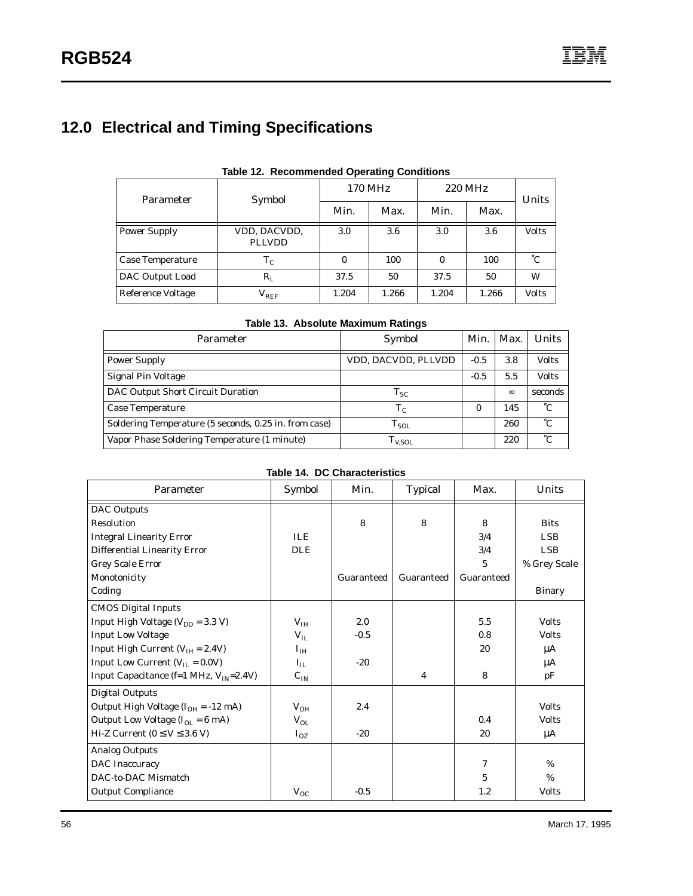# **12.0 Electrical and Timing Specifications**

| Parameter                | Symbol                        |              | 170 MHz | 220 MHz | Units |              |
|--------------------------|-------------------------------|--------------|---------|---------|-------|--------------|
|                          |                               | Min.         | Max.    | Min.    | Max.  |              |
| <b>Power Supply</b>      | VDD, DACVDD,<br><b>PLLVDD</b> | 3.0          | 3.6     | 3.0     | 3.6   | <b>Volts</b> |
| Case Temperature         | $T_{C}$                       | $\mathbf{0}$ | 100     | 0       | 100   | °С           |
| DAC Output Load          | $R_{L}$                       | 37.5         | 50      | 37.5    | 50    | W            |
| <b>Reference Voltage</b> | $\rm V_{REF}$                 | 1.204        | 1.266   | 1.204   | 1.266 | <b>Volts</b> |

#### **Table 12. Recommended Operating Conditions**

| <b>Parameter</b>                                      | Symbol              | Min.   | Max.     | Units        |
|-------------------------------------------------------|---------------------|--------|----------|--------------|
| <b>Power Supply</b>                                   | VDD, DACVDD, PLLVDD | $-0.5$ | 3.8      | <b>Volts</b> |
| <b>Signal Pin Voltage</b>                             |                     | $-0.5$ | 5.5      | <b>Volts</b> |
| DAC Output Short Circuit Duration                     | $T_{SC}$            |        | $\infty$ | seconds      |
| <b>Case Temperature</b>                               | $T_{C}$             | 0      | 145      | °С           |
| Soldering Temperature (5 seconds, 0.25 in. from case) | $T_{SOL}$           |        | 260      | °С           |
| Vapor Phase Soldering Temperature (1 minute)          | $T_{V,SOL}$         |        | 220      | $^{\circ}C$  |

|  |  |  | Table 14. DC Characteristics |
|--|--|--|------------------------------|
|--|--|--|------------------------------|

| Parameter                                    | Symbol          | Min.       | <b>Typical</b> | Max.       | Units         |
|----------------------------------------------|-----------------|------------|----------------|------------|---------------|
| <b>DAC</b> Outputs                           |                 |            |                |            |               |
| Resolution                                   |                 | 8          | 8              | 8          | <b>Bits</b>   |
| <b>Integral Linearity Error</b>              | <b>ILE</b>      |            |                | 3/4        | LSB.          |
| Differential Linearity Error                 | <b>DLE</b>      |            |                | 3/4        | LSB.          |
| <b>Grey Scale Error</b>                      |                 |            |                | 5          | % Grey Scale  |
| Monotonicity                                 |                 | Guaranteed | Guaranteed     | Guaranteed |               |
| Coding                                       |                 |            |                |            | <b>Binary</b> |
| <b>CMOS Digital Inputs</b>                   |                 |            |                |            |               |
| Input High Voltage ( $V_{DD}$ = 3.3 V)       | V <sub>IH</sub> | 2.0        |                | 5.5        | <b>Volts</b>  |
| <b>Input Low Voltage</b>                     | $V_{IL}$        | $-0.5$     |                | 0.8        | <b>Volts</b>  |
| Input High Current ( $V_{IH} = 2.4V$ )       | $I_{IH}$        |            |                | 20         | μA            |
| Input Low Current ( $V_{II} = 0.0 V$ )       | $I_{IL}$        | $-20$      |                |            | μA            |
| Input Capacitance (f=1 MHz, $V_{IN}$ =2.4V)  | $C_{IN}$        |            | $\overline{4}$ | 8          | pF            |
| <b>Digital Outputs</b>                       |                 |            |                |            |               |
| Output High Voltage $(I_{OH} = -12$ mA)      | $V_{OH}$        | 2.4        |                |            | <b>Volts</b>  |
| Output Low Voltage $(I_{OL} = 6 \text{ mA})$ | $V_{OL}$        |            |                | 0.4        | <b>Volts</b>  |
| Hi-Z Current ( $0 \le V \le 3.6$ V)          | $I_{OZ}$        | $-20$      |                | 20         | μA            |
| <b>Analog Outputs</b>                        |                 |            |                |            |               |
| DAC Inaccuracy                               |                 |            |                | $\tau$     | $\%$          |
| DAC-to-DAC Mismatch                          |                 |            |                | 5          | $\%$          |
| <b>Output Compliance</b>                     | $V_{OC}$        | $-0.5$     |                | 1.2        | <b>Volts</b>  |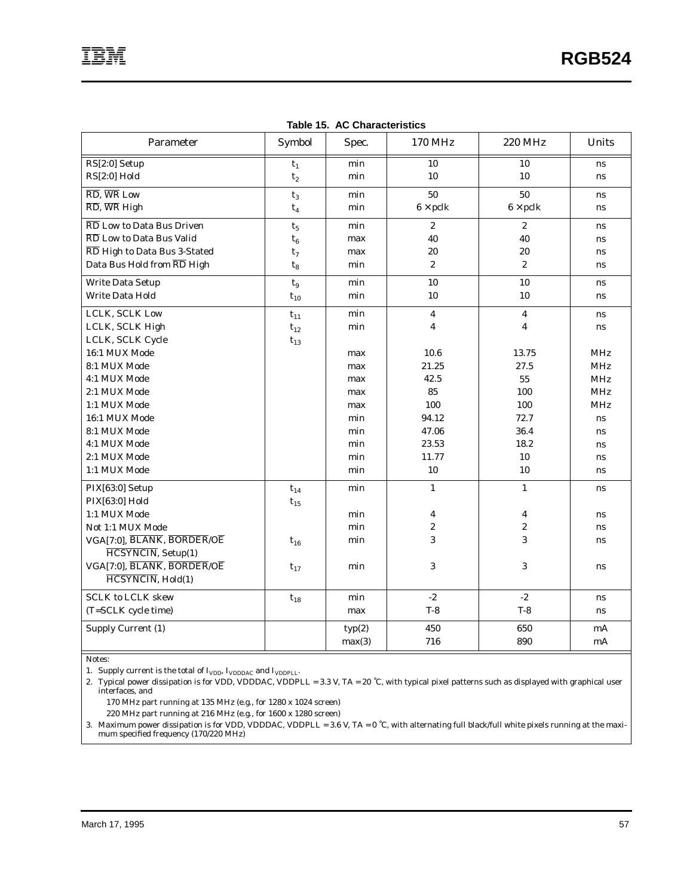| Parameter                                            | Symbol         | Spec.  | 170 MHz                 | <b>220 MHz</b>   | Units      |
|------------------------------------------------------|----------------|--------|-------------------------|------------------|------------|
| RS[2:0] Setup                                        | $\mathbf{t}_1$ | min    | 10                      | 10               | ns         |
| $RS[2:0]$ Hold                                       | t <sub>2</sub> | min    | 10                      | 10               | ns         |
| $\overline{\text{RD}}$ , WR Low                      | $t_3$          | min    | 50                      | 50               | ns         |
| $\overline{\text{RD}}$ , $\overline{\text{WR}}$ High | $t_4$          | min    | $6 \times$ pclk         | $6 \times$ pclk  | ns         |
| RD Low to Data Bus Driven                            | $t_5$          | min    | $\boldsymbol{2}$        | $\overline{2}$   | ns         |
| RD Low to Data Bus Valid                             | $t_6$          | max    | 40                      | 40               | <b>ns</b>  |
| RD High to Data Bus 3-Stated                         | $t_7$          | max    | 20                      | 20               | ns         |
| Data Bus Hold from RD High                           | $t_8$          | min    | $\boldsymbol{2}$        | $\overline{2}$   | ns         |
| Write Data Setup                                     | $t_{9}$        | min    | 10                      | 10               | ns         |
| <b>Write Data Hold</b>                               | $t_{10}$       | min    | 10                      | 10               | <b>ns</b>  |
| LCLK, SCLK Low                                       | $t_{11}$       | min    | $\overline{\mathbf{4}}$ | $\boldsymbol{4}$ | ns         |
| LCLK, SCLK High                                      | $t_{12}$       | min    | $\overline{4}$          | 4                | ns         |
| LCLK, SCLK Cycle                                     | $t_{13}$       |        |                         |                  |            |
| 16:1 MUX Mode                                        |                | max    | 10.6                    | 13.75            | <b>MHz</b> |
| 8:1 MUX Mode                                         |                | max    | 21.25                   | 27.5             | <b>MHz</b> |
| 4:1 MUX Mode                                         |                | max    | 42.5                    | 55               | MHz        |
| 2:1 MUX Mode                                         |                | max    | 85                      | 100              | <b>MHz</b> |
| 1:1 MUX Mode                                         |                | max    | 100                     | 100              | <b>MHz</b> |
| 16:1 MUX Mode                                        |                | min    | 94.12                   | 72.7             | ns         |
| 8:1 MUX Mode                                         |                | min    | 47.06                   | 36.4             | ns         |
| 4:1 MUX Mode                                         |                | min    | 23.53                   | 18.2             | ns         |
| 2:1 MUX Mode                                         |                | min    | 11.77                   | 10               | ns         |
| 1:1 MUX Mode                                         |                | min    | 10                      | 10               | ns         |
| PIX[63:0] Setup                                      | $t_{14}$       | min    | $\mathbf{1}$            | $\mathbf{1}$     | ns         |
| PIX[63:0] Hold                                       | $t_{15}$       |        |                         |                  |            |
| 1:1 MUX Mode                                         |                | min    | $\overline{\mathbf{4}}$ | 4                | ns         |
| Not 1:1 MUX Mode                                     |                | min    | $\overline{2}$          | $\overline{2}$   | ns         |
| VGA[7:0], BLANK, BORDER/OE                           | $t_{16}$       | min    | 3                       | 3                | ns         |
| HCSYNCIN, Setup(1)                                   |                |        |                         |                  |            |
| VGA[7:0], BLANK, BORDER/OE                           | $t_{17}$       | min    | 3                       | 3                | <b>ns</b>  |
| HCSYNCIN, Hold(1)                                    |                |        |                         |                  |            |
| <b>SCLK to LCLK skew</b>                             | $t_{18}$       | min    | $-2$                    | $-2$             | ns         |
| (T=SCLK cycle time)                                  |                | max    | $T-8$                   | $T-8$            | ns         |
| Supply Current (1)                                   |                | typ(2) | 450                     | 650              | mA         |
|                                                      |                | max(3) | 716                     | 890              | mA         |

**Table 15. AC Characteristics**

Notes:

1. Supply current is the total of  $I_{\text{VDD}}$ ,  $I_{\text{VDDDAC}}$  and  $I_{\text{VDDPLL}}$ .

2. Typical power dissipation is for VDD, VDDDAC, VDDPLL = 3.3 V, TA = 20 ˚C, with typical pixel patterns such as displayed with graphical user interfaces, and

 $170~\mathrm{MHz}$  part running at  $135~\mathrm{MHz}$  (e.g., for  $1280~\mathrm{x}$   $1024~\mathrm{screen})$ 

220 MHz part running at 216 MHz (e.g., for 1600 x 1280 screen)

3. Maximum power dissipation is for VDD, VDDDAC, VDDPLL = 3.6 V, TA = 0 ˚C, with alternating full black/full white pixels running at the maximum specified frequency (170/220 MHz)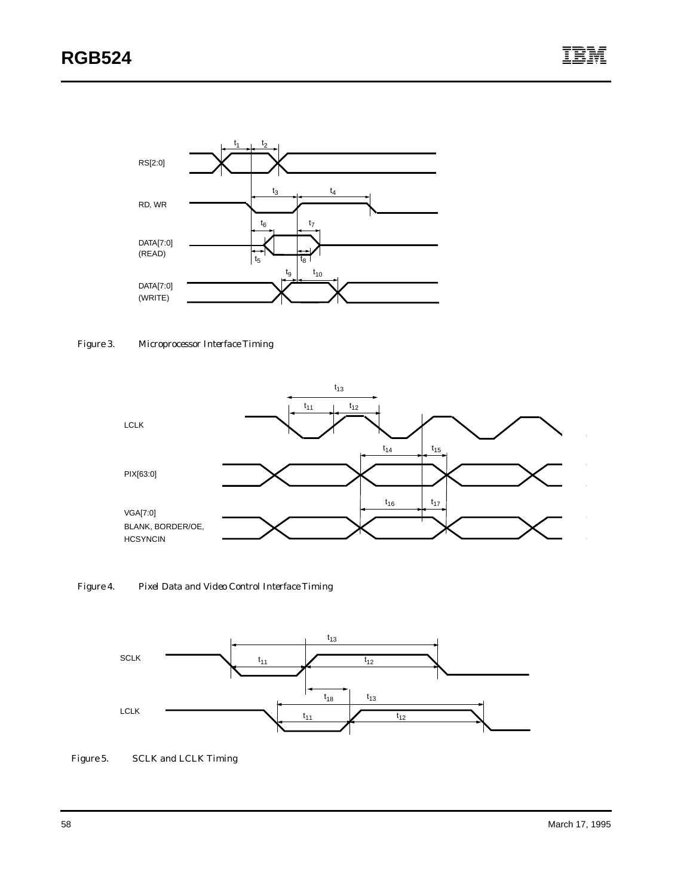

*Figure 3. Microprocessor Interface Timing*



*Figure 4. Pixel Data and Video Control Interface Timing*



*Figure 5. SCLK and LCLK Timing*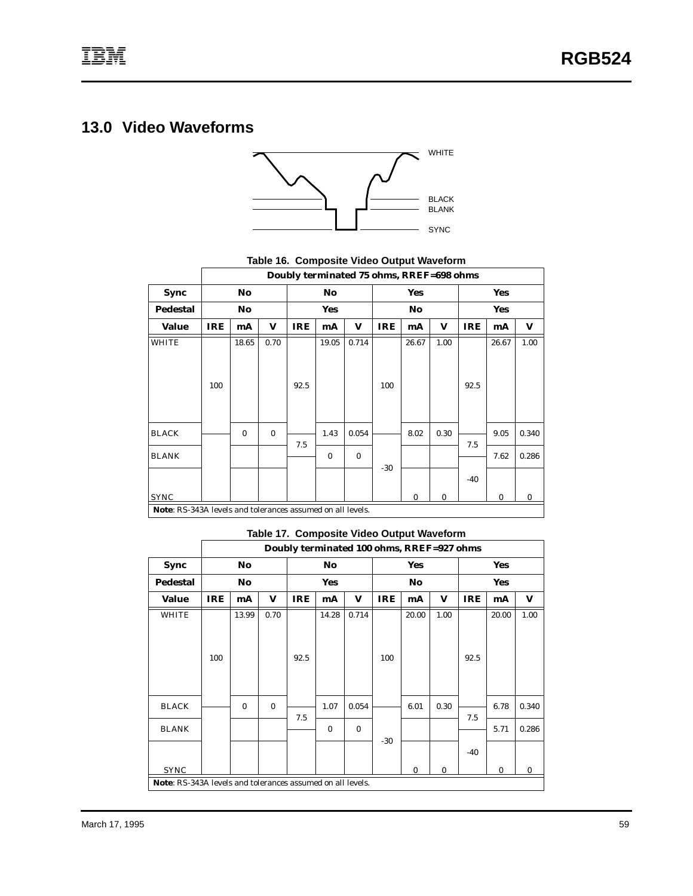# **13.0 Video Waveforms**



**Table 16. Composite Video Output Waveform**

|                                                            |            |                |              | Doubly terminated 75 ohms, RREF=698 ohms |            |          |            |                |      |            |            |       |
|------------------------------------------------------------|------------|----------------|--------------|------------------------------------------|------------|----------|------------|----------------|------|------------|------------|-------|
| Sync                                                       |            | No             |              |                                          | No         |          |            | <b>Yes</b>     |      |            | <b>Yes</b> |       |
| <b>Pedestal</b>                                            |            | N <sub>o</sub> |              |                                          | <b>Yes</b> |          |            | N <sub>o</sub> |      |            | <b>Yes</b> |       |
| Value                                                      | <b>IRE</b> | mA             | V            | <b>IRE</b>                               | mA         | V        | <b>IRE</b> | mA             | V    | <b>IRE</b> | mA         | V     |
| <b>WHITE</b>                                               |            | 18.65          | 0.70         |                                          | 19.05      | 0.714    |            | 26.67          | 1.00 |            | 26.67      | 1.00  |
|                                                            |            |                |              |                                          |            |          |            |                |      |            |            |       |
|                                                            |            |                |              |                                          |            |          |            |                |      |            |            |       |
|                                                            | 100        |                |              | 92.5                                     |            |          | 100        |                |      | 92.5       |            |       |
|                                                            |            |                |              |                                          |            |          |            |                |      |            |            |       |
|                                                            |            |                |              |                                          |            |          |            |                |      |            |            |       |
| <b>BLACK</b>                                               |            | $\bf{0}$       | $\mathbf{0}$ | 7.5                                      | 1.43       | 0.054    |            | 8.02           | 0.30 | 7.5        | 9.05       | 0.340 |
| <b>BLANK</b>                                               |            |                |              |                                          | $\bf{0}$   | $\bf{0}$ |            |                |      |            | 7.62       | 0.286 |
|                                                            |            |                |              |                                          |            |          | $-30$      |                |      |            |            |       |
|                                                            |            |                |              |                                          |            |          |            |                |      | $-40$      |            |       |
| <b>SYNC</b>                                                |            |                |              |                                          |            |          |            | $\bf{0}$       | 0    |            | $\bf{0}$   | 0     |
| Note: RS-343A levels and tolerances assumed on all levels. |            |                |              |                                          |            |          |            |                |      |            |            |       |

#### **Table 17. Composite Video Output Waveform**

|                                                            |            |                |          | Doubly terminated 100 ohms, RREF=927 ohms |            |          |            |            |      |            |            |          |
|------------------------------------------------------------|------------|----------------|----------|-------------------------------------------|------------|----------|------------|------------|------|------------|------------|----------|
| Sync                                                       |            | No             |          |                                           | No         |          |            | <b>Yes</b> |      |            | <b>Yes</b> |          |
| <b>Pedestal</b>                                            |            | N <sub>o</sub> |          |                                           | <b>Yes</b> |          |            | No         |      |            | <b>Yes</b> |          |
| <b>Value</b>                                               | <b>IRE</b> | mA             | V        | <b>IRE</b>                                | mA         | V        | <b>IRE</b> | mA         | V    | <b>IRE</b> | mA         | V        |
| <b>WHITE</b>                                               |            | 13.99          | 0.70     |                                           | 14.28      | 0.714    |            | 20.00      | 1.00 |            | 20.00      | 1.00     |
|                                                            |            |                |          |                                           |            |          |            |            |      |            |            |          |
|                                                            |            |                |          |                                           |            |          |            |            |      |            |            |          |
|                                                            | 100        |                |          | 92.5                                      |            |          | 100        |            |      | 92.5       |            |          |
|                                                            |            |                |          |                                           |            |          |            |            |      |            |            |          |
|                                                            |            |                |          |                                           |            |          |            |            |      |            |            |          |
| <b>BLACK</b>                                               |            | $\bf{0}$       | $\bf{0}$ | 7.5                                       | 1.07       | 0.054    |            | 6.01       | 0.30 | 7.5        | 6.78       | 0.340    |
| <b>BLANK</b>                                               |            |                |          |                                           | $\bf{0}$   | $\bf{0}$ |            |            |      |            | 5.71       | 0.286    |
|                                                            |            |                |          |                                           |            |          | $-30$      |            |      |            |            |          |
|                                                            |            |                |          |                                           |            |          |            |            |      | -40        |            |          |
| <b>SYNC</b>                                                |            |                |          |                                           |            |          |            | 0          | 0    |            | $\bf{0}$   | $\bf{0}$ |
| Note: RS-343A levels and tolerances assumed on all levels. |            |                |          |                                           |            |          |            |            |      |            |            |          |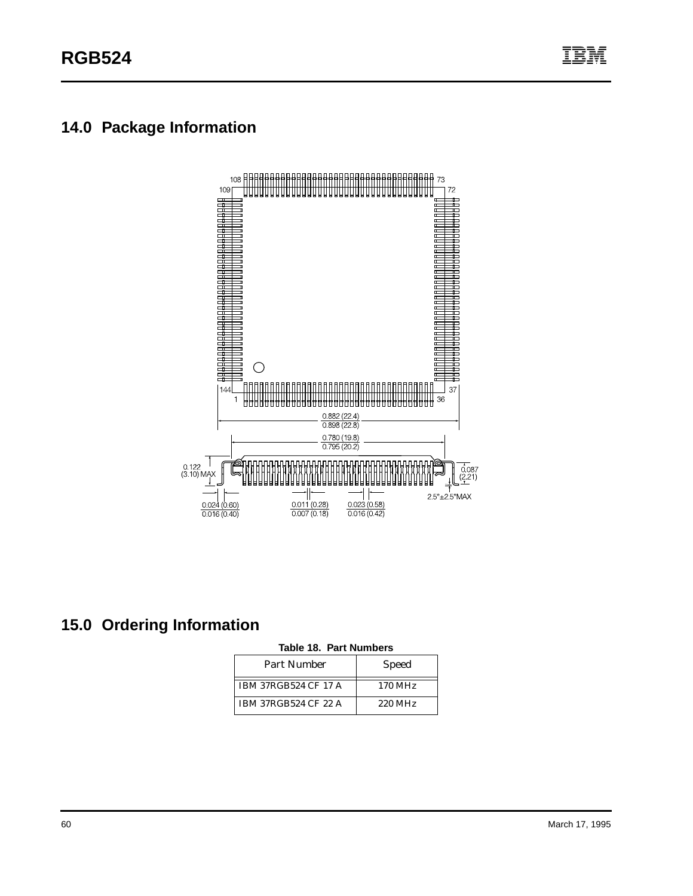# <span id="page-65-0"></span>**14.0 Package Information**



# **15.0 Ordering Information**

|  | Table 18. Part Numbers |
|--|------------------------|
|--|------------------------|

| Part Number                 | <b>Speed</b>        |
|-----------------------------|---------------------|
| <b>IBM 37RGB524 CF 17 A</b> | 170 MH <sub>z</sub> |
| <b>IBM 37RGB524 CF 22 A</b> | 220 MHz             |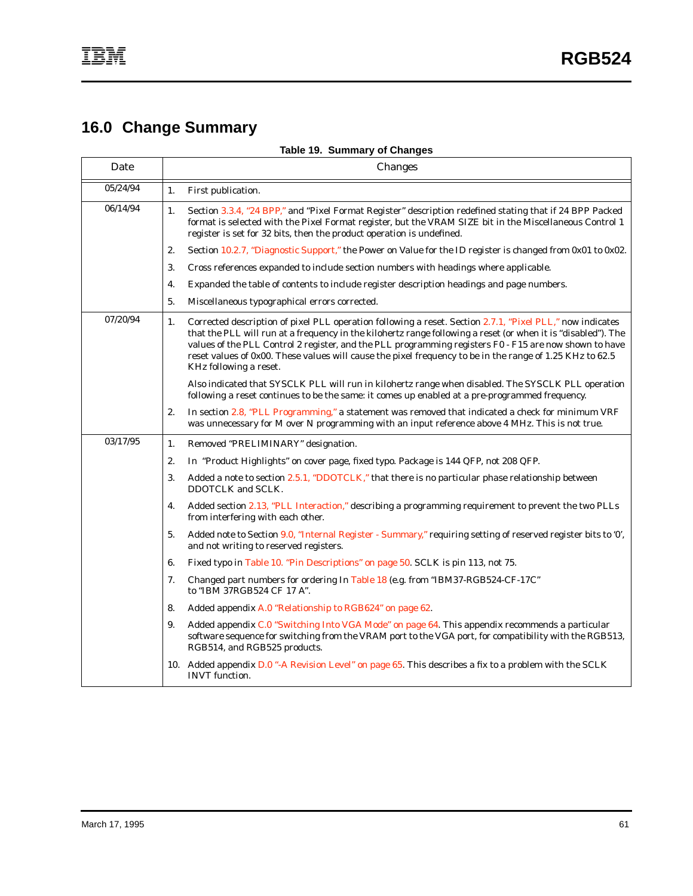# **16.0 Change Summary**

**Table 19. Summary of Changes**

| Date     |    | Changes                                                                                                                                                                                                                                                                                                                                                                                                                                                                    |  |  |
|----------|----|----------------------------------------------------------------------------------------------------------------------------------------------------------------------------------------------------------------------------------------------------------------------------------------------------------------------------------------------------------------------------------------------------------------------------------------------------------------------------|--|--|
| 05/24/94 | 1. | First publication.                                                                                                                                                                                                                                                                                                                                                                                                                                                         |  |  |
| 06/14/94 | 1. | Section 3.3.4, "24 BPP," and "Pixel Format Register" description redefined stating that if 24 BPP Packed<br>format is selected with the Pixel Format register, but the VRAM SIZE bit in the Miscellaneous Control 1<br>register is set for 32 bits, then the product operation is undefined.                                                                                                                                                                               |  |  |
|          | 2. | Section 10.2.7, "Diagnostic Support," the Power on Value for the ID register is changed from 0x01 to 0x02.                                                                                                                                                                                                                                                                                                                                                                 |  |  |
|          | 3. | Cross references expanded to include section numbers with headings where applicable.                                                                                                                                                                                                                                                                                                                                                                                       |  |  |
|          | 4. | Expanded the table of contents to include register description headings and page numbers.                                                                                                                                                                                                                                                                                                                                                                                  |  |  |
|          | 5. | Miscellaneous typographical errors corrected.                                                                                                                                                                                                                                                                                                                                                                                                                              |  |  |
| 07/20/94 | 1. | Corrected description of pixel PLL operation following a reset. Section 2.7.1, "Pixel PLL," now indicates<br>that the PLL will run at a frequency in the kilohertz range following a reset (or when it is "disabled"). The<br>values of the PLL Control 2 register, and the PLL programming registers F0 - F15 are now shown to have<br>reset values of 0x00. These values will cause the pixel frequency to be in the range of 1.25 KHz to 62.5<br>KHz following a reset. |  |  |
|          |    | Also indicated that SYSCLK PLL will run in kilohertz range when disabled. The SYSCLK PLL operation<br>following a reset continues to be the same: it comes up enabled at a pre-programmed frequency.                                                                                                                                                                                                                                                                       |  |  |
|          | 2. | In section 2.8, "PLL Programming," a statement was removed that indicated a check for minimum VRF<br>was unnecessary for M over N programming with an input reference above 4 MHz. This is not true.                                                                                                                                                                                                                                                                       |  |  |
| 03/17/95 | 1. | Removed "PRELIMINARY" designation.                                                                                                                                                                                                                                                                                                                                                                                                                                         |  |  |
|          | 2. | In "Product Highlights" on cover page, fixed typo. Package is 144 QFP, not 208 QFP.                                                                                                                                                                                                                                                                                                                                                                                        |  |  |
|          | 3. | Added a note to section 2.5.1, "DDOTCLK," that there is no particular phase relationship between<br>DDOTCLK and SCLK.                                                                                                                                                                                                                                                                                                                                                      |  |  |
|          | 4. | Added section 2.13, "PLL Interaction," describing a programming requirement to prevent the two PLLs<br>from interfering with each other.                                                                                                                                                                                                                                                                                                                                   |  |  |
|          | 5. | Added note to Section 9.0, "Internal Register - Summary," requiring setting of reserved register bits to '0',<br>and not writing to reserved registers.                                                                                                                                                                                                                                                                                                                    |  |  |
|          | 6. | Fixed typo in Table 10. "Pin Descriptions" on page 50. SCLK is pin 113, not 75.                                                                                                                                                                                                                                                                                                                                                                                            |  |  |
|          | 7. | Changed part numbers for ordering In Table 18 (e.g. from "IBM37-RGB524-CF-17C"<br>to "IBM 37RGB524 CF 17 A".                                                                                                                                                                                                                                                                                                                                                               |  |  |
|          | 8. | Added appendix A.0 "Relationship to RGB624" on page 62.                                                                                                                                                                                                                                                                                                                                                                                                                    |  |  |
|          | 9. | Added appendix C.0 "Switching Into VGA Mode" on page 64. This appendix recommends a particular<br>software sequence for switching from the VRAM port to the VGA port, for compatibility with the RGB513,<br>RGB514, and RGB525 products.                                                                                                                                                                                                                                   |  |  |
|          |    | 10. Added appendix D.0 "-A Revision Level" on page 65. This describes a fix to a problem with the SCLK<br><b>INVT</b> function.                                                                                                                                                                                                                                                                                                                                            |  |  |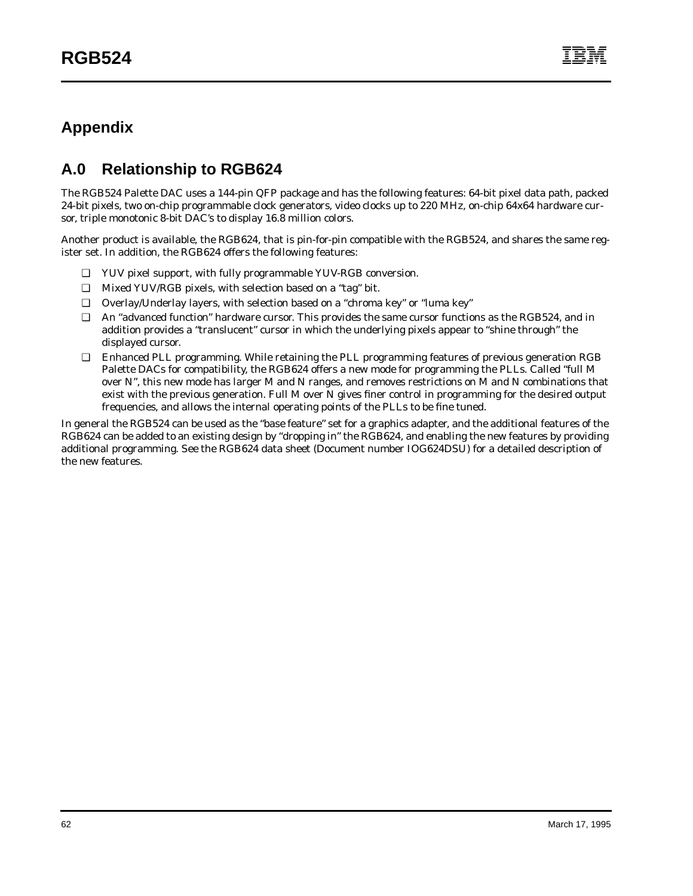# <span id="page-67-0"></span>**Appendix**

# **A.0 Relationship to RGB624**

The RGB524 Palette DAC uses a 144-pin QFP package and has the following features: 64-bit pixel data path, packed 24-bit pixels, two on-chip programmable clock generators, video clocks up to 220 MHz, on-chip 64x64 hardware cursor, triple monotonic 8-bit DAC's to display 16.8 million colors.

Another product is available, the RGB624, that is pin-for-pin compatible with the RGB524, and shares the same register set. In addition, the RGB624 offers the following features:

- ❑ YUV pixel support, with fully programmable YUV-RGB conversion.
- ❑ Mixed YUV/RGB pixels, with selection based on a "tag" bit.
- ❑ Overlay/Underlay layers, with selection based on a "chroma key" or "luma key"
- ❑ An "advanced function" hardware cursor. This provides the same cursor functions as the RGB524, and in addition provides a "translucent" cursor in which the underlying pixels appear to "shine through" the displayed cursor.
- ❑ Enhanced PLL programming. While retaining the PLL programming features of previous generation RGB Palette DACs for compatibility, the RGB624 offers a new mode for programming the PLLs. Called "full M over N", this new mode has larger M and N ranges, and removes restrictions on M and N combinations that exist with the previous generation. Full M over N gives finer control in programming for the desired output frequencies, and allows the internal operating points of the PLLs to be fine tuned.

In general the RGB524 can be used as the "base feature" set for a graphics adapter, and the additional features of the RGB624 can be added to an existing design by "dropping in" the RGB624, and enabling the new features by providing additional programming. See the RGB624 data sheet (Document number IOG624DSU) for a detailed description of the new features.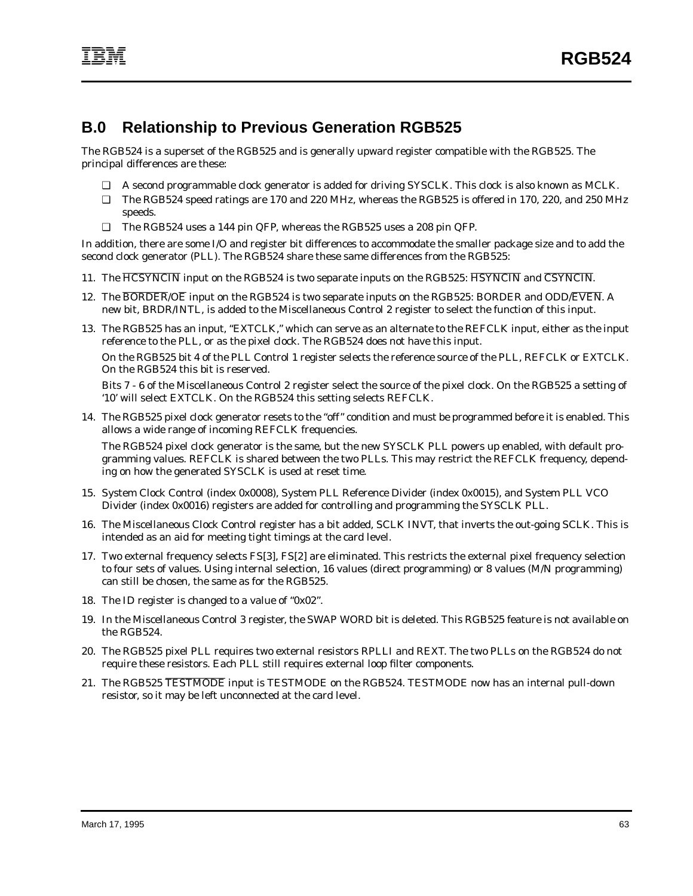## **B.0 Relationship to Previous Generation RGB525**

The RGB524 is a superset of the RGB525 and is generally upward register compatible with the RGB525. The principal differences are these:

- ❑ A second programmable clock generator is added for driving SYSCLK. This clock is also known as MCLK.
- ❑ The RGB524 speed ratings are 170 and 220 MHz, whereas the RGB525 is offered in 170, 220, and 250 MHz speeds.
- ❑ The RGB524 uses a 144 pin QFP, whereas the RGB525 uses a 208 pin QFP.

In addition, there are some I/O and register bit differences to accommodate the smaller package size and to add the second clock generator (PLL). The RGB524 share these same differences from the RGB525:

- 11. The HCSYNCIN input on the RGB524 is two separate inputs on the RGB525: HSYNCIN and CSYNCIN.
- 12. The BORDER/OE input on the RGB524 is two separate inputs on the RGB525: BORDER and ODD/EVEN. A new bit, BRDR/INTL, is added to the Miscellaneous Control 2 register to select the function of this input.
- 13. The RGB525 has an input, "EXTCLK," which can serve as an alternate to the REFCLK input, either as the input reference to the PLL, or as the pixel clock. The RGB524 does not have this input.

On the RGB525 bit 4 of the PLL Control 1 register selects the reference source of the PLL, REFCLK or EXTCLK. On the RGB524 this bit is reserved.

Bits 7 - 6 of the Miscellaneous Control 2 register select the source of the pixel clock. On the RGB525 a setting of '10' will select EXTCLK. On the RGB524 this setting selects REFCLK.

14. The RGB525 pixel clock generator resets to the "off" condition and must be programmed before it is enabled. This allows a wide range of incoming REFCLK frequencies.

The RGB524 pixel clock generator is the same, but the new SYSCLK PLL powers up enabled, with default programming values. REFCLK is shared between the two PLLs. This may restrict the REFCLK frequency, depending on how the generated SYSCLK is used at reset time.

- 15. System Clock Control (index 0x0008), System PLL Reference Divider (index 0x0015), and System PLL VCO Divider (index 0x0016) registers are added for controlling and programming the SYSCLK PLL.
- 16. The Miscellaneous Clock Control register has a bit added, SCLK INVT, that inverts the out-going SCLK. This is intended as an aid for meeting tight timings at the card level.
- 17. Two external frequency selects FS[3], FS[2] are eliminated. This restricts the external pixel frequency selection to four sets of values. Using internal selection, 16 values (direct programming) or 8 values (M/N programming) can still be chosen, the same as for the RGB525.
- 18. The ID register is changed to a value of "0x02".
- 19. In the Miscellaneous Control 3 register, the SWAP WORD bit is deleted. This RGB525 feature is not available on the RGB524.
- 20. The RGB525 pixel PLL requires two external resistors RPLLI and REXT. The two PLLs on the RGB524 do not require these resistors. Each PLL still requires external loop filter components.
- 21. The RGB525 TESTMODE input is TESTMODE on the RGB524. TESTMODE now has an internal pull-down resistor, so it may be left unconnected at the card level.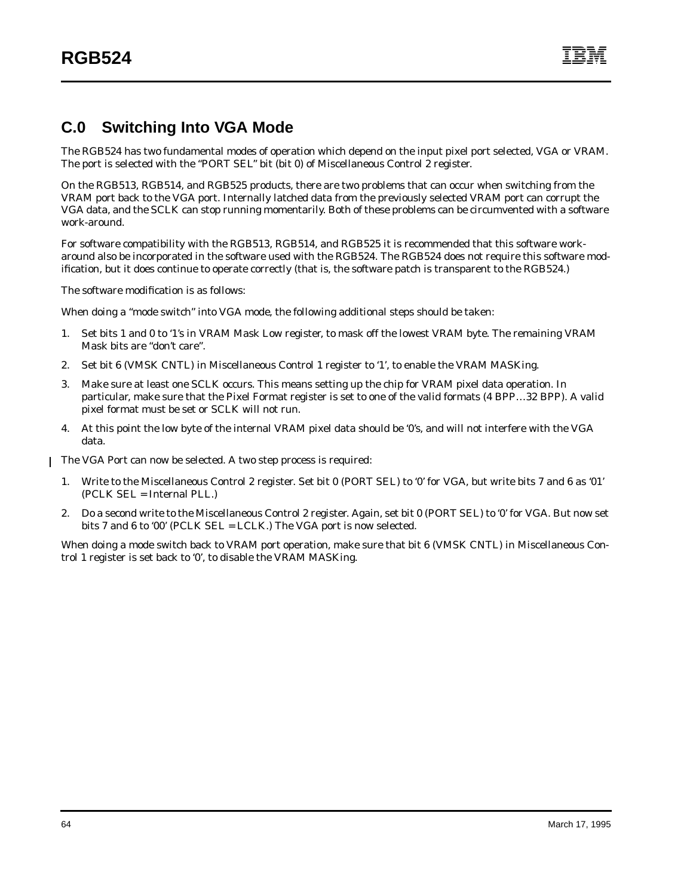## <span id="page-69-0"></span>**C.0 Switching Into VGA Mode**

The RGB524 has two fundamental modes of operation which depend on the input pixel port selected, VGA or VRAM. The port is selected with the "PORT SEL" bit (bit 0) of Miscellaneous Control 2 register.

On the RGB513, RGB514, and RGB525 products, there are two problems that can occur when switching from the VRAM port back to the VGA port. Internally latched data from the previously selected VRAM port can corrupt the VGA data, and the SCLK can stop running momentarily. Both of these problems can be circumvented with a software work-around.

For software compatibility with the RGB513, RGB514, and RGB525 it is recommended that this software workaround also be incorporated in the software used with the RGB524. The RGB524 does not require this software modification, but it does continue to operate correctly (that is, the software patch is transparent to the RGB524.)

The software modification is as follows:

When doing a "mode switch" into VGA mode, the following additional steps should be taken:

- 1. Set bits 1 and 0 to '1's in VRAM Mask Low register, to mask off the lowest VRAM byte. The remaining VRAM Mask bits are "don't care".
- 2. Set bit 6 (VMSK CNTL) in Miscellaneous Control 1 register to '1', to enable the VRAM MASKing.
- 3. Make sure at least one SCLK occurs. This means setting up the chip for VRAM pixel data operation. In particular, make sure that the Pixel Format register is set to one of the valid formats (4 BPP…32 BPP). A valid pixel format must be set or SCLK will not run.
- 4. At this point the low byte of the internal VRAM pixel data should be '0's, and will not interfere with the VGA data.

The VGA Port can now be selected. A two step process is required:  $\mathbf{I}$ 

- 1. Write to the Miscellaneous Control 2 register. Set bit 0 (PORT SEL) to '0' for VGA, but write bits 7 and 6 as '01' (PCLK SEL = Internal PLL.)
- 2. Do a second write to the Miscellaneous Control 2 register. Again, set bit 0 (PORT SEL) to '0' for VGA. But now set bits 7 and 6 to '00' (PCLK SEL = LCLK.) The VGA port is now selected.

When doing a mode switch back to VRAM port operation, make sure that bit 6 (VMSK CNTL) in Miscellaneous Control 1 register is set back to '0', to disable the VRAM MASKing.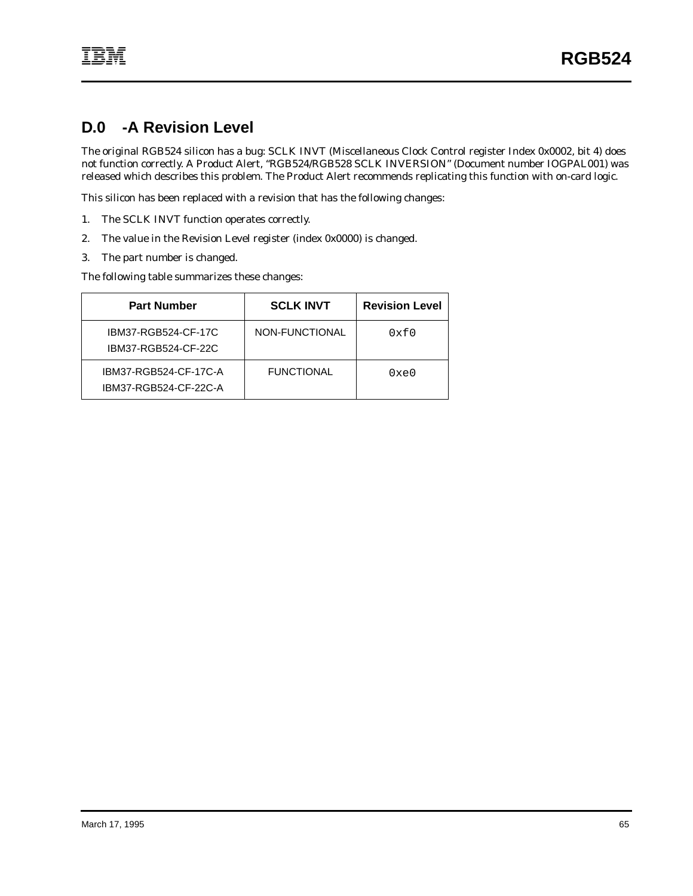## <span id="page-70-0"></span>**D.0 -A Revision Level**

The original RGB524 silicon has a bug: SCLK INVT (Miscellaneous Clock Control register Index 0x0002, bit 4) does not function correctly. A Product Alert, "RGB524/RGB528 SCLK INVERSION" (Document number IOGPAL001) was released which describes this problem. The Product Alert recommends replicating this function with on-card logic.

This silicon has been replaced with a revision that has the following changes:

- 1. The SCLK INVT function operates correctly.
- 2. The value in the Revision Level register (index 0x0000) is changed.
- 3. The part number is changed.

The following table summarizes these changes:

| <b>Part Number</b>                             | <b>SCLK INVT</b>  | <b>Revision Level</b> |
|------------------------------------------------|-------------------|-----------------------|
| IBM37-RGB524-CF-17C<br>IBM37-RGB524-CF-22C     | NON-FUNCTIONAL    | 0xf0                  |
| IBM37-RGB524-CF-17C-A<br>IBM37-RGB524-CF-22C-A | <b>FUNCTIONAL</b> | 0xe0                  |